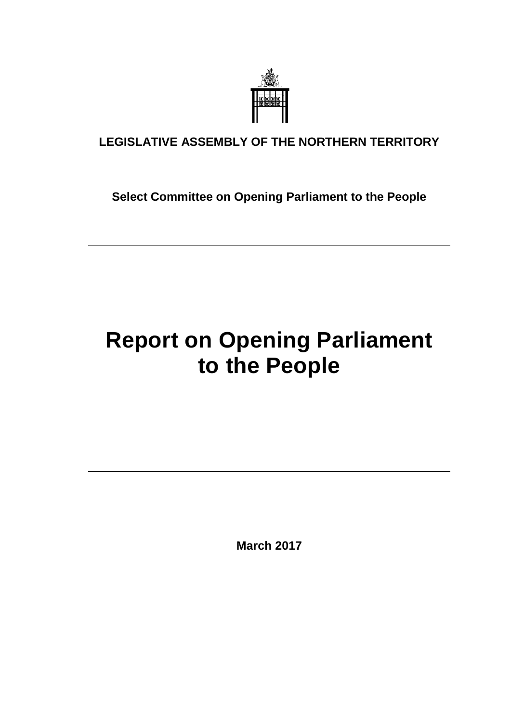

## **LEGISLATIVE ASSEMBLY OF THE NORTHERN TERRITORY**

**Select Committee on Opening Parliament to the People**

# **Report on Opening Parliament to the People**

**March 2017**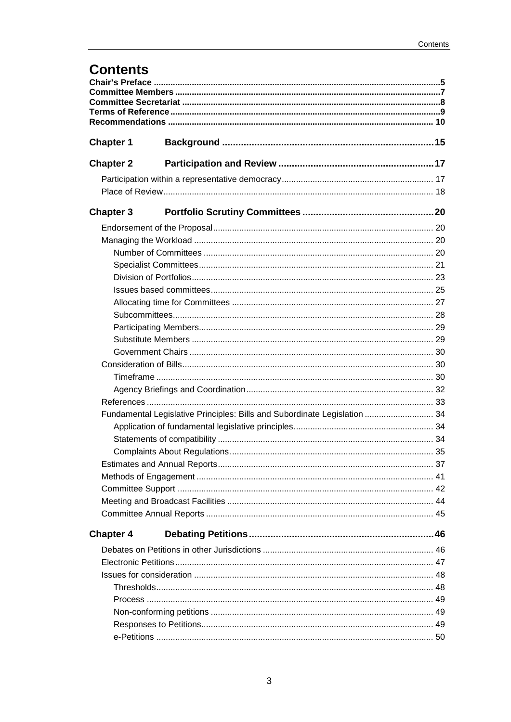## **Contents**

| <b>Chapter 1</b>                                                          |  |  |  |
|---------------------------------------------------------------------------|--|--|--|
| <b>Chapter 2</b>                                                          |  |  |  |
|                                                                           |  |  |  |
|                                                                           |  |  |  |
| <b>Chapter 3</b>                                                          |  |  |  |
|                                                                           |  |  |  |
|                                                                           |  |  |  |
|                                                                           |  |  |  |
|                                                                           |  |  |  |
|                                                                           |  |  |  |
|                                                                           |  |  |  |
|                                                                           |  |  |  |
|                                                                           |  |  |  |
|                                                                           |  |  |  |
|                                                                           |  |  |  |
|                                                                           |  |  |  |
|                                                                           |  |  |  |
|                                                                           |  |  |  |
|                                                                           |  |  |  |
|                                                                           |  |  |  |
| Fundamental Legislative Principles: Bills and Subordinate Legislation  34 |  |  |  |
|                                                                           |  |  |  |
|                                                                           |  |  |  |
|                                                                           |  |  |  |
|                                                                           |  |  |  |
|                                                                           |  |  |  |
|                                                                           |  |  |  |
|                                                                           |  |  |  |
|                                                                           |  |  |  |
| <b>Chapter 4</b>                                                          |  |  |  |
|                                                                           |  |  |  |
|                                                                           |  |  |  |
|                                                                           |  |  |  |
|                                                                           |  |  |  |
|                                                                           |  |  |  |
|                                                                           |  |  |  |
|                                                                           |  |  |  |
|                                                                           |  |  |  |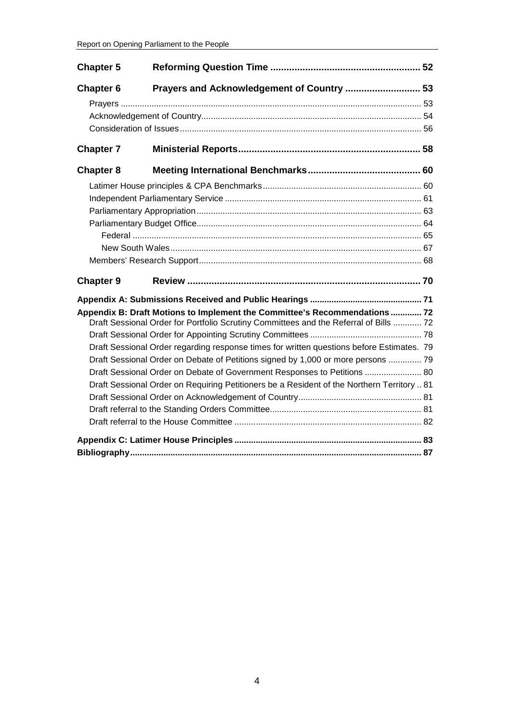| <b>Chapter 5</b> |                                                                                            |  |  |
|------------------|--------------------------------------------------------------------------------------------|--|--|
| <b>Chapter 6</b> | Prayers and Acknowledgement of Country  53                                                 |  |  |
|                  |                                                                                            |  |  |
|                  |                                                                                            |  |  |
|                  |                                                                                            |  |  |
| <b>Chapter 7</b> |                                                                                            |  |  |
| <b>Chapter 8</b> |                                                                                            |  |  |
|                  |                                                                                            |  |  |
|                  |                                                                                            |  |  |
|                  |                                                                                            |  |  |
|                  |                                                                                            |  |  |
|                  |                                                                                            |  |  |
|                  |                                                                                            |  |  |
|                  |                                                                                            |  |  |
| <b>Chapter 9</b> |                                                                                            |  |  |
|                  |                                                                                            |  |  |
|                  | Appendix B: Draft Motions to Implement the Committee's Recommendations  72                 |  |  |
|                  | Draft Sessional Order for Portfolio Scrutiny Committees and the Referral of Bills  72      |  |  |
|                  |                                                                                            |  |  |
|                  | Draft Sessional Order regarding response times for written questions before Estimates. 79  |  |  |
|                  | Draft Sessional Order on Debate of Petitions signed by 1,000 or more persons  79           |  |  |
|                  | Draft Sessional Order on Debate of Government Responses to Petitions  80                   |  |  |
|                  | Draft Sessional Order on Requiring Petitioners be a Resident of the Northern Territory  81 |  |  |
|                  |                                                                                            |  |  |
|                  |                                                                                            |  |  |
|                  |                                                                                            |  |  |
|                  |                                                                                            |  |  |
|                  |                                                                                            |  |  |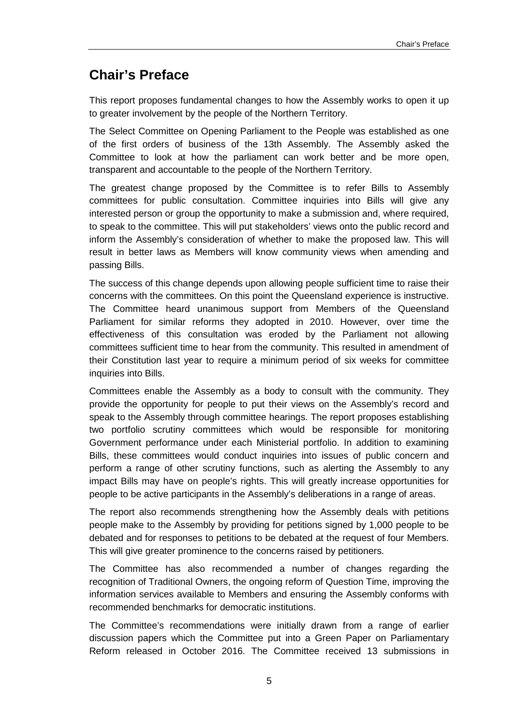## <span id="page-4-0"></span>**Chair's Preface**

This report proposes fundamental changes to how the Assembly works to open it up to greater involvement by the people of the Northern Territory.

The Select Committee on Opening Parliament to the People was established as one of the first orders of business of the 13th Assembly. The Assembly asked the Committee to look at how the parliament can work better and be more open, transparent and accountable to the people of the Northern Territory.

The greatest change proposed by the Committee is to refer Bills to Assembly committees for public consultation. Committee inquiries into Bills will give any interested person or group the opportunity to make a submission and, where required, to speak to the committee. This will put stakeholders' views onto the public record and inform the Assembly's consideration of whether to make the proposed law. This will result in better laws as Members will know community views when amending and passing Bills.

The success of this change depends upon allowing people sufficient time to raise their concerns with the committees. On this point the Queensland experience is instructive. The Committee heard unanimous support from Members of the Queensland Parliament for similar reforms they adopted in 2010. However, over time the effectiveness of this consultation was eroded by the Parliament not allowing committees sufficient time to hear from the community. This resulted in amendment of their Constitution last year to require a minimum period of six weeks for committee inquiries into Bills.

Committees enable the Assembly as a body to consult with the community. They provide the opportunity for people to put their views on the Assembly's record and speak to the Assembly through committee hearings. The report proposes establishing two portfolio scrutiny committees which would be responsible for monitoring Government performance under each Ministerial portfolio. In addition to examining Bills, these committees would conduct inquiries into issues of public concern and perform a range of other scrutiny functions, such as alerting the Assembly to any impact Bills may have on people's rights. This will greatly increase opportunities for people to be active participants in the Assembly's deliberations in a range of areas.

The report also recommends strengthening how the Assembly deals with petitions people make to the Assembly by providing for petitions signed by 1,000 people to be debated and for responses to petitions to be debated at the request of four Members. This will give greater prominence to the concerns raised by petitioners.

The Committee has also recommended a number of changes regarding the recognition of Traditional Owners, the ongoing reform of Question Time, improving the information services available to Members and ensuring the Assembly conforms with recommended benchmarks for democratic institutions.

The Committee's recommendations were initially drawn from a range of earlier discussion papers which the Committee put into a Green Paper on Parliamentary Reform released in October 2016. The Committee received 13 submissions in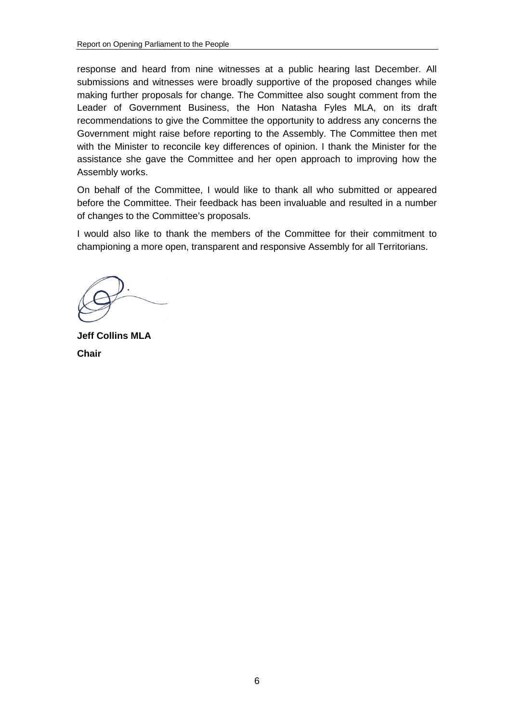response and heard from nine witnesses at a public hearing last December. All submissions and witnesses were broadly supportive of the proposed changes while making further proposals for change. The Committee also sought comment from the Leader of Government Business, the Hon Natasha Fyles MLA, on its draft recommendations to give the Committee the opportunity to address any concerns the Government might raise before reporting to the Assembly. The Committee then met with the Minister to reconcile key differences of opinion. I thank the Minister for the assistance she gave the Committee and her open approach to improving how the Assembly works.

On behalf of the Committee, I would like to thank all who submitted or appeared before the Committee. Their feedback has been invaluable and resulted in a number of changes to the Committee's proposals.

I would also like to thank the members of the Committee for their commitment to championing a more open, transparent and responsive Assembly for all Territorians.

**Jeff Collins MLA Chair**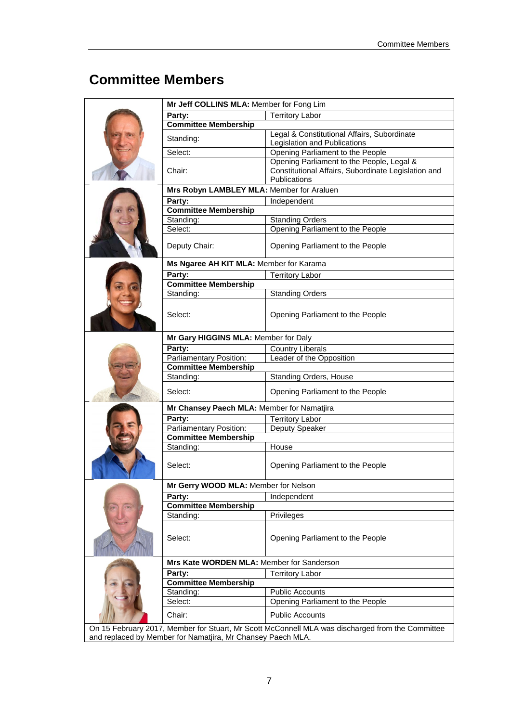## <span id="page-6-0"></span>**Committee Members**

|  | Mr Jeff COLLINS MLA: Member for Fong Lim   |                                                                                                  |  |  |  |
|--|--------------------------------------------|--------------------------------------------------------------------------------------------------|--|--|--|
|  | Party:                                     | <b>Territory Labor</b>                                                                           |  |  |  |
|  | <b>Committee Membership</b>                |                                                                                                  |  |  |  |
|  | Standing:                                  | Legal & Constitutional Affairs, Subordinate                                                      |  |  |  |
|  |                                            | Legislation and Publications                                                                     |  |  |  |
|  | Select:                                    | Opening Parliament to the People                                                                 |  |  |  |
|  | Chair:                                     | Opening Parliament to the People, Legal &<br>Constitutional Affairs, Subordinate Legislation and |  |  |  |
|  |                                            | <b>Publications</b>                                                                              |  |  |  |
|  | Mrs Robyn LAMBLEY MLA: Member for Araluen  |                                                                                                  |  |  |  |
|  | Party:                                     | Independent                                                                                      |  |  |  |
|  | <b>Committee Membership</b>                |                                                                                                  |  |  |  |
|  | Standing:                                  | <b>Standing Orders</b>                                                                           |  |  |  |
|  | Select:                                    | Opening Parliament to the People                                                                 |  |  |  |
|  | Deputy Chair:                              | Opening Parliament to the People                                                                 |  |  |  |
|  | Ms Ngaree AH KIT MLA: Member for Karama    |                                                                                                  |  |  |  |
|  | Party:                                     | <b>Territory Labor</b>                                                                           |  |  |  |
|  | <b>Committee Membership</b>                |                                                                                                  |  |  |  |
|  | Standing:                                  | <b>Standing Orders</b>                                                                           |  |  |  |
|  | Select:                                    | Opening Parliament to the People                                                                 |  |  |  |
|  | Mr Gary HIGGINS MLA: Member for Daly       |                                                                                                  |  |  |  |
|  | Party:                                     | <b>Country Liberals</b>                                                                          |  |  |  |
|  | Parliamentary Position:                    | Leader of the Opposition                                                                         |  |  |  |
|  | <b>Committee Membership</b>                |                                                                                                  |  |  |  |
|  | Standing:                                  | Standing Orders, House                                                                           |  |  |  |
|  | Select:                                    | Opening Parliament to the People                                                                 |  |  |  |
|  | Mr Chansey Paech MLA: Member for Namatjira |                                                                                                  |  |  |  |
|  | Party:                                     | <b>Territory Labor</b>                                                                           |  |  |  |
|  | Parliamentary Position:                    | Deputy Speaker                                                                                   |  |  |  |
|  | <b>Committee Membership</b>                |                                                                                                  |  |  |  |
|  | Standing:                                  | House                                                                                            |  |  |  |
|  | Select:                                    | Opening Parliament to the People                                                                 |  |  |  |
|  | Mr Gerry WOOD MLA: Member for Nelson       |                                                                                                  |  |  |  |
|  | Party:                                     | Independent                                                                                      |  |  |  |
|  | <b>Committee Membership</b>                |                                                                                                  |  |  |  |
|  | Standing:                                  | Privileges                                                                                       |  |  |  |
|  | Select:                                    | Opening Parliament to the People                                                                 |  |  |  |
|  | Mrs Kate WORDEN MLA: Member for Sanderson  |                                                                                                  |  |  |  |
|  | Party:                                     | <b>Territory Labor</b>                                                                           |  |  |  |
|  | <b>Committee Membership</b>                |                                                                                                  |  |  |  |
|  | Standing:                                  | <b>Public Accounts</b>                                                                           |  |  |  |
|  | Select:                                    | Opening Parliament to the People                                                                 |  |  |  |
|  | Chair:                                     | <b>Public Accounts</b>                                                                           |  |  |  |

On 15 February 2017, Member for Stuart, Mr Scott McConnell MLA was discharged from the Committee and replaced by Member for Namatjira, Mr Chansey Paech MLA.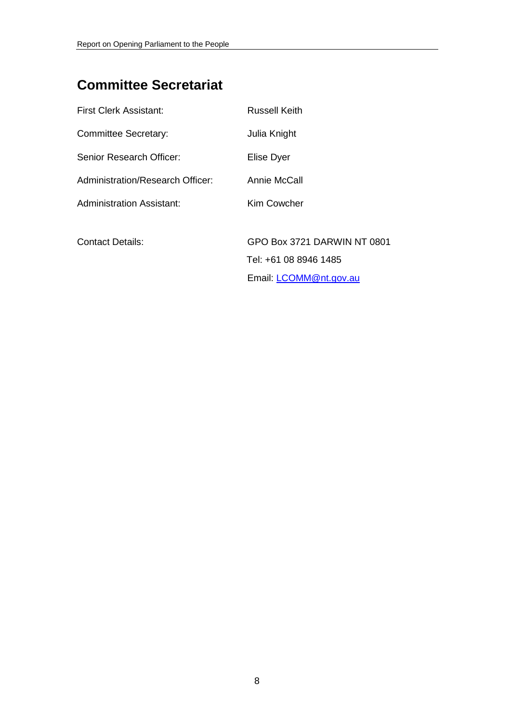## <span id="page-7-0"></span>**Committee Secretariat**

| First Clerk Assistant:           | <b>Russell Keith</b>        |
|----------------------------------|-----------------------------|
| <b>Committee Secretary:</b>      | Julia Knight                |
| Senior Research Officer:         | Elise Dyer                  |
| Administration/Research Officer: | Annie McCall                |
| Administration Assistant:        | Kim Cowcher                 |
|                                  |                             |
| <b>Contact Details:</b>          | GPO Box 3721 DARWIN NT 0801 |
|                                  | Tel: +61 08 8946 1485       |
|                                  | Email: LCOMM@nt.gov.au      |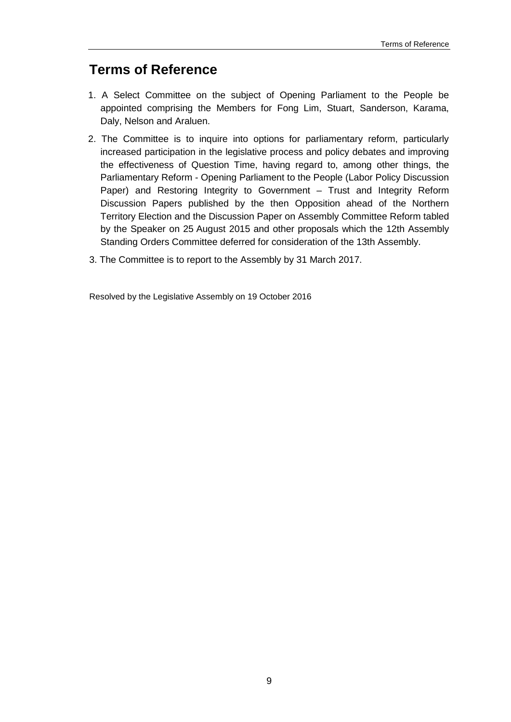## <span id="page-8-0"></span>**Terms of Reference**

- 1. A Select Committee on the subject of Opening Parliament to the People be appointed comprising the Members for Fong Lim, Stuart, Sanderson, Karama, Daly, Nelson and Araluen.
- 2. The Committee is to inquire into options for parliamentary reform, particularly increased participation in the legislative process and policy debates and improving the effectiveness of Question Time, having regard to, among other things, the Parliamentary Reform - Opening Parliament to the People (Labor Policy Discussion Paper) and Restoring Integrity to Government – Trust and Integrity Reform Discussion Papers published by the then Opposition ahead of the Northern Territory Election and the Discussion Paper on Assembly Committee Reform tabled by the Speaker on 25 August 2015 and other proposals which the 12th Assembly Standing Orders Committee deferred for consideration of the 13th Assembly.
- 3. The Committee is to report to the Assembly by 31 March 2017.

Resolved by the Legislative Assembly on 19 October 2016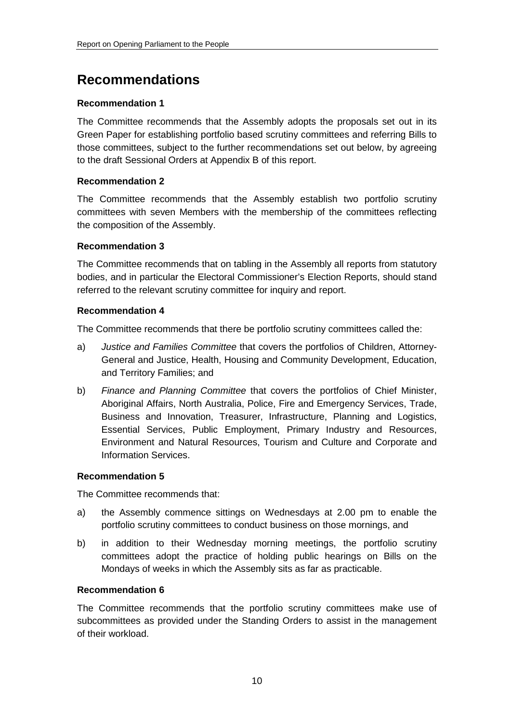## <span id="page-9-0"></span>**Recommendations**

## **[Recommendation 1](#page-19-4)**

[The Committee recommends that the Assembly adopts the proposals set out in its](#page-19-5)  [Green Paper for establishing portfolio based scrutiny committees and referring Bills to](#page-19-5)  [those committees, subject to the further recommendations set out below, by agreeing](#page-19-5)  [to the draft Sessional Orders at Appendix B of this report.](#page-19-5)

## **[Recommendation 2](#page-20-1)**

[The Committee recommends that the Assembly establish two portfolio scrutiny](#page-20-2)  [committees with seven Members with the membership of the committees reflecting](#page-20-2)  [the composition of the Assembly.](#page-20-2)

## **[Recommendation 3](#page-21-0)**

[The Committee recommends that on tabling in the Assembly all reports from statutory](#page-21-1)  [bodies, and in particular the Electoral Commissioner's Election Reports, should stand](#page-21-1)  [referred to the relevant scrutiny committee for inquiry and report.](#page-21-1)

## **[Recommendation 4](#page-25-0)**

[The Committee recommends that there be portfolio scrutiny committees called the:](#page-25-1)

- a) *Justice and Families Committee* [that covers the portfolios of Children, Attorney-](#page-25-2)[General and Justice, Health, Housing and Community Development, Education,](#page-25-2)  [and Territory Families; and](#page-25-2)
- b) *Finance and Planning Committee* [that covers the portfolios of Chief Minister,](#page-25-3)  [Aboriginal Affairs, North Australia, Police, Fire and Emergency Services, Trade,](#page-25-3)  [Business and Innovation, Treasurer, Infrastructure, Planning and Logistics,](#page-25-3)  [Essential Services, Public Employment, Primary Industry and Resources,](#page-25-3)  [Environment and Natural Resources, Tourism and Culture and Corporate and](#page-25-3)  [Information Services.](#page-25-3)

## **[Recommendation 5](#page-27-1)**

[The Committee recommends that:](#page-27-2)

- a) [the Assembly commence sittings on Wednesdays at 2.00 pm to enable the](#page-27-3)  [portfolio scrutiny committees to conduct business on those mornings, and](#page-27-3)
- b) [in addition to their Wednesday morning meetings, the portfolio scrutiny](#page-27-4)  [committees adopt the practice of holding public hearings on Bills on the](#page-27-4)  [Mondays of weeks in which the Assembly sits as far as practicable.](#page-27-4)

## **[Recommendation 6](#page-28-2)**

[The Committee recommends that the portfolio scrutiny committees make use of](#page-28-3)  [subcommittees as provided under the Standing Orders to assist in the management](#page-28-3)  [of their workload.](#page-28-3)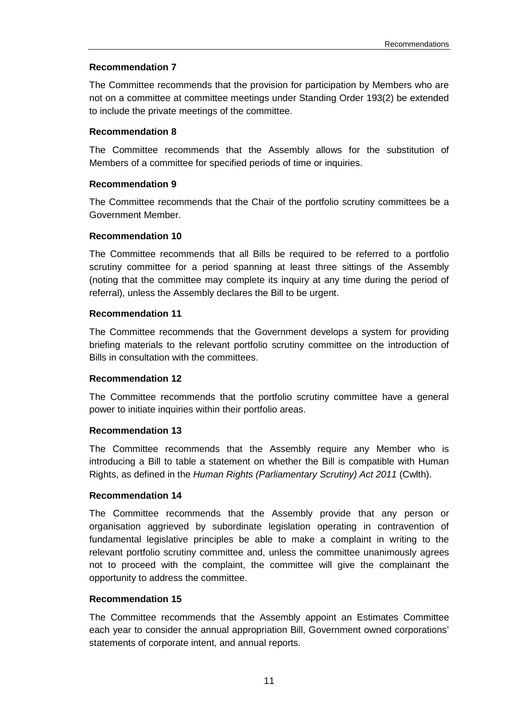## **[Recommendation 7](#page-28-4)**

[The Committee recommends that the provision for participation by Members who are](#page-28-5)  [not on a committee at committee meetings under Standing Order 193\(2\) be extended](#page-28-5)  [to include the private meetings of the committee.](#page-28-5)

## **[Recommendation 8](#page-29-3)**

[The Committee recommends that the Assembly allows for the substitution of](#page-29-4)  [Members of a committee for specified periods of time or inquiries.](#page-29-4)

### **[Recommendation 9](#page-29-5)**

[The Committee recommends that the Chair of the portfolio scrutiny committees be a](#page-29-6)  [Government Member.](#page-29-6)

### **[Recommendation 10](#page-31-1)**

[The Committee recommends that all Bills be required to](#page-31-2) be referred to a portfolio [scrutiny committee for a period spanning at least three sittings of the Assembly](#page-31-2)  [\(noting that the committee may complete its inquiry at any time during the period of](#page-31-2)  [referral\), unless the Assembly declares the Bill to be urgent.](#page-31-2)

### **[Recommendation 11](#page-32-1)**

The Committee recommends that [the Government develops a system for providing](#page-32-2)  [briefing materials to the relevant portfolio scrutiny committee on the introduction of](#page-32-2)  [Bills in consultation with the committees.](#page-32-2)

## **[Recommendation 12](#page-33-3)**

[The Committee recommends that the portfolio scrutiny committee have a general](#page-33-4)  [power to initiate inquiries within their portfolio areas.](#page-33-4)

#### **[Recommendation 13](#page-34-1)**

[The Committee recommends that the Assembly require any Member who is](#page-34-2)  [introducing a Bill to table a statement on whether the Bill is compatible with Human](#page-34-2)  Rights, as defined in the *[Human Rights \(Parliamentary Scrutiny\) Act 2011](#page-34-2)* (Cwlth).

#### **[Recommendation 14](#page-35-0)**

[The Committee recommends that the Assembly provide that any person or](#page-35-1)  [organisation aggrieved by subordinate legislation operating in contravention of](#page-35-1)  [fundamental legislative principles be able to make a complaint in writing to the](#page-35-1)  [relevant portfolio scrutiny committee and, unless the committee unanimously agrees](#page-35-1)  [not to proceed with the complaint, the committee will give the complainant the](#page-35-1)  [opportunity to address the committee.](#page-35-1)

#### **[Recommendation 15](#page-37-0)**

[The Committee recommends that the Assembly appoint an Estimates Committee](#page-37-1)  [each year to consider the annual appropriation Bill, Government owned corporations'](#page-37-1)  [statements of corporate intent, and annual reports.](#page-37-1)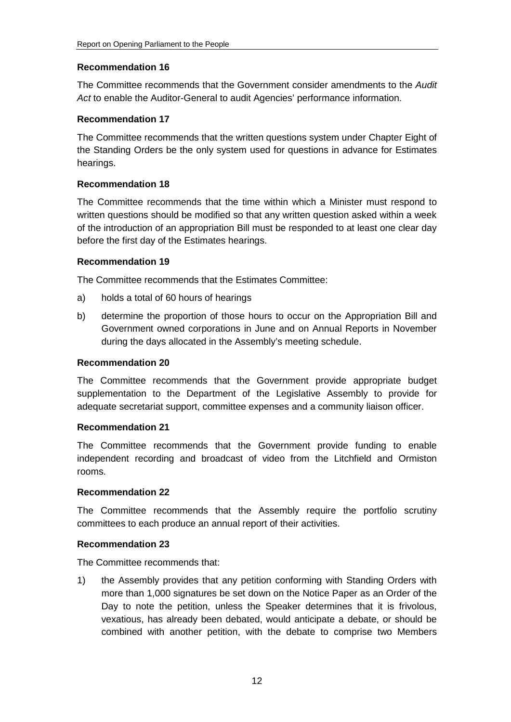## **[Recommendation 16](#page-38-0)**

[The Committee recommends that the Government consider amendments to the](#page-38-1) *Audit Act* [to enable the Auditor-General to audit Agencies' performance information.](#page-38-1)

## **[Recommendation 17](#page-39-0)**

[The Committee recommends that the written questions system under Chapter Eight of](#page-39-1)  [the Standing Orders be the only system used for questions in advance for Estimates](#page-39-1)  [hearings.](#page-39-1)

## **[Recommendation 18](#page-39-2)**

[The Committee recommends that the time within which a Minister must respond to](#page-39-3)  [written questions should be modified so that any written question asked within a week](#page-39-3)  of [the introduction of an appropriation Bill must be responded to at least one clear day](#page-39-3)  [before the first day of the Estimates hearings.](#page-39-3)

## **[Recommendation 19](#page-40-1)**

[The Committee recommends that the Estimates Committee:](#page-40-2)

- a) [holds a total of 60 hours of hearings](#page-40-3)
- b) [determine the proportion of those hours to occur on the Appropriation Bill and](#page-40-4)  [Government owned corporations in June and on Annual Reports in November](#page-40-4)  [during the days allocated in the Assembly's meeting schedule.](#page-40-4)

### **[Recommendation 20](#page-43-1)**

[The Committee recommends that the Government provide appropriate budget](#page-43-2)  [supplementation to the Department of the Legislative Assembly to provide for](#page-43-2)  [adequate secretariat support, committee expenses and a community liaison officer.](#page-43-2)

## **[Recommendation 21](#page-44-1)**

[The Committee recommends that the Government provide funding to enable](#page-44-2)  [independent recording and broadcast of video from the Litchfield and Ormiston](#page-44-2)  [rooms.](#page-44-2)

## **[Recommendation 22](#page-44-3)**

[The Committee recommends that the Assembly require the portfolio scrutiny](#page-44-4)  [committees to each produce an annual report of their activities.](#page-44-4)

## **[Recommendation 23](#page-49-1)**

[The Committee recommends that:](#page-49-2)

1) [the Assembly provides that any petition conforming with Standing Orders with](#page-49-3)  [more than 1,000 signatures be set down on the Notice Paper as an Order of the](#page-49-3)  [Day to note the petition, unless the Speaker determines that it is frivolous,](#page-49-3)  [vexatious, has already been debated, would anticipate a debate, or should be](#page-49-3)  [combined with another petition, with the debate to comprise two Members](#page-49-3)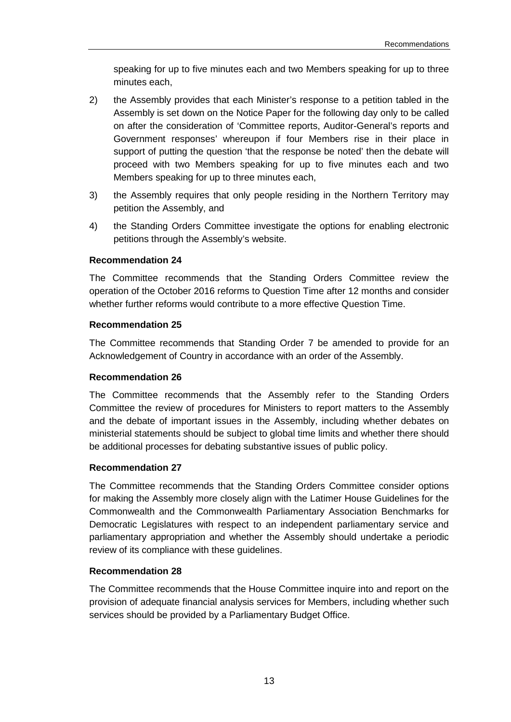[speaking for up to five minutes each and two Members speaking for up to three](#page-49-3)  [minutes each,](#page-49-3)

- 2) [the Assembly provides that each Minister's response to a petition tabled in the](#page-50-0)  [Assembly is set down on the Notice Paper for the following day only to be called](#page-50-0)  [on after the consideration of 'Committee reports, Auditor-General's reports and](#page-50-0)  [Government responses' whereupon if four Members rise in their place in](#page-50-0)  support of putting the question 'that the response be noted' then the debate will [proceed with two Members speaking for up to five minutes each and two](#page-50-0)  [Members speaking for up to three minutes each,](#page-50-0)
- 3) [the Assembly requires that only people residing in the Northern Territory may](#page-50-1)  [petition the Assembly, and](#page-50-1)
- 4) [the Standing Orders Committee investigate the options for enabling electronic](#page-50-2)  [petitions through the Assembly's website.](#page-50-2)

## **[Recommendation 24](#page-51-1)**

[The Committee recommends that the Standing Orders Committee review the](#page-51-2)  [operation of the October 2016 reforms to Question Time after 12 months and consider](#page-51-2)  [whether further reforms would contribute to a more effective Question Time.](#page-51-2)

## **[Recommendation 25](#page-56-0)**

[The Committee recommends that Standing Order 7 be amended to provide for an](#page-56-1)  [Acknowledgement of Country in accordance with an order of the Assembly.](#page-56-1)

## **[Recommendation 26](#page-57-1)**

[The Committee recommends that the Assembly refer to the Standing Orders](#page-57-2)  [Committee the review of procedures for Ministers to report matters to the Assembly](#page-57-2)  [and the debate of important issues in the Assembly, including whether debates on](#page-57-2)  [ministerial statements should be subject to global time limits and whether there should](#page-57-2)  [be additional processes for debating substantive issues of public policy.](#page-57-2)

## **[Recommendation 27](#page-63-1)**

[The Committee recommends that the Standing Orders Committee consider options](#page-63-2)  [for making the Assembly more closely align with the Latimer House Guidelines for the](#page-63-2)  [Commonwealth and the Commonwealth Parliamentary Association Benchmarks for](#page-63-2)  [Democratic Legislatures with respect to an independent parliamentary service and](#page-63-2)  [parliamentary appropriation and whether the Assembly should undertake a periodic](#page-63-2)  [review of its compliance with these guidelines.](#page-63-2)

## **[Recommendation 28](#page-66-1)**

[The Committee recommends that the House Committee inquire into and report on the](#page-66-2)  [provision of adequate financial analysis services for Members, including whether such](#page-66-2)  [services should be provided by a Parliamentary Budget Office.](#page-66-2)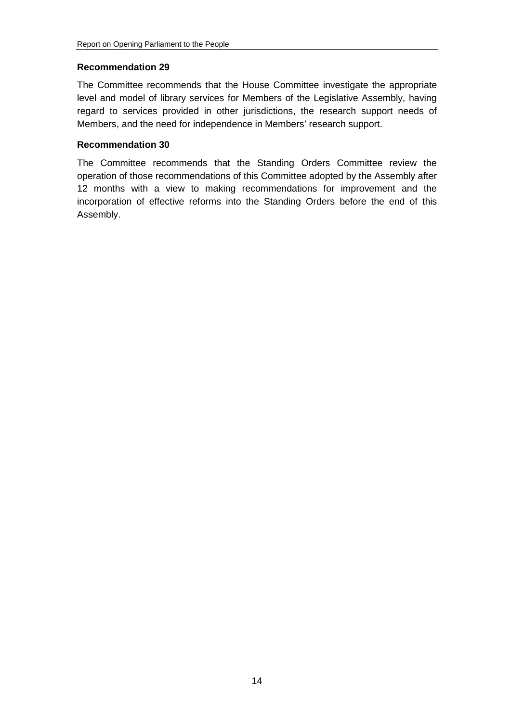## **[Recommendation 29](#page-68-0)**

[The Committee recommends that the House Committee investigate the appropriate](#page-68-1)  [level and model of library services for Members of the Legislative Assembly, having](#page-68-1)  [regard to services provided in other jurisdictions, the research support needs of](#page-68-1)  [Members, and the need for independence in Members' research support.](#page-68-1)

## **[Recommendation 30](#page-69-1)**

The Committee recommends that [the Standing Orders Committee review the](#page-69-2)  [operation of those recommendations of this Committee adopted by the Assembly after](#page-69-2)  [12 months with a view to making recommendations for improvement and the](#page-69-2)  [incorporation of effective reforms into the Standing Orders](#page-69-2) before the end of this [Assembly.](#page-69-2)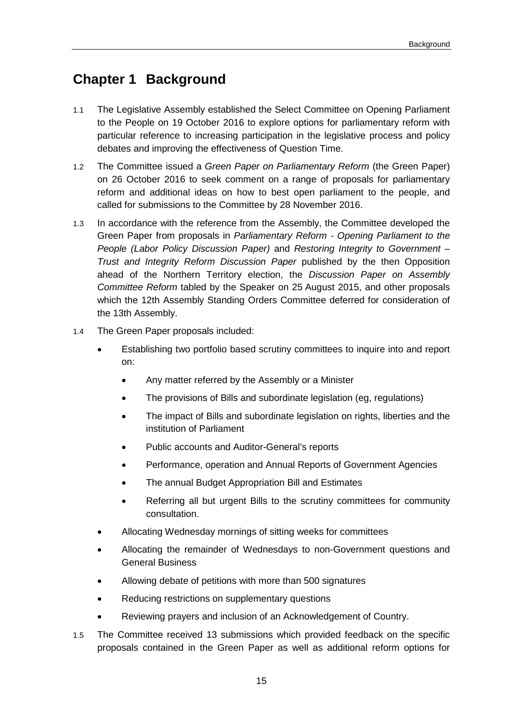## <span id="page-14-0"></span>**Chapter 1 Background**

- 1.1 The Legislative Assembly established the Select Committee on Opening Parliament to the People on 19 October 2016 to explore options for parliamentary reform with particular reference to increasing participation in the legislative process and policy debates and improving the effectiveness of Question Time.
- 1.2 The Committee issued a *Green Paper on Parliamentary Reform* (the Green Paper) on 26 October 2016 to seek comment on a range of proposals for parliamentary reform and additional ideas on how to best open parliament to the people, and called for submissions to the Committee by 28 November 2016.
- 1.3 In accordance with the reference from the Assembly, the Committee developed the Green Paper from proposals in *Parliamentary Reform - Opening Parliament to the People (Labor Policy Discussion Paper)* and *Restoring Integrity to Government – Trust and Integrity Reform Discussion Paper* published by the then Opposition ahead of the Northern Territory election, the *Discussion Paper on Assembly Committee Reform* tabled by the Speaker on 25 August 2015, and other proposals which the 12th Assembly Standing Orders Committee deferred for consideration of the 13th Assembly.
- 1.4 The Green Paper proposals included:
	- Establishing two portfolio based scrutiny committees to inquire into and report on:
		- Any matter referred by the Assembly or a Minister
		- The provisions of Bills and subordinate legislation (eg, regulations)
		- The impact of Bills and subordinate legislation on rights, liberties and the institution of Parliament
		- Public accounts and Auditor-General's reports
		- Performance, operation and Annual Reports of Government Agencies
		- The annual Budget Appropriation Bill and Estimates
		- Referring all but urgent Bills to the scrutiny committees for community consultation.
	- Allocating Wednesday mornings of sitting weeks for committees
	- Allocating the remainder of Wednesdays to non-Government questions and General Business
	- Allowing debate of petitions with more than 500 signatures
	- Reducing restrictions on supplementary questions
	- Reviewing prayers and inclusion of an Acknowledgement of Country.
- 1.5 The Committee received 13 submissions which provided feedback on the specific proposals contained in the Green Paper as well as additional reform options for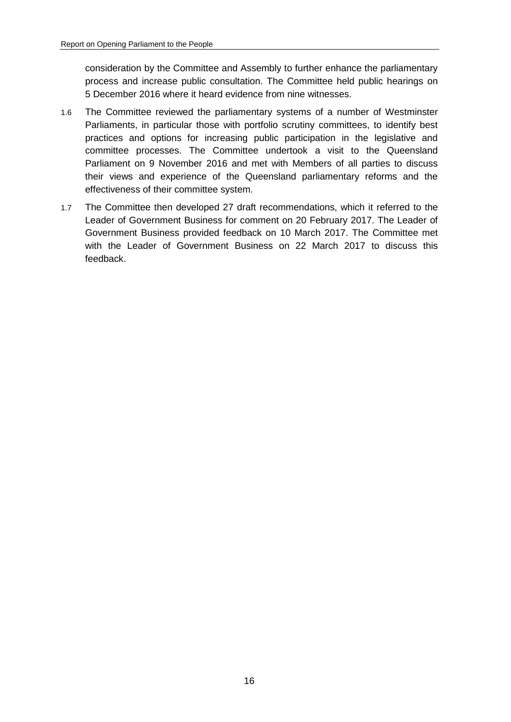consideration by the Committee and Assembly to further enhance the parliamentary process and increase public consultation. The Committee held public hearings on 5 December 2016 where it heard evidence from nine witnesses.

- 1.6 The Committee reviewed the parliamentary systems of a number of Westminster Parliaments, in particular those with portfolio scrutiny committees, to identify best practices and options for increasing public participation in the legislative and committee processes. The Committee undertook a visit to the Queensland Parliament on 9 November 2016 and met with Members of all parties to discuss their views and experience of the Queensland parliamentary reforms and the effectiveness of their committee system.
- 1.7 The Committee then developed 27 draft recommendations, which it referred to the Leader of Government Business for comment on 20 February 2017. The Leader of Government Business provided feedback on 10 March 2017. The Committee met with the Leader of Government Business on 22 March 2017 to discuss this feedback.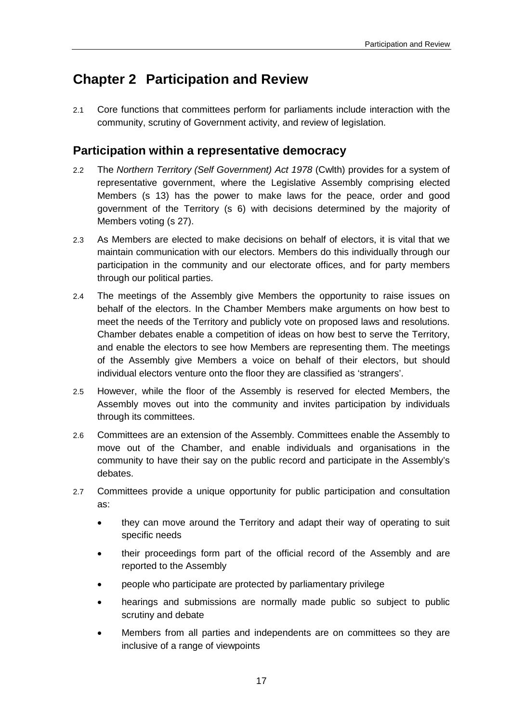## <span id="page-16-0"></span>**Chapter 2 Participation and Review**

2.1 Core functions that committees perform for parliaments include interaction with the community, scrutiny of Government activity, and review of legislation.

## <span id="page-16-1"></span>**Participation within a representative democracy**

- 2.2 The *Northern Territory (Self Government) Act 1978* (Cwlth) provides for a system of representative government, where the Legislative Assembly comprising elected Members (s 13) has the power to make laws for the peace, order and good government of the Territory (s 6) with decisions determined by the majority of Members voting (s 27).
- 2.3 As Members are elected to make decisions on behalf of electors, it is vital that we maintain communication with our electors. Members do this individually through our participation in the community and our electorate offices, and for party members through our political parties.
- 2.4 The meetings of the Assembly give Members the opportunity to raise issues on behalf of the electors. In the Chamber Members make arguments on how best to meet the needs of the Territory and publicly vote on proposed laws and resolutions. Chamber debates enable a competition of ideas on how best to serve the Territory, and enable the electors to see how Members are representing them. The meetings of the Assembly give Members a voice on behalf of their electors, but should individual electors venture onto the floor they are classified as 'strangers'.
- 2.5 However, while the floor of the Assembly is reserved for elected Members, the Assembly moves out into the community and invites participation by individuals through its committees.
- 2.6 Committees are an extension of the Assembly. Committees enable the Assembly to move out of the Chamber, and enable individuals and organisations in the community to have their say on the public record and participate in the Assembly's debates.
- 2.7 Committees provide a unique opportunity for public participation and consultation as:
	- they can move around the Territory and adapt their way of operating to suit specific needs
	- their proceedings form part of the official record of the Assembly and are reported to the Assembly
	- people who participate are protected by parliamentary privilege
	- hearings and submissions are normally made public so subject to public scrutiny and debate
	- Members from all parties and independents are on committees so they are inclusive of a range of viewpoints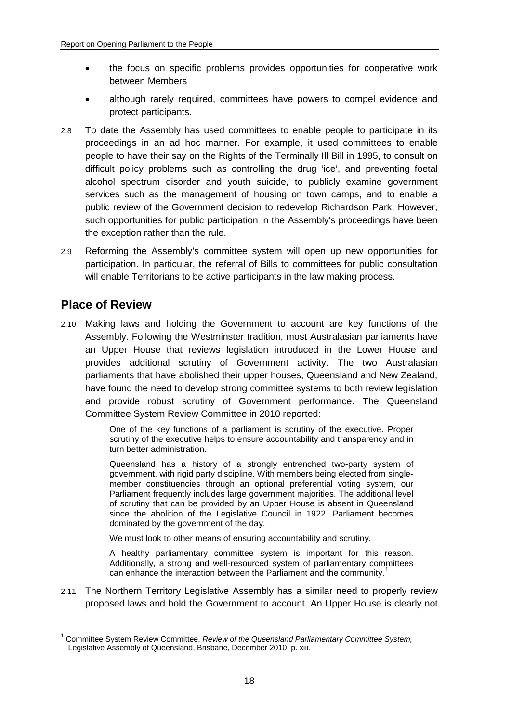- the focus on specific problems provides opportunities for cooperative work between Members
- although rarely required, committees have powers to compel evidence and protect participants.
- 2.8 To date the Assembly has used committees to enable people to participate in its proceedings in an ad hoc manner. For example, it used committees to enable people to have their say on the Rights of the Terminally Ill Bill in 1995, to consult on difficult policy problems such as controlling the drug 'ice', and preventing foetal alcohol spectrum disorder and youth suicide, to publicly examine government services such as the management of housing on town camps, and to enable a public review of the Government decision to redevelop Richardson Park. However, such opportunities for public participation in the Assembly's proceedings have been the exception rather than the rule.
- 2.9 Reforming the Assembly's committee system will open up new opportunities for participation. In particular, the referral of Bills to committees for public consultation will enable Territorians to be active participants in the law making process.

## <span id="page-17-0"></span>**Place of Review**

-

2.10 Making laws and holding the Government to account are key functions of the Assembly. Following the Westminster tradition, most Australasian parliaments have an Upper House that reviews legislation introduced in the Lower House and provides additional scrutiny of Government activity. The two Australasian parliaments that have abolished their upper houses, Queensland and New Zealand, have found the need to develop strong committee systems to both review legislation and provide robust scrutiny of Government performance. The Queensland Committee System Review Committee in 2010 reported:

> One of the key functions of a parliament is scrutiny of the executive. Proper scrutiny of the executive helps to ensure accountability and transparency and in turn better administration.

> Queensland has a history of a strongly entrenched two-party system of government, with rigid party discipline. With members being elected from singlemember constituencies through an optional preferential voting system, our Parliament frequently includes large government majorities. The additional level of scrutiny that can be provided by an Upper House is absent in Queensland since the abolition of the Legislative Council in 1922. Parliament becomes dominated by the government of the day.

We must look to other means of ensuring accountability and scrutiny.

A healthy parliamentary committee system is important for this reason. Additionally, a strong and well-resourced system of parliamentary committees can enhance the interaction between the Parliament and the community.<sup>[1](#page-17-1)</sup>

2.11 The Northern Territory Legislative Assembly has a similar need to properly review proposed laws and hold the Government to account. An Upper House is clearly not

<span id="page-17-1"></span><sup>1</sup> Committee System Review Committee, *Review of the Queensland Parliamentary Committee System,*  Legislative Assembly of Queensland, Brisbane, December 2010, p. xiii.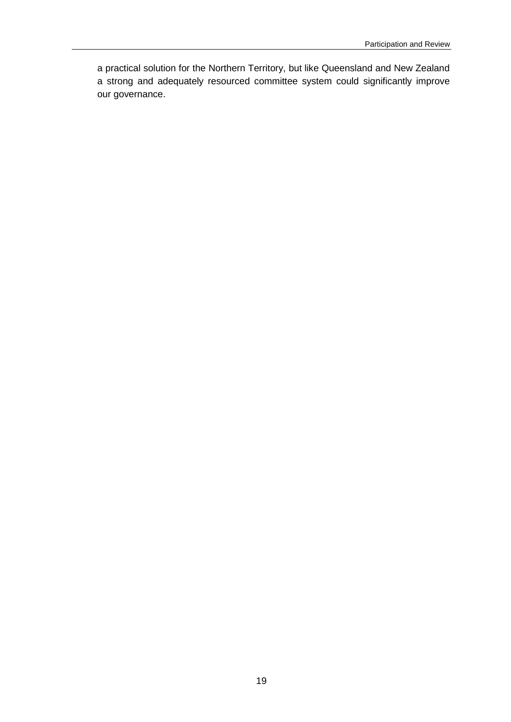a practical solution for the Northern Territory, but like Queensland and New Zealand a strong and adequately resourced committee system could significantly improve our governance.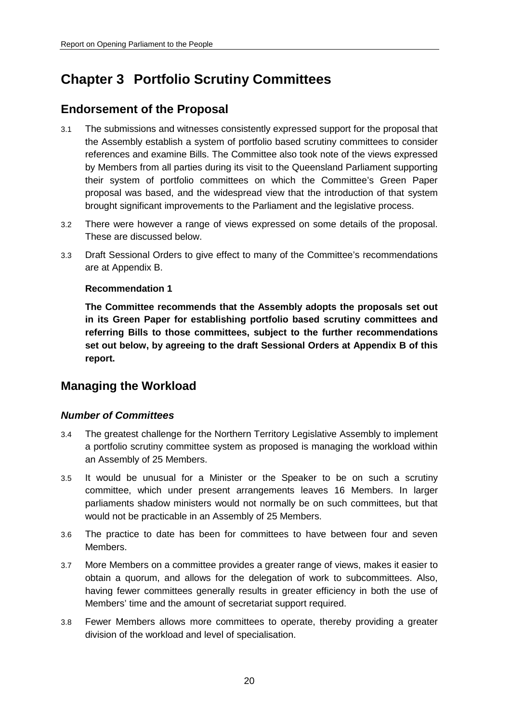## <span id="page-19-0"></span>**Chapter 3 Portfolio Scrutiny Committees**

## <span id="page-19-1"></span>**Endorsement of the Proposal**

- 3.1 The submissions and witnesses consistently expressed support for the proposal that the Assembly establish a system of portfolio based scrutiny committees to consider references and examine Bills. The Committee also took note of the views expressed by Members from all parties during its visit to the Queensland Parliament supporting their system of portfolio committees on which the Committee's Green Paper proposal was based, and the widespread view that the introduction of that system brought significant improvements to the Parliament and the legislative process.
- 3.2 There were however a range of views expressed on some details of the proposal. These are discussed below.
- 3.3 Draft Sessional Orders to give effect to many of the Committee's recommendations are at Appendix B.

## <span id="page-19-4"></span>**Recommendation 1**

<span id="page-19-5"></span>**The Committee recommends that the Assembly adopts the proposals set out in its Green Paper for establishing portfolio based scrutiny committees and referring Bills to those committees, subject to the further recommendations set out below, by agreeing to the draft Sessional Orders at Appendix B of this report.**

## <span id="page-19-2"></span>**Managing the Workload**

## <span id="page-19-3"></span>*Number of Committees*

- 3.4 The greatest challenge for the Northern Territory Legislative Assembly to implement a portfolio scrutiny committee system as proposed is managing the workload within an Assembly of 25 Members.
- 3.5 It would be unusual for a Minister or the Speaker to be on such a scrutiny committee, which under present arrangements leaves 16 Members. In larger parliaments shadow ministers would not normally be on such committees, but that would not be practicable in an Assembly of 25 Members.
- 3.6 The practice to date has been for committees to have between four and seven Members.
- 3.7 More Members on a committee provides a greater range of views, makes it easier to obtain a quorum, and allows for the delegation of work to subcommittees. Also, having fewer committees generally results in greater efficiency in both the use of Members' time and the amount of secretariat support required.
- 3.8 Fewer Members allows more committees to operate, thereby providing a greater division of the workload and level of specialisation.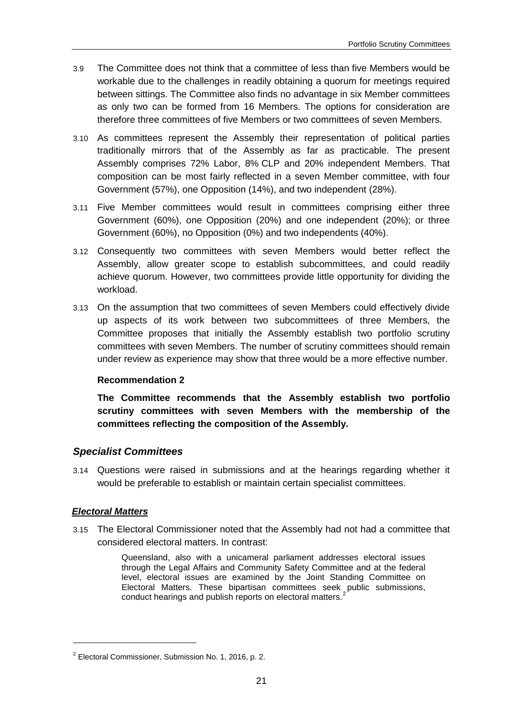- 3.9 The Committee does not think that a committee of less than five Members would be workable due to the challenges in readily obtaining a quorum for meetings required between sittings. The Committee also finds no advantage in six Member committees as only two can be formed from 16 Members. The options for consideration are therefore three committees of five Members or two committees of seven Members.
- 3.10 As committees represent the Assembly their representation of political parties traditionally mirrors that of the Assembly as far as practicable. The present Assembly comprises 72% Labor, 8% CLP and 20% independent Members. That composition can be most fairly reflected in a seven Member committee, with four Government (57%), one Opposition (14%), and two independent (28%).
- 3.11 Five Member committees would result in committees comprising either three Government (60%), one Opposition (20%) and one independent (20%); or three Government (60%), no Opposition (0%) and two independents (40%).
- 3.12 Consequently two committees with seven Members would better reflect the Assembly, allow greater scope to establish subcommittees, and could readily achieve quorum. However, two committees provide little opportunity for dividing the workload.
- 3.13 On the assumption that two committees of seven Members could effectively divide up aspects of its work between two subcommittees of three Members, the Committee proposes that initially the Assembly establish two portfolio scrutiny committees with seven Members. The number of scrutiny committees should remain under review as experience may show that three would be a more effective number.

## <span id="page-20-1"></span>**Recommendation 2**

<span id="page-20-2"></span>**The Committee recommends that the Assembly establish two portfolio scrutiny committees with seven Members with the membership of the committees reflecting the composition of the Assembly.**

## <span id="page-20-0"></span>*Specialist Committees*

3.14 Questions were raised in submissions and at the hearings regarding whether it would be preferable to establish or maintain certain specialist committees.

## *Electoral Matters*

-

3.15 The Electoral Commissioner noted that the Assembly had not had a committee that considered electoral matters. In contrast:

> Queensland, also with a unicameral parliament addresses electoral issues through the Legal Affairs and Community Safety Committee and at the federal level, electoral issues are examined by the Joint Standing Committee on Electoral Matters. These bipartisan committees seek public submissions, conduct hearings and publish reports on electoral matters.

<span id="page-20-3"></span> $2$  Electoral Commissioner, Submission No. 1, 2016, p. 2.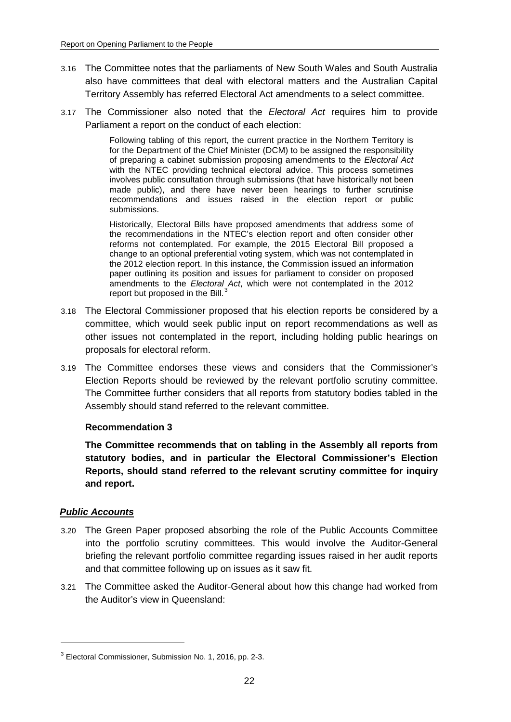- 3.16 The Committee notes that the parliaments of New South Wales and South Australia also have committees that deal with electoral matters and the Australian Capital Territory Assembly has referred Electoral Act amendments to a select committee.
- 3.17 The Commissioner also noted that the *Electoral Act* requires him to provide Parliament a report on the conduct of each election:

Following tabling of this report, the current practice in the Northern Territory is for the Department of the Chief Minister (DCM) to be assigned the responsibility of preparing a cabinet submission proposing amendments to the *Electoral Act* with the NTEC providing technical electoral advice. This process sometimes involves public consultation through submissions (that have historically not been made public), and there have never been hearings to further scrutinise recommendations and issues raised in the election report or public submissions.

Historically, Electoral Bills have proposed amendments that address some of the recommendations in the NTEC's election report and often consider other reforms not contemplated. For example, the 2015 Electoral Bill proposed a change to an optional preferential voting system, which was not contemplated in the 2012 election report. In this instance, the Commission issued an information paper outlining its position and issues for parliament to consider on proposed amendments to the *Electoral Act*, which were not contemplated in the 2012 report but proposed in the Bill.<sup>[3](#page-21-2)</sup>

- 3.18 The Electoral Commissioner proposed that his election reports be considered by a committee, which would seek public input on report recommendations as well as other issues not contemplated in the report, including holding public hearings on proposals for electoral reform.
- 3.19 The Committee endorses these views and considers that the Commissioner's Election Reports should be reviewed by the relevant portfolio scrutiny committee. The Committee further considers that all reports from statutory bodies tabled in the Assembly should stand referred to the relevant committee.

#### <span id="page-21-0"></span>**Recommendation 3**

<span id="page-21-1"></span>**The Committee recommends that on tabling in the Assembly all reports from statutory bodies, and in particular the Electoral Commissioner's Election Reports, should stand referred to the relevant scrutiny committee for inquiry and report.**

## *Public Accounts*

- 3.20 The Green Paper proposed absorbing the role of the Public Accounts Committee into the portfolio scrutiny committees. This would involve the Auditor-General briefing the relevant portfolio committee regarding issues raised in her audit reports and that committee following up on issues as it saw fit.
- 3.21 The Committee asked the Auditor-General about how this change had worked from the Auditor's view in Queensland:

<span id="page-21-2"></span><sup>3</sup> Electoral Commissioner, Submission No. 1, 2016, pp. 2-3.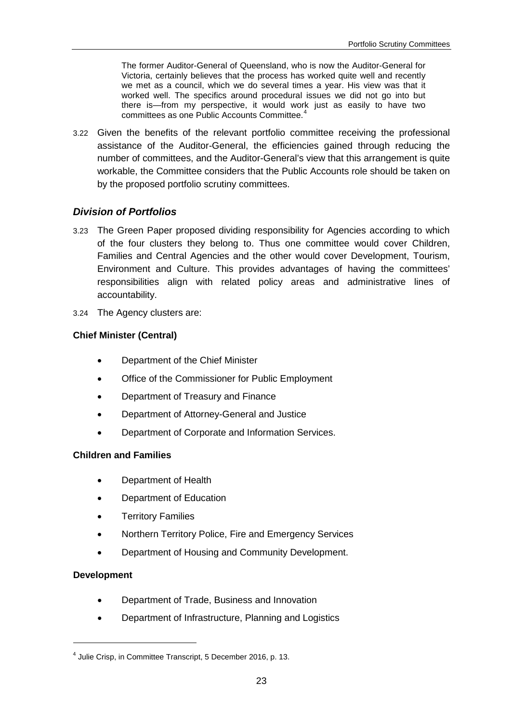The former Auditor-General of Queensland, who is now the Auditor-General for Victoria, certainly believes that the process has worked quite well and recently we met as a council, which we do several times a year. His view was that it worked well. The specifics around procedural issues we did not go into but there is—from my perspective, it would work just as easily to have two committees as one Public Accounts Committee.[4](#page-22-1)

3.22 Given the benefits of the relevant portfolio committee receiving the professional assistance of the Auditor-General, the efficiencies gained through reducing the number of committees, and the Auditor-General's view that this arrangement is quite workable, the Committee considers that the Public Accounts role should be taken on by the proposed portfolio scrutiny committees.

## <span id="page-22-0"></span>*Division of Portfolios*

- 3.23 The Green Paper proposed dividing responsibility for Agencies according to which of the four clusters they belong to. Thus one committee would cover Children, Families and Central Agencies and the other would cover Development, Tourism, Environment and Culture. This provides advantages of having the committees' responsibilities align with related policy areas and administrative lines of accountability.
- 3.24 The Agency clusters are:

## **Chief Minister (Central)**

- Department of the Chief Minister
- Office of the Commissioner for Public Employment
- Department of Treasury and Finance
- Department of Attorney-General and Justice
- Department of Corporate and Information Services.

## **Children and Families**

- Department of Health
- Department of Education
- Territory Families
- Northern Territory Police, Fire and Emergency Services
- Department of Housing and Community Development.

## **Development**

- Department of Trade, Business and Innovation
- Department of Infrastructure, Planning and Logistics

<span id="page-22-1"></span><sup>4</sup> Julie Crisp, in Committee Transcript, 5 December 2016, p. 13.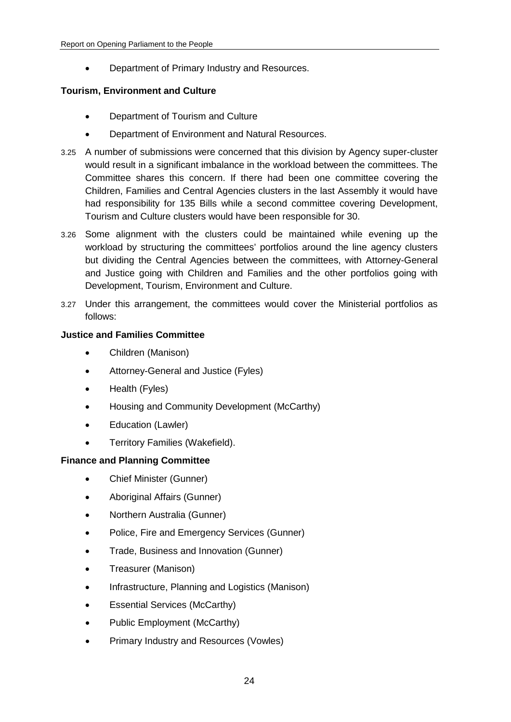• Department of Primary Industry and Resources.

## **Tourism, Environment and Culture**

- Department of Tourism and Culture
- Department of Environment and Natural Resources.
- 3.25 A number of submissions were concerned that this division by Agency super-cluster would result in a significant imbalance in the workload between the committees. The Committee shares this concern. If there had been one committee covering the Children, Families and Central Agencies clusters in the last Assembly it would have had responsibility for 135 Bills while a second committee covering Development, Tourism and Culture clusters would have been responsible for 30.
- 3.26 Some alignment with the clusters could be maintained while evening up the workload by structuring the committees' portfolios around the line agency clusters but dividing the Central Agencies between the committees, with Attorney-General and Justice going with Children and Families and the other portfolios going with Development, Tourism, Environment and Culture.
- 3.27 Under this arrangement, the committees would cover the Ministerial portfolios as follows:

## **Justice and Families Committee**

- Children (Manison)
- Attorney-General and Justice (Fyles)
- Health (Fyles)
- Housing and Community Development (McCarthy)
- Education (Lawler)
- Territory Families (Wakefield).

## **Finance and Planning Committee**

- Chief Minister (Gunner)
- Aboriginal Affairs (Gunner)
- Northern Australia (Gunner)
- Police, Fire and Emergency Services (Gunner)
- Trade, Business and Innovation (Gunner)
- Treasurer (Manison)
- Infrastructure, Planning and Logistics (Manison)
- Essential Services (McCarthy)
- Public Employment (McCarthy)
- Primary Industry and Resources (Vowles)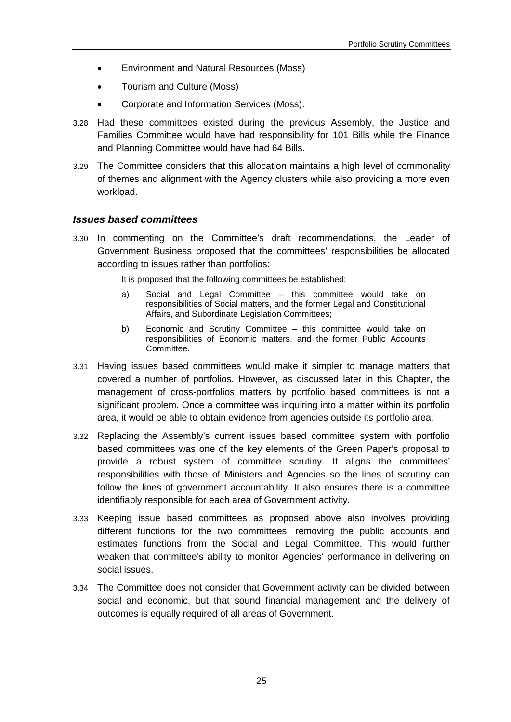- Environment and Natural Resources (Moss)
- Tourism and Culture (Moss)
- Corporate and Information Services (Moss).
- 3.28 Had these committees existed during the previous Assembly, the Justice and Families Committee would have had responsibility for 101 Bills while the Finance and Planning Committee would have had 64 Bills.
- 3.29 The Committee considers that this allocation maintains a high level of commonality of themes and alignment with the Agency clusters while also providing a more even workload.

## <span id="page-24-0"></span>*Issues based committees*

3.30 In commenting on the Committee's draft recommendations, the Leader of Government Business proposed that the committees' responsibilities be allocated according to issues rather than portfolios:

It is proposed that the following committees be established:

- a) Social and Legal Committee this committee would take on responsibilities of Social matters, and the former Legal and Constitutional Affairs, and Subordinate Legislation Committees;
- b) Economic and Scrutiny Committee this committee would take on responsibilities of Economic matters, and the former Public Accounts Committee.
- 3.31 Having issues based committees would make it simpler to manage matters that covered a number of portfolios. However, as discussed later in this Chapter, the management of cross-portfolios matters by portfolio based committees is not a significant problem. Once a committee was inquiring into a matter within its portfolio area, it would be able to obtain evidence from agencies outside its portfolio area.
- 3.32 Replacing the Assembly's current issues based committee system with portfolio based committees was one of the key elements of the Green Paper's proposal to provide a robust system of committee scrutiny. It aligns the committees' responsibilities with those of Ministers and Agencies so the lines of scrutiny can follow the lines of government accountability. It also ensures there is a committee identifiably responsible for each area of Government activity.
- 3.33 Keeping issue based committees as proposed above also involves providing different functions for the two committees; removing the public accounts and estimates functions from the Social and Legal Committee. This would further weaken that committee's ability to monitor Agencies' performance in delivering on social issues.
- 3.34 The Committee does not consider that Government activity can be divided between social and economic, but that sound financial management and the delivery of outcomes is equally required of all areas of Government.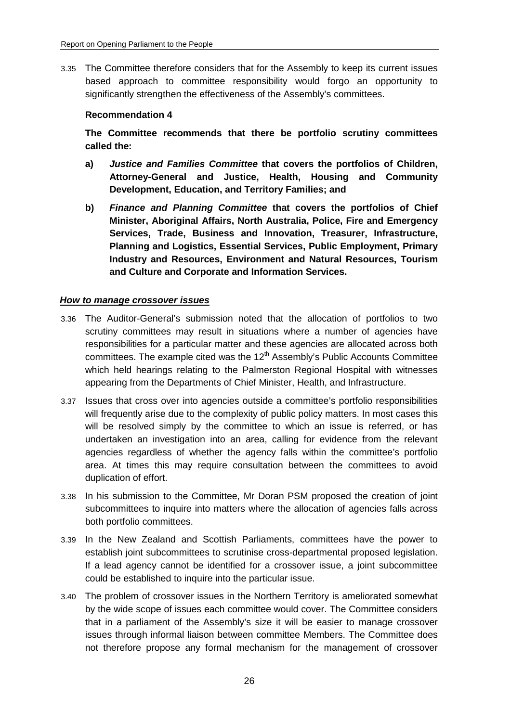3.35 The Committee therefore considers that for the Assembly to keep its current issues based approach to committee responsibility would forgo an opportunity to significantly strengthen the effectiveness of the Assembly's committees.

### <span id="page-25-0"></span>**Recommendation 4**

<span id="page-25-1"></span>**The Committee recommends that there be portfolio scrutiny committees called the:**

- <span id="page-25-2"></span>**a)** *Justice and Families Committee* **that covers the portfolios of Children, Attorney-General and Justice, Health, Housing and Community Development, Education, and Territory Families; and**
- <span id="page-25-3"></span>**b)** *Finance and Planning Committee* **that covers the portfolios of Chief Minister, Aboriginal Affairs, North Australia, Police, Fire and Emergency Services, Trade, Business and Innovation, Treasurer, Infrastructure, Planning and Logistics, Essential Services, Public Employment, Primary Industry and Resources, Environment and Natural Resources, Tourism and Culture and Corporate and Information Services.**

### *How to manage crossover issues*

- 3.36 The Auditor-General's submission noted that the allocation of portfolios to two scrutiny committees may result in situations where a number of agencies have responsibilities for a particular matter and these agencies are allocated across both committees. The example cited was the  $12<sup>th</sup>$  Assembly's Public Accounts Committee which held hearings relating to the Palmerston Regional Hospital with witnesses appearing from the Departments of Chief Minister, Health, and Infrastructure.
- 3.37 Issues that cross over into agencies outside a committee's portfolio responsibilities will frequently arise due to the complexity of public policy matters. In most cases this will be resolved simply by the committee to which an issue is referred, or has undertaken an investigation into an area, calling for evidence from the relevant agencies regardless of whether the agency falls within the committee's portfolio area. At times this may require consultation between the committees to avoid duplication of effort.
- 3.38 In his submission to the Committee, Mr Doran PSM proposed the creation of joint subcommittees to inquire into matters where the allocation of agencies falls across both portfolio committees.
- 3.39 In the New Zealand and Scottish Parliaments, committees have the power to establish joint subcommittees to scrutinise cross-departmental proposed legislation. If a lead agency cannot be identified for a crossover issue, a joint subcommittee could be established to inquire into the particular issue.
- 3.40 The problem of crossover issues in the Northern Territory is ameliorated somewhat by the wide scope of issues each committee would cover. The Committee considers that in a parliament of the Assembly's size it will be easier to manage crossover issues through informal liaison between committee Members. The Committee does not therefore propose any formal mechanism for the management of crossover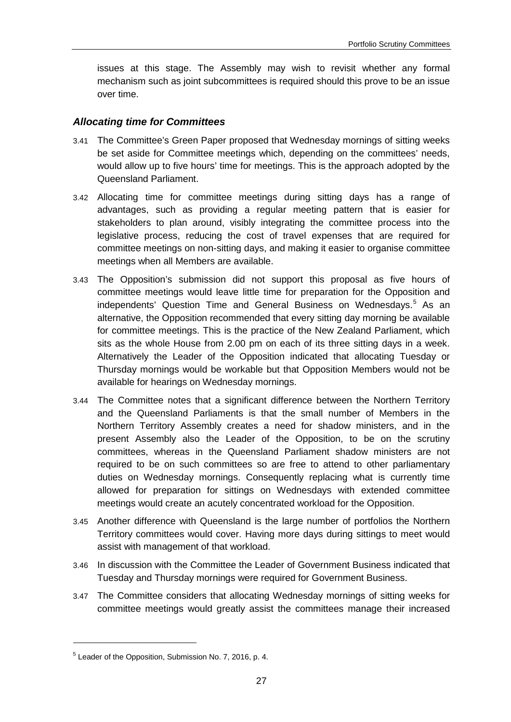issues at this stage. The Assembly may wish to revisit whether any formal mechanism such as joint subcommittees is required should this prove to be an issue over time.

## <span id="page-26-0"></span>*Allocating time for Committees*

- 3.41 The Committee's Green Paper proposed that Wednesday mornings of sitting weeks be set aside for Committee meetings which, depending on the committees' needs, would allow up to five hours' time for meetings. This is the approach adopted by the Queensland Parliament.
- 3.42 Allocating time for committee meetings during sitting days has a range of advantages, such as providing a regular meeting pattern that is easier for stakeholders to plan around, visibly integrating the committee process into the legislative process, reducing the cost of travel expenses that are required for committee meetings on non-sitting days, and making it easier to organise committee meetings when all Members are available.
- 3.43 The Opposition's submission did not support this proposal as five hours of committee meetings would leave little time for preparation for the Opposition and independents' Question Time and General Business on Wednesdays. [5](#page-26-1) As an alternative, the Opposition recommended that every sitting day morning be available for committee meetings. This is the practice of the New Zealand Parliament, which sits as the whole House from 2.00 pm on each of its three sitting days in a week. Alternatively the Leader of the Opposition indicated that allocating Tuesday or Thursday mornings would be workable but that Opposition Members would not be available for hearings on Wednesday mornings.
- 3.44 The Committee notes that a significant difference between the Northern Territory and the Queensland Parliaments is that the small number of Members in the Northern Territory Assembly creates a need for shadow ministers, and in the present Assembly also the Leader of the Opposition, to be on the scrutiny committees, whereas in the Queensland Parliament shadow ministers are not required to be on such committees so are free to attend to other parliamentary duties on Wednesday mornings. Consequently replacing what is currently time allowed for preparation for sittings on Wednesdays with extended committee meetings would create an acutely concentrated workload for the Opposition.
- 3.45 Another difference with Queensland is the large number of portfolios the Northern Territory committees would cover. Having more days during sittings to meet would assist with management of that workload.
- 3.46 In discussion with the Committee the Leader of Government Business indicated that Tuesday and Thursday mornings were required for Government Business.
- 3.47 The Committee considers that allocating Wednesday mornings of sitting weeks for committee meetings would greatly assist the committees manage their increased

<span id="page-26-1"></span><sup>5</sup> Leader of the Opposition, Submission No. 7, 2016, p. 4.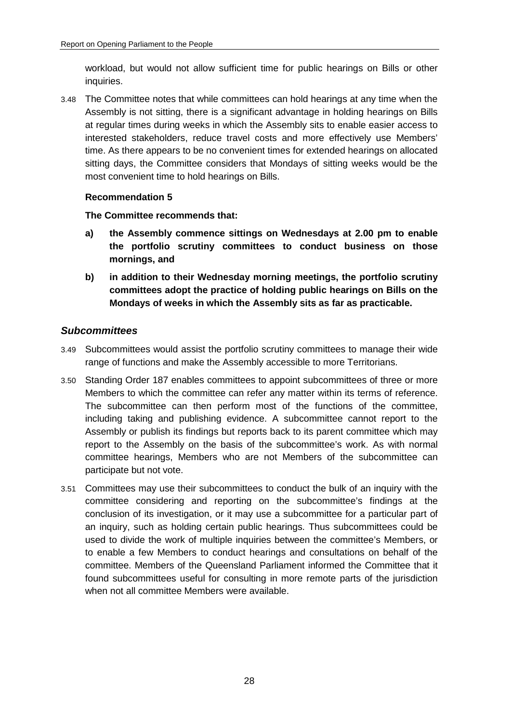workload, but would not allow sufficient time for public hearings on Bills or other inquiries.

3.48 The Committee notes that while committees can hold hearings at any time when the Assembly is not sitting, there is a significant advantage in holding hearings on Bills at regular times during weeks in which the Assembly sits to enable easier access to interested stakeholders, reduce travel costs and more effectively use Members' time. As there appears to be no convenient times for extended hearings on allocated sitting days, the Committee considers that Mondays of sitting weeks would be the most convenient time to hold hearings on Bills.

## <span id="page-27-1"></span>**Recommendation 5**

<span id="page-27-2"></span>**The Committee recommends that:**

- <span id="page-27-3"></span>**a) the Assembly commence sittings on Wednesdays at 2.00 pm to enable the portfolio scrutiny committees to conduct business on those mornings, and**
- <span id="page-27-4"></span>**b) in addition to their Wednesday morning meetings, the portfolio scrutiny committees adopt the practice of holding public hearings on Bills on the Mondays of weeks in which the Assembly sits as far as practicable.**

## <span id="page-27-0"></span>*Subcommittees*

- 3.49 Subcommittees would assist the portfolio scrutiny committees to manage their wide range of functions and make the Assembly accessible to more Territorians.
- 3.50 Standing Order 187 enables committees to appoint subcommittees of three or more Members to which the committee can refer any matter within its terms of reference. The subcommittee can then perform most of the functions of the committee, including taking and publishing evidence. A subcommittee cannot report to the Assembly or publish its findings but reports back to its parent committee which may report to the Assembly on the basis of the subcommittee's work. As with normal committee hearings, Members who are not Members of the subcommittee can participate but not vote.
- 3.51 Committees may use their subcommittees to conduct the bulk of an inquiry with the committee considering and reporting on the subcommittee's findings at the conclusion of its investigation, or it may use a subcommittee for a particular part of an inquiry, such as holding certain public hearings. Thus subcommittees could be used to divide the work of multiple inquiries between the committee's Members, or to enable a few Members to conduct hearings and consultations on behalf of the committee. Members of the Queensland Parliament informed the Committee that it found subcommittees useful for consulting in more remote parts of the jurisdiction when not all committee Members were available.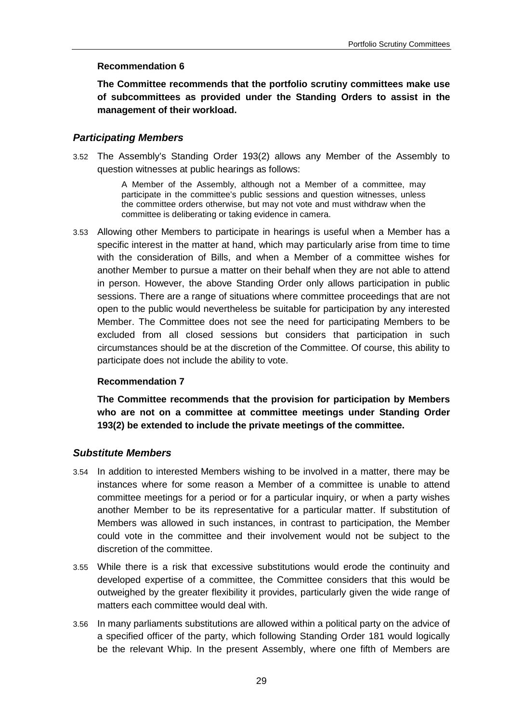### <span id="page-28-2"></span>**Recommendation 6**

<span id="page-28-3"></span>**The Committee recommends that the portfolio scrutiny committees make use of subcommittees as provided under the Standing Orders to assist in the management of their workload.**

## <span id="page-28-0"></span>*Participating Members*

3.52 The Assembly's Standing Order 193(2) allows any Member of the Assembly to question witnesses at public hearings as follows:

> A Member of the Assembly, although not a Member of a committee, may participate in the committee's public sessions and question witnesses, unless the committee orders otherwise, but may not vote and must withdraw when the committee is deliberating or taking evidence in camera.

3.53 Allowing other Members to participate in hearings is useful when a Member has a specific interest in the matter at hand, which may particularly arise from time to time with the consideration of Bills, and when a Member of a committee wishes for another Member to pursue a matter on their behalf when they are not able to attend in person. However, the above Standing Order only allows participation in public sessions. There are a range of situations where committee proceedings that are not open to the public would nevertheless be suitable for participation by any interested Member. The Committee does not see the need for participating Members to be excluded from all closed sessions but considers that participation in such circumstances should be at the discretion of the Committee. Of course, this ability to participate does not include the ability to vote.

## <span id="page-28-4"></span>**Recommendation 7**

<span id="page-28-5"></span>**The Committee recommends that the provision for participation by Members who are not on a committee at committee meetings under Standing Order 193(2) be extended to include the private meetings of the committee.**

## <span id="page-28-1"></span>*Substitute Members*

- 3.54 In addition to interested Members wishing to be involved in a matter, there may be instances where for some reason a Member of a committee is unable to attend committee meetings for a period or for a particular inquiry, or when a party wishes another Member to be its representative for a particular matter. If substitution of Members was allowed in such instances, in contrast to participation, the Member could vote in the committee and their involvement would not be subject to the discretion of the committee.
- 3.55 While there is a risk that excessive substitutions would erode the continuity and developed expertise of a committee, the Committee considers that this would be outweighed by the greater flexibility it provides, particularly given the wide range of matters each committee would deal with.
- 3.56 In many parliaments substitutions are allowed within a political party on the advice of a specified officer of the party, which following Standing Order 181 would logically be the relevant Whip. In the present Assembly, where one fifth of Members are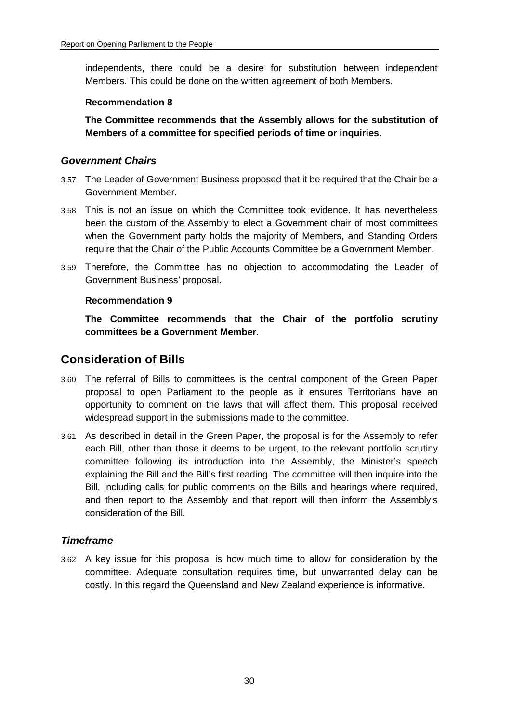independents, there could be a desire for substitution between independent Members. This could be done on the written agreement of both Members.

### <span id="page-29-3"></span>**Recommendation 8**

<span id="page-29-4"></span>**The Committee recommends that the Assembly allows for the substitution of Members of a committee for specified periods of time or inquiries.**

## <span id="page-29-0"></span>*Government Chairs*

- 3.57 The Leader of Government Business proposed that it be required that the Chair be a Government Member.
- 3.58 This is not an issue on which the Committee took evidence. It has nevertheless been the custom of the Assembly to elect a Government chair of most committees when the Government party holds the majority of Members, and Standing Orders require that the Chair of the Public Accounts Committee be a Government Member.
- 3.59 Therefore, the Committee has no objection to accommodating the Leader of Government Business' proposal.

## <span id="page-29-5"></span>**Recommendation 9**

<span id="page-29-6"></span>**The Committee recommends that the Chair of the portfolio scrutiny committees be a Government Member.**

## <span id="page-29-1"></span>**Consideration of Bills**

- 3.60 The referral of Bills to committees is the central component of the Green Paper proposal to open Parliament to the people as it ensures Territorians have an opportunity to comment on the laws that will affect them. This proposal received widespread support in the submissions made to the committee.
- 3.61 As described in detail in the Green Paper, the proposal is for the Assembly to refer each Bill, other than those it deems to be urgent, to the relevant portfolio scrutiny committee following its introduction into the Assembly, the Minister's speech explaining the Bill and the Bill's first reading. The committee will then inquire into the Bill, including calls for public comments on the Bills and hearings where required, and then report to the Assembly and that report will then inform the Assembly's consideration of the Bill.

## <span id="page-29-2"></span>*Timeframe*

3.62 A key issue for this proposal is how much time to allow for consideration by the committee. Adequate consultation requires time, but unwarranted delay can be costly. In this regard the Queensland and New Zealand experience is informative.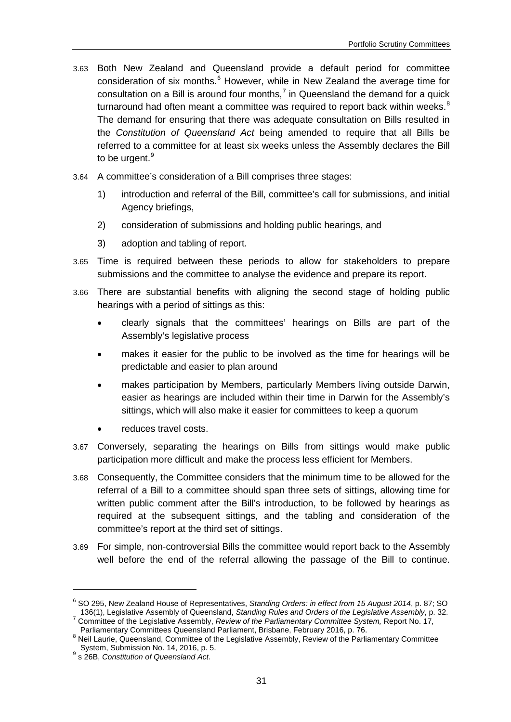- 3.63 Both New Zealand and Queensland provide a default period for committee consideration of six months. $6$  However, while in New Zealand the average time for consultation on a Bill is around four months.<sup>[7](#page-30-1)</sup> in Queensland the demand for a quick turnaround had often meant a committee was required to report back within weeks. $8$ The demand for ensuring that there was adequate consultation on Bills resulted in the *Constitution of Queensland Act* being amended to require that all Bills be referred to a committee for at least six weeks unless the Assembly declares the Bill to be urgent.<sup>[9](#page-30-3)</sup>
- 3.64 A committee's consideration of a Bill comprises three stages:
	- 1) introduction and referral of the Bill, committee's call for submissions, and initial Agency briefings,
	- 2) consideration of submissions and holding public hearings, and
	- 3) adoption and tabling of report.
- 3.65 Time is required between these periods to allow for stakeholders to prepare submissions and the committee to analyse the evidence and prepare its report.
- 3.66 There are substantial benefits with aligning the second stage of holding public hearings with a period of sittings as this:
	- clearly signals that the committees' hearings on Bills are part of the Assembly's legislative process
	- makes it easier for the public to be involved as the time for hearings will be predictable and easier to plan around
	- makes participation by Members, particularly Members living outside Darwin, easier as hearings are included within their time in Darwin for the Assembly's sittings, which will also make it easier for committees to keep a quorum
	- reduces travel costs.
- 3.67 Conversely, separating the hearings on Bills from sittings would make public participation more difficult and make the process less efficient for Members.
- 3.68 Consequently, the Committee considers that the minimum time to be allowed for the referral of a Bill to a committee should span three sets of sittings, allowing time for written public comment after the Bill's introduction, to be followed by hearings as required at the subsequent sittings, and the tabling and consideration of the committee's report at the third set of sittings.
- 3.69 For simple, non-controversial Bills the committee would report back to the Assembly well before the end of the referral allowing the passage of the Bill to continue.

<span id="page-30-0"></span><sup>&</sup>lt;sup>6</sup> SO 295, New Zealand House of Representatives, *Standing Orders: in effect from 15 August 2014*, p. 87; SO <br>136(1), Legislative Assembly of Queensland, *Standing Rules and Orders of the Legislative Assembly*, p. 32.

<span id="page-30-1"></span>Committee of the Legislative Assembly, Review of the Parliamentary Committee System, Report No. 17,<br>Parliamentary Committees Queensland Parliament, Brisbane, February 2016, p. 76.

<span id="page-30-2"></span>Parliamentary Committees Chronic Parliament of the Legislative Assembly, Review of the Parliamentary Committee<br>System, Submission No. 14, 2016, p. 5.

<span id="page-30-3"></span><sup>&</sup>lt;sup>9</sup> s 26B, Constitution of Queensland Act.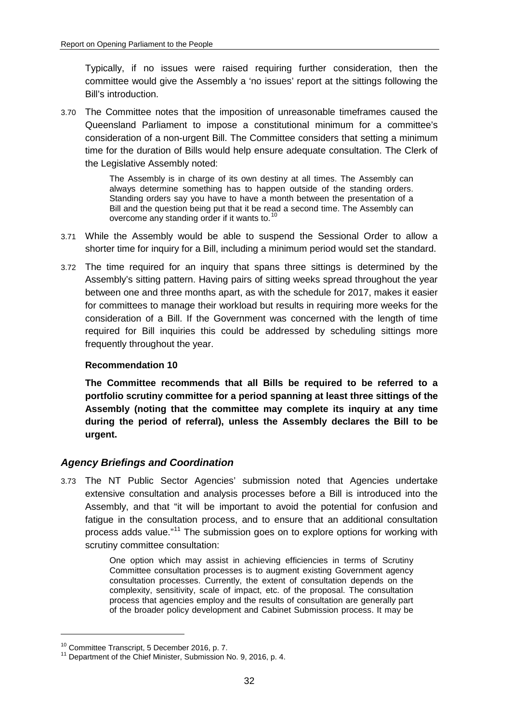Typically, if no issues were raised requiring further consideration, then the committee would give the Assembly a 'no issues' report at the sittings following the Bill's introduction.

3.70 The Committee notes that the imposition of unreasonable timeframes caused the Queensland Parliament to impose a constitutional minimum for a committee's consideration of a non-urgent Bill. The Committee considers that setting a minimum time for the duration of Bills would help ensure adequate consultation. The Clerk of the Legislative Assembly noted:

> The Assembly is in charge of its own destiny at all times. The Assembly can always determine something has to happen outside of the standing orders. Standing orders say you have to have a month between the presentation of a Bill and the question being put that it be read a second time. The Assembly can overcome any standing order if it wants to.<sup>[10](#page-31-3)</sup>

- 3.71 While the Assembly would be able to suspend the Sessional Order to allow a shorter time for inquiry for a Bill, including a minimum period would set the standard.
- 3.72 The time required for an inquiry that spans three sittings is determined by the Assembly's sitting pattern. Having pairs of sitting weeks spread throughout the year between one and three months apart, as with the schedule for 2017, makes it easier for committees to manage their workload but results in requiring more weeks for the consideration of a Bill. If the Government was concerned with the length of time required for Bill inquiries this could be addressed by scheduling sittings more frequently throughout the year.

## <span id="page-31-1"></span>**Recommendation 10**

<span id="page-31-2"></span>**The Committee recommends that all Bills be required to be referred to a portfolio scrutiny committee for a period spanning at least three sittings of the Assembly (noting that the committee may complete its inquiry at any time during the period of referral), unless the Assembly declares the Bill to be urgent.**

## <span id="page-31-0"></span>*Agency Briefings and Coordination*

3.73 The NT Public Sector Agencies' submission noted that Agencies undertake extensive consultation and analysis processes before a Bill is introduced into the Assembly, and that "it will be important to avoid the potential for confusion and fatigue in the consultation process, and to ensure that an additional consultation process adds value."[11](#page-31-4) The submission goes on to explore options for working with scrutiny committee consultation:

> One option which may assist in achieving efficiencies in terms of Scrutiny Committee consultation processes is to augment existing Government agency consultation processes. Currently, the extent of consultation depends on the complexity, sensitivity, scale of impact, etc. of the proposal. The consultation process that agencies employ and the results of consultation are generally part of the broader policy development and Cabinet Submission process. It may be

<span id="page-31-4"></span><span id="page-31-3"></span><sup>&</sup>lt;sup>10</sup> Committee Transcript, 5 December 2016, p. 7.<br><sup>11</sup> Department of the Chief Minister, Submission No. 9, 2016, p. 4.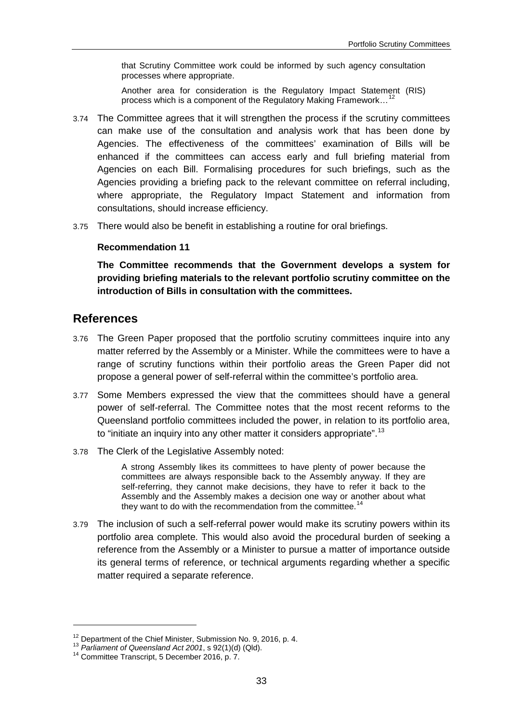that Scrutiny Committee work could be informed by such agency consultation processes where appropriate.

Another area for consideration is the Regulatory Impact Statement (RIS) process which is a component of the Regulatory Making Framework...

- 3.74 The Committee agrees that it will strengthen the process if the scrutiny committees can make use of the consultation and analysis work that has been done by Agencies. The effectiveness of the committees' examination of Bills will be enhanced if the committees can access early and full briefing material from Agencies on each Bill. Formalising procedures for such briefings, such as the Agencies providing a briefing pack to the relevant committee on referral including, where appropriate, the Regulatory Impact Statement and information from consultations, should increase efficiency.
- <span id="page-32-1"></span>3.75 There would also be benefit in establishing a routine for oral briefings.

#### **Recommendation 11**

<span id="page-32-2"></span>**The Committee recommends that the Government develops a system for providing briefing materials to the relevant portfolio scrutiny committee on the introduction of Bills in consultation with the committees.**

## <span id="page-32-0"></span>**References**

- 3.76 The Green Paper proposed that the portfolio scrutiny committees inquire into any matter referred by the Assembly or a Minister. While the committees were to have a range of scrutiny functions within their portfolio areas the Green Paper did not propose a general power of self-referral within the committee's portfolio area.
- 3.77 Some Members expressed the view that the committees should have a general power of self-referral. The Committee notes that the most recent reforms to the Queensland portfolio committees included the power, in relation to its portfolio area, to "initiate an inquiry into any other matter it considers appropriate".<sup>[13](#page-32-4)</sup>
- 3.78 The Clerk of the Legislative Assembly noted:

A strong Assembly likes its committees to have plenty of power because the committees are always responsible back to the Assembly anyway. If they are self-referring, they cannot make decisions, they have to refer it back to the Assembly and the Assembly makes a decision one way or another about what they want to do with the recommendation from the committee.<sup>1</sup>

3.79 The inclusion of such a self-referral power would make its scrutiny powers within its portfolio area complete. This would also avoid the procedural burden of seeking a reference from the Assembly or a Minister to pursue a matter of importance outside its general terms of reference, or technical arguments regarding whether a specific matter required a separate reference.

<u>.</u>

<span id="page-32-3"></span><sup>&</sup>lt;sup>12</sup> Department of the Chief Minister, Submission No. 9, 2016, p. 4.<br><sup>13</sup> *Parliament of Queensland Act 2001*, s 92(1)(d) (Qld).<br><sup>14</sup> Committee Transcript, 5 December 2016, p. 7.

<span id="page-32-4"></span>

<span id="page-32-5"></span>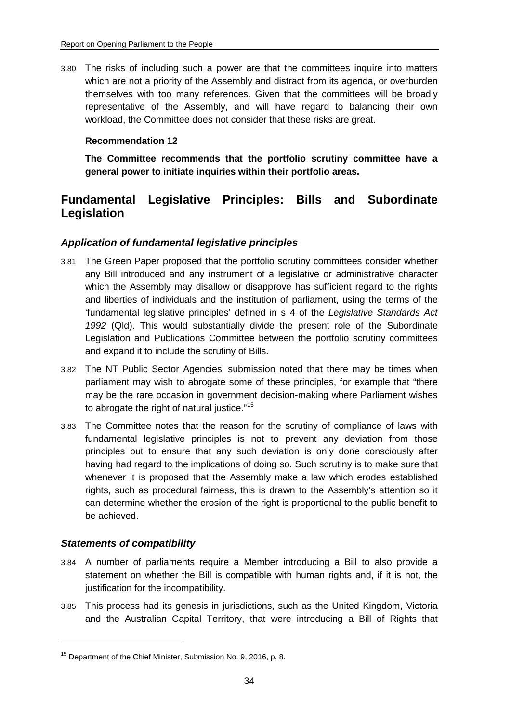3.80 The risks of including such a power are that the committees inquire into matters which are not a priority of the Assembly and distract from its agenda, or overburden themselves with too many references. Given that the committees will be broadly representative of the Assembly, and will have regard to balancing their own workload, the Committee does not consider that these risks are great.

## <span id="page-33-3"></span>**Recommendation 12**

<span id="page-33-4"></span>**The Committee recommends that the portfolio scrutiny committee have a general power to initiate inquiries within their portfolio areas.**

## <span id="page-33-0"></span>**Fundamental Legislative Principles: Bills and Subordinate Legislation**

## <span id="page-33-1"></span>*Application of fundamental legislative principles*

- 3.81 The Green Paper proposed that the portfolio scrutiny committees consider whether any Bill introduced and any instrument of a legislative or administrative character which the Assembly may disallow or disapprove has sufficient regard to the rights and liberties of individuals and the institution of parliament, using the terms of the 'fundamental legislative principles' defined in s 4 of the *Legislative Standards Act 1992* (Qld). This would substantially divide the present role of the Subordinate Legislation and Publications Committee between the portfolio scrutiny committees and expand it to include the scrutiny of Bills.
- 3.82 The NT Public Sector Agencies' submission noted that there may be times when parliament may wish to abrogate some of these principles, for example that "there may be the rare occasion in government decision-making where Parliament wishes to abrogate the right of natural justice."<sup>[15](#page-33-5)</sup>
- 3.83 The Committee notes that the reason for the scrutiny of compliance of laws with fundamental legislative principles is not to prevent any deviation from those principles but to ensure that any such deviation is only done consciously after having had regard to the implications of doing so. Such scrutiny is to make sure that whenever it is proposed that the Assembly make a law which erodes established rights, such as procedural fairness, this is drawn to the Assembly's attention so it can determine whether the erosion of the right is proportional to the public benefit to be achieved.

## <span id="page-33-2"></span>*Statements of compatibility*

- 3.84 A number of parliaments require a Member introducing a Bill to also provide a statement on whether the Bill is compatible with human rights and, if it is not, the justification for the incompatibility.
- 3.85 This process had its genesis in jurisdictions, such as the United Kingdom, Victoria and the Australian Capital Territory, that were introducing a Bill of Rights that

<span id="page-33-5"></span><sup>15</sup> Department of the Chief Minister, Submission No. 9, 2016, p. 8.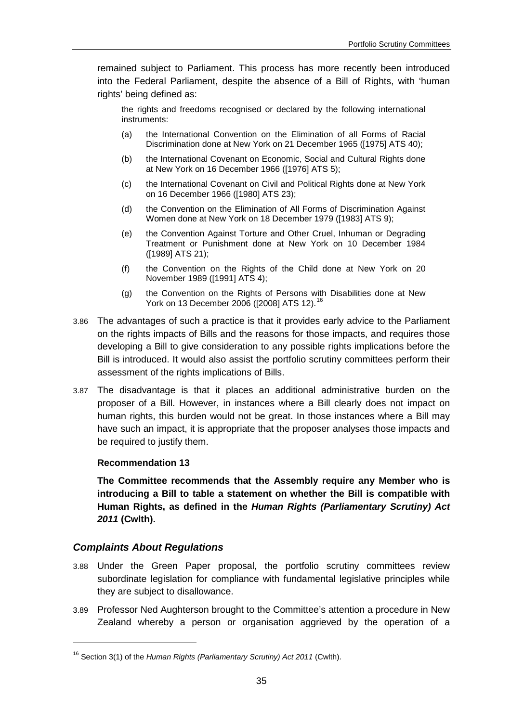remained subject to Parliament. This process has more recently been introduced into the Federal Parliament, despite the absence of a Bill of Rights, with 'human rights' being defined as:

the rights and freedoms recognised or declared by the following international instruments:

- (a) the International Convention on the Elimination of all Forms of Racial Discrimination done at New York on 21 December 1965 ([1975] ATS 40);
- (b) the International Covenant on Economic, Social and Cultural Rights done at New York on 16 December 1966 ([1976] ATS 5);
- (c) the International Covenant on Civil and Political Rights done at New York on 16 December 1966 ([1980] ATS 23);
- (d) the Convention on the Elimination of All Forms of Discrimination Against Women done at New York on 18 December 1979 ([1983] ATS 9);
- (e) the Convention Against Torture and Other Cruel, Inhuman or Degrading Treatment or Punishment done at New York on 10 December 1984 ([1989] ATS 21);
- (f) the Convention on the Rights of the Child done at New York on 20 November 1989 ([1991] ATS 4);
- (g) the Convention on the Rights of Persons with Disabilities done at New York on 13 December 2006 ([2008] ATS 12).<sup>[16](#page-34-3)</sup>
- 3.86 The advantages of such a practice is that it provides early advice to the Parliament on the rights impacts of Bills and the reasons for those impacts, and requires those developing a Bill to give consideration to any possible rights implications before the Bill is introduced. It would also assist the portfolio scrutiny committees perform their assessment of the rights implications of Bills.
- 3.87 The disadvantage is that it places an additional administrative burden on the proposer of a Bill. However, in instances where a Bill clearly does not impact on human rights, this burden would not be great. In those instances where a Bill may have such an impact, it is appropriate that the proposer analyses those impacts and be required to justify them.

## <span id="page-34-1"></span>**Recommendation 13**

<span id="page-34-2"></span>**The Committee recommends that the Assembly require any Member who is introducing a Bill to table a statement on whether the Bill is compatible with Human Rights, as defined in the** *Human Rights (Parliamentary Scrutiny) Act 2011* **(Cwlth).**

## <span id="page-34-0"></span>*Complaints About Regulations*

- 3.88 Under the Green Paper proposal, the portfolio scrutiny committees review subordinate legislation for compliance with fundamental legislative principles while they are subject to disallowance.
- 3.89 Professor Ned Aughterson brought to the Committee's attention a procedure in New Zealand whereby a person or organisation aggrieved by the operation of a

<span id="page-34-3"></span><sup>16</sup> Section 3(1) of the *Human Rights (Parliamentary Scrutiny) Act 2011* (Cwlth).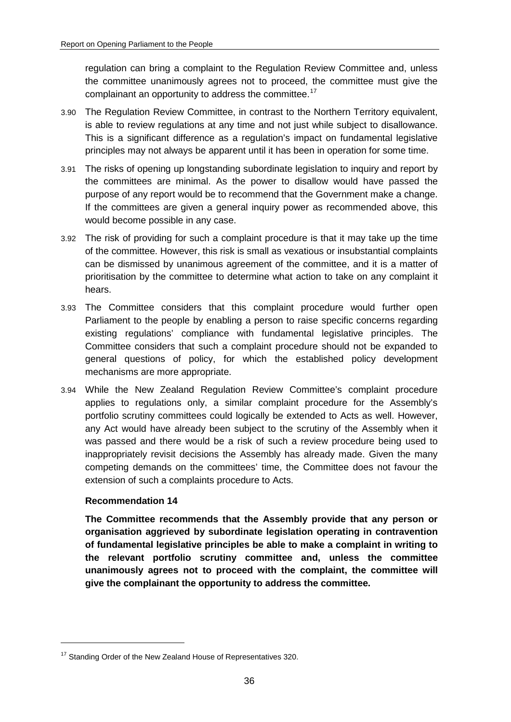regulation can bring a complaint to the Regulation Review Committee and, unless the committee unanimously agrees not to proceed, the committee must give the complainant an opportunity to address the committee.<sup>[17](#page-35-2)</sup>

- 3.90 The Regulation Review Committee, in contrast to the Northern Territory equivalent, is able to review regulations at any time and not just while subject to disallowance. This is a significant difference as a regulation's impact on fundamental legislative principles may not always be apparent until it has been in operation for some time.
- 3.91 The risks of opening up longstanding subordinate legislation to inquiry and report by the committees are minimal. As the power to disallow would have passed the purpose of any report would be to recommend that the Government make a change. If the committees are given a general inquiry power as recommended above, this would become possible in any case.
- 3.92 The risk of providing for such a complaint procedure is that it may take up the time of the committee. However, this risk is small as vexatious or insubstantial complaints can be dismissed by unanimous agreement of the committee, and it is a matter of prioritisation by the committee to determine what action to take on any complaint it hears.
- 3.93 The Committee considers that this complaint procedure would further open Parliament to the people by enabling a person to raise specific concerns regarding existing regulations' compliance with fundamental legislative principles. The Committee considers that such a complaint procedure should not be expanded to general questions of policy, for which the established policy development mechanisms are more appropriate.
- 3.94 While the New Zealand Regulation Review Committee's complaint procedure applies to regulations only, a similar complaint procedure for the Assembly's portfolio scrutiny committees could logically be extended to Acts as well. However, any Act would have already been subject to the scrutiny of the Assembly when it was passed and there would be a risk of such a review procedure being used to inappropriately revisit decisions the Assembly has already made. Given the many competing demands on the committees' time, the Committee does not favour the extension of such a complaints procedure to Acts.

## <span id="page-35-0"></span>**Recommendation 14**

-

<span id="page-35-1"></span>**The Committee recommends that the Assembly provide that any person or organisation aggrieved by subordinate legislation operating in contravention of fundamental legislative principles be able to make a complaint in writing to the relevant portfolio scrutiny committee and, unless the committee unanimously agrees not to proceed with the complaint, the committee will give the complainant the opportunity to address the committee.**

<span id="page-35-2"></span><sup>&</sup>lt;sup>17</sup> Standing Order of the New Zealand House of Representatives 320.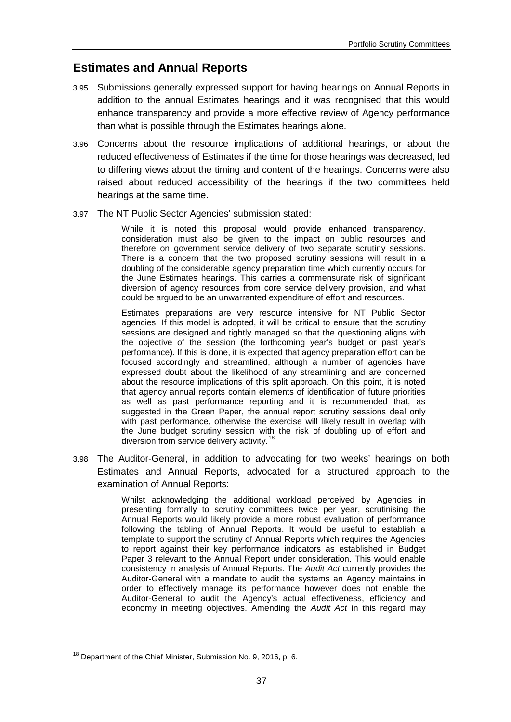# **Estimates and Annual Reports**

- 3.95 Submissions generally expressed support for having hearings on Annual Reports in addition to the annual Estimates hearings and it was recognised that this would enhance transparency and provide a more effective review of Agency performance than what is possible through the Estimates hearings alone.
- 3.96 Concerns about the resource implications of additional hearings, or about the reduced effectiveness of Estimates if the time for those hearings was decreased, led to differing views about the timing and content of the hearings. Concerns were also raised about reduced accessibility of the hearings if the two committees held hearings at the same time.
- 3.97 The NT Public Sector Agencies' submission stated:

While it is noted this proposal would provide enhanced transparency, consideration must also be given to the impact on public resources and therefore on government service delivery of two separate scrutiny sessions. There is a concern that the two proposed scrutiny sessions will result in a doubling of the considerable agency preparation time which currently occurs for the June Estimates hearings. This carries a commensurate risk of significant diversion of agency resources from core service delivery provision, and what could be argued to be an unwarranted expenditure of effort and resources.

Estimates preparations are very resource intensive for NT Public Sector agencies. If this model is adopted, it will be critical to ensure that the scrutiny sessions are designed and tightly managed so that the questioning aligns with the objective of the session (the forthcoming year's budget or past year's performance). If this is done, it is expected that agency preparation effort can be focused accordingly and streamlined, although a number of agencies have expressed doubt about the likelihood of any streamlining and are concerned about the resource implications of this split approach. On this point, it is noted that agency annual reports contain elements of identification of future priorities as well as past performance reporting and it is recommended that, as suggested in the Green Paper, the annual report scrutiny sessions deal only with past performance, otherwise the exercise will likely result in overlap with the June budget scrutiny session with the risk of doubling up of effort and diversion from service delivery activity.<sup>[18](#page-36-0)</sup>

3.98 The Auditor-General, in addition to advocating for two weeks' hearings on both Estimates and Annual Reports, advocated for a structured approach to the examination of Annual Reports:

> Whilst acknowledging the additional workload perceived by Agencies in presenting formally to scrutiny committees twice per year, scrutinising the Annual Reports would likely provide a more robust evaluation of performance following the tabling of Annual Reports. It would be useful to establish a template to support the scrutiny of Annual Reports which requires the Agencies to report against their key performance indicators as established in Budget Paper 3 relevant to the Annual Report under consideration. This would enable consistency in analysis of Annual Reports. The *Audit Act* currently provides the Auditor-General with a mandate to audit the systems an Agency maintains in order to effectively manage its performance however does not enable the Auditor-General to audit the Agency's actual effectiveness, efficiency and economy in meeting objectives. Amending the *Audit Act* in this regard may

<span id="page-36-0"></span><sup>&</sup>lt;sup>18</sup> Department of the Chief Minister, Submission No. 9, 2016, p. 6.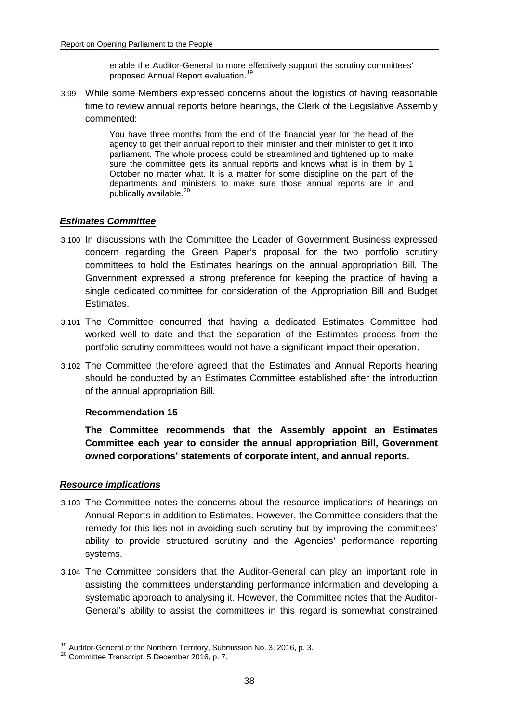enable the Auditor-General to more effectively support the scrutiny committees' proposed Annual Report evaluation.[19](#page-37-0)

3.99 While some Members expressed concerns about the logistics of having reasonable time to review annual reports before hearings, the Clerk of the Legislative Assembly commented:

> You have three months from the end of the financial year for the head of the agency to get their annual report to their minister and their minister to get it into parliament. The whole process could be streamlined and tightened up to make sure the committee gets its annual reports and knows what is in them by 1 October no matter what. It is a matter for some discipline on the part of the departments and ministers to make sure those annual reports are in and publically available.<sup>[20](#page-37-1)</sup>

### *Estimates Committee*

- 3.100 In discussions with the Committee the Leader of Government Business expressed concern regarding the Green Paper's proposal for the two portfolio scrutiny committees to hold the Estimates hearings on the annual appropriation Bill. The Government expressed a strong preference for keeping the practice of having a single dedicated committee for consideration of the Appropriation Bill and Budget Estimates.
- 3.101 The Committee concurred that having a dedicated Estimates Committee had worked well to date and that the separation of the Estimates process from the portfolio scrutiny committees would not have a significant impact their operation.
- 3.102 The Committee therefore agreed that the Estimates and Annual Reports hearing should be conducted by an Estimates Committee established after the introduction of the annual appropriation Bill.

#### **Recommendation 15**

**The Committee recommends that the Assembly appoint an Estimates Committee each year to consider the annual appropriation Bill, Government owned corporations' statements of corporate intent, and annual reports.**

#### *Resource implications*

- 3.103 The Committee notes the concerns about the resource implications of hearings on Annual Reports in addition to Estimates. However, the Committee considers that the remedy for this lies not in avoiding such scrutiny but by improving the committees' ability to provide structured scrutiny and the Agencies' performance reporting systems.
- 3.104 The Committee considers that the Auditor-General can play an important role in assisting the committees understanding performance information and developing a systematic approach to analysing it. However, the Committee notes that the Auditor-General's ability to assist the committees in this regard is somewhat constrained

<span id="page-37-0"></span><sup>&</sup>lt;sup>19</sup> Auditor-General of the Northern Territory, Submission No. 3, 2016, p. 3.  $^{20}$  Committee Transcript, 5 December 2016, p. 7.

<span id="page-37-1"></span>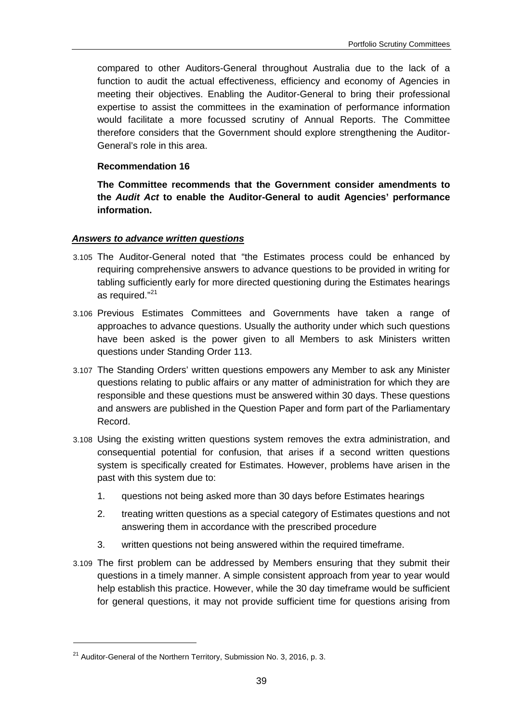compared to other Auditors-General throughout Australia due to the lack of a function to audit the actual effectiveness, efficiency and economy of Agencies in meeting their objectives. Enabling the Auditor-General to bring their professional expertise to assist the committees in the examination of performance information would facilitate a more focussed scrutiny of Annual Reports. The Committee therefore considers that the Government should explore strengthening the Auditor-General's role in this area.

#### **Recommendation 16**

**The Committee recommends that the Government consider amendments to the** *Audit Act* **to enable the Auditor-General to audit Agencies' performance information.**

### *Answers to advance written questions*

- 3.105 The Auditor-General noted that "the Estimates process could be enhanced by requiring comprehensive answers to advance questions to be provided in writing for tabling sufficiently early for more directed questioning during the Estimates hearings as required."<sup>[21](#page-38-0)</sup>
- 3.106 Previous Estimates Committees and Governments have taken a range of approaches to advance questions. Usually the authority under which such questions have been asked is the power given to all Members to ask Ministers written questions under Standing Order 113.
- 3.107 The Standing Orders' written questions empowers any Member to ask any Minister questions relating to public affairs or any matter of administration for which they are responsible and these questions must be answered within 30 days. These questions and answers are published in the Question Paper and form part of the Parliamentary Record.
- 3.108 Using the existing written questions system removes the extra administration, and consequential potential for confusion, that arises if a second written questions system is specifically created for Estimates. However, problems have arisen in the past with this system due to:
	- 1. questions not being asked more than 30 days before Estimates hearings
	- 2. treating written questions as a special category of Estimates questions and not answering them in accordance with the prescribed procedure
	- 3. written questions not being answered within the required timeframe.
- 3.109 The first problem can be addressed by Members ensuring that they submit their questions in a timely manner. A simple consistent approach from year to year would help establish this practice. However, while the 30 day timeframe would be sufficient for general questions, it may not provide sufficient time for questions arising from

<span id="page-38-0"></span><sup>&</sup>lt;sup>21</sup> Auditor-General of the Northern Territory, Submission No. 3, 2016, p. 3.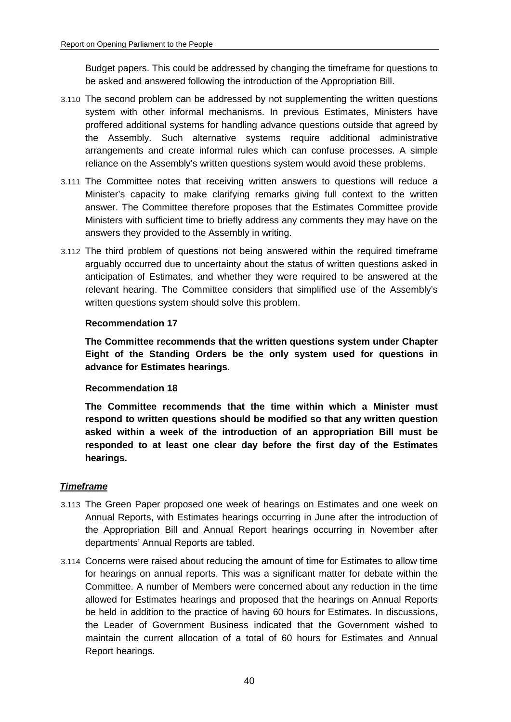Budget papers. This could be addressed by changing the timeframe for questions to be asked and answered following the introduction of the Appropriation Bill.

- 3.110 The second problem can be addressed by not supplementing the written questions system with other informal mechanisms. In previous Estimates, Ministers have proffered additional systems for handling advance questions outside that agreed by the Assembly. Such alternative systems require additional administrative arrangements and create informal rules which can confuse processes. A simple reliance on the Assembly's written questions system would avoid these problems.
- 3.111 The Committee notes that receiving written answers to questions will reduce a Minister's capacity to make clarifying remarks giving full context to the written answer. The Committee therefore proposes that the Estimates Committee provide Ministers with sufficient time to briefly address any comments they may have on the answers they provided to the Assembly in writing.
- 3.112 The third problem of questions not being answered within the required timeframe arguably occurred due to uncertainty about the status of written questions asked in anticipation of Estimates, and whether they were required to be answered at the relevant hearing. The Committee considers that simplified use of the Assembly's written questions system should solve this problem.

#### **Recommendation 17**

**The Committee recommends that the written questions system under Chapter Eight of the Standing Orders be the only system used for questions in advance for Estimates hearings.**

#### **Recommendation 18**

**The Committee recommends that the time within which a Minister must respond to written questions should be modified so that any written question asked within a week of the introduction of an appropriation Bill must be responded to at least one clear day before the first day of the Estimates hearings.**

#### *Timeframe*

- 3.113 The Green Paper proposed one week of hearings on Estimates and one week on Annual Reports, with Estimates hearings occurring in June after the introduction of the Appropriation Bill and Annual Report hearings occurring in November after departments' Annual Reports are tabled.
- 3.114 Concerns were raised about reducing the amount of time for Estimates to allow time for hearings on annual reports. This was a significant matter for debate within the Committee. A number of Members were concerned about any reduction in the time allowed for Estimates hearings and proposed that the hearings on Annual Reports be held in addition to the practice of having 60 hours for Estimates. In discussions, the Leader of Government Business indicated that the Government wished to maintain the current allocation of a total of 60 hours for Estimates and Annual Report hearings.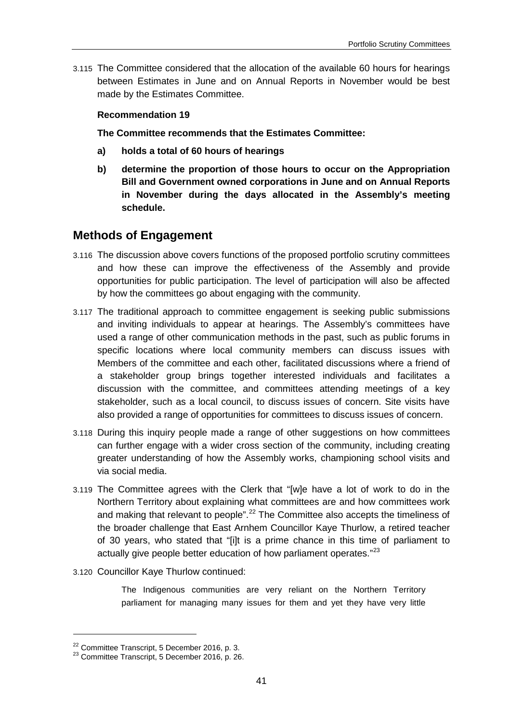3.115 The Committee considered that the allocation of the available 60 hours for hearings between Estimates in June and on Annual Reports in November would be best made by the Estimates Committee.

#### **Recommendation 19**

**The Committee recommends that the Estimates Committee:**

- **a) holds a total of 60 hours of hearings**
- **b) determine the proportion of those hours to occur on the Appropriation Bill and Government owned corporations in June and on Annual Reports in November during the days allocated in the Assembly's meeting schedule.**

### **Methods of Engagement**

- 3.116 The discussion above covers functions of the proposed portfolio scrutiny committees and how these can improve the effectiveness of the Assembly and provide opportunities for public participation. The level of participation will also be affected by how the committees go about engaging with the community.
- 3.117 The traditional approach to committee engagement is seeking public submissions and inviting individuals to appear at hearings. The Assembly's committees have used a range of other communication methods in the past, such as public forums in specific locations where local community members can discuss issues with Members of the committee and each other, facilitated discussions where a friend of a stakeholder group brings together interested individuals and facilitates a discussion with the committee, and committees attending meetings of a key stakeholder, such as a local council, to discuss issues of concern. Site visits have also provided a range of opportunities for committees to discuss issues of concern.
- 3.118 During this inquiry people made a range of other suggestions on how committees can further engage with a wider cross section of the community, including creating greater understanding of how the Assembly works, championing school visits and via social media.
- 3.119 The Committee agrees with the Clerk that "[w]e have a lot of work to do in the Northern Territory about explaining what committees are and how committees work and making that relevant to people".<sup>[22](#page-40-0)</sup> The Committee also accepts the timeliness of the broader challenge that East Arnhem Councillor Kaye Thurlow, a retired teacher of 30 years, who stated that "[i]t is a prime chance in this time of parliament to actually give people better education of how parliament operates."<sup>[23](#page-40-1)</sup>
- 3.120 Councillor Kaye Thurlow continued:

The Indigenous communities are very reliant on the Northern Territory parliament for managing many issues for them and yet they have very little

<span id="page-40-0"></span> $22$  Committee Transcript, 5 December 2016, p. 3.<br> $23$  Committee Transcript, 5 December 2016, p. 26.

<span id="page-40-1"></span>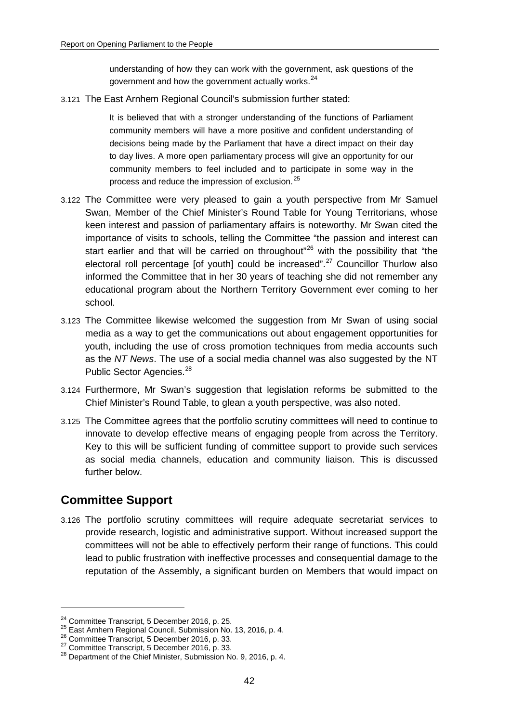understanding of how they can work with the government, ask questions of the government and how the government actually works.<sup>[24](#page-41-0)</sup>

3.121 The East Arnhem Regional Council's submission further stated:

It is believed that with a stronger understanding of the functions of Parliament community members will have a more positive and confident understanding of decisions being made by the Parliament that have a direct impact on their day to day lives. A more open parliamentary process will give an opportunity for our community members to feel included and to participate in some way in the process and reduce the impression of exclusion.[25](#page-41-1)

- 3.122 The Committee were very pleased to gain a youth perspective from Mr Samuel Swan, Member of the Chief Minister's Round Table for Young Territorians, whose keen interest and passion of parliamentary affairs is noteworthy. Mr Swan cited the importance of visits to schools, telling the Committee "the passion and interest can start earlier and that will be carried on throughout"<sup>[26](#page-41-2)</sup> with the possibility that "the electoral roll percentage [of youth] could be increased".<sup>[27](#page-41-3)</sup> Councillor Thurlow also informed the Committee that in her 30 years of teaching she did not remember any educational program about the Northern Territory Government ever coming to her school.
- 3.123 The Committee likewise welcomed the suggestion from Mr Swan of using social media as a way to get the communications out about engagement opportunities for youth, including the use of cross promotion techniques from media accounts such as the *NT News*. The use of a social media channel was also suggested by the NT Public Sector Agencies.<sup>[28](#page-41-4)</sup>
- 3.124 Furthermore, Mr Swan's suggestion that legislation reforms be submitted to the Chief Minister's Round Table, to glean a youth perspective, was also noted.
- 3.125 The Committee agrees that the portfolio scrutiny committees will need to continue to innovate to develop effective means of engaging people from across the Territory. Key to this will be sufficient funding of committee support to provide such services as social media channels, education and community liaison. This is discussed further below.

# **Committee Support**

-

3.126 The portfolio scrutiny committees will require adequate secretariat services to provide research, logistic and administrative support. Without increased support the committees will not be able to effectively perform their range of functions. This could lead to public frustration with ineffective processes and consequential damage to the reputation of the Assembly, a significant burden on Members that would impact on

<span id="page-41-2"></span>

<span id="page-41-4"></span><span id="page-41-3"></span>

<span id="page-41-1"></span><span id="page-41-0"></span><sup>&</sup>lt;sup>24</sup> Committee Transcript, 5 December 2016, p. 25.<br>
<sup>25</sup> East Arnhem Regional Council, Submission No. 13, 2016, p. 4.<br>
<sup>26</sup> Committee Transcript, 5 December 2016, p. 33.<br>
<sup>27</sup> Committee Transcript, 5 December 2016, p. 33.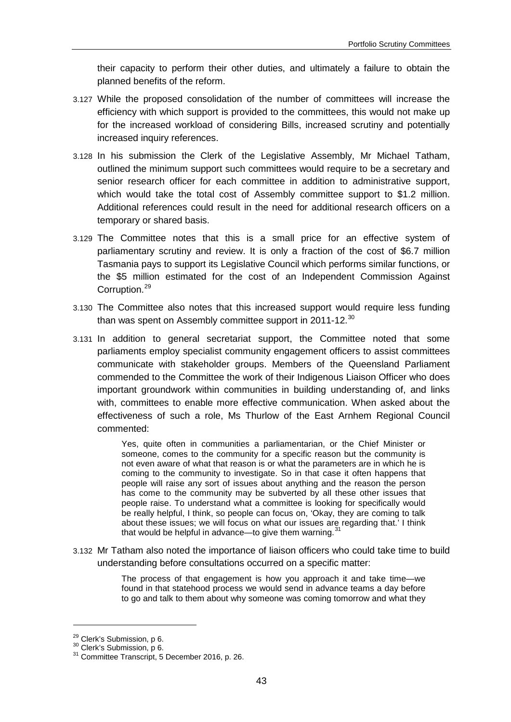their capacity to perform their other duties, and ultimately a failure to obtain the planned benefits of the reform.

- 3.127 While the proposed consolidation of the number of committees will increase the efficiency with which support is provided to the committees, this would not make up for the increased workload of considering Bills, increased scrutiny and potentially increased inquiry references.
- 3.128 In his submission the Clerk of the Legislative Assembly, Mr Michael Tatham, outlined the minimum support such committees would require to be a secretary and senior research officer for each committee in addition to administrative support, which would take the total cost of Assembly committee support to \$1.2 million. Additional references could result in the need for additional research officers on a temporary or shared basis.
- 3.129 The Committee notes that this is a small price for an effective system of parliamentary scrutiny and review. It is only a fraction of the cost of \$6.7 million Tasmania pays to support its Legislative Council which performs similar functions, or the \$5 million estimated for the cost of an Independent Commission Against Corruption.<sup>[29](#page-42-0)</sup>
- 3.130 The Committee also notes that this increased support would require less funding than was spent on Assembly committee support in 2011-12.<sup>[30](#page-42-1)</sup>
- 3.131 In addition to general secretariat support, the Committee noted that some parliaments employ specialist community engagement officers to assist committees communicate with stakeholder groups. Members of the Queensland Parliament commended to the Committee the work of their Indigenous Liaison Officer who does important groundwork within communities in building understanding of, and links with, committees to enable more effective communication. When asked about the effectiveness of such a role, Ms Thurlow of the East Arnhem Regional Council commented:

Yes, quite often in communities a parliamentarian, or the Chief Minister or someone, comes to the community for a specific reason but the community is not even aware of what that reason is or what the parameters are in which he is coming to the community to investigate. So in that case it often happens that people will raise any sort of issues about anything and the reason the person has come to the community may be subverted by all these other issues that people raise. To understand what a committee is looking for specifically would be really helpful, I think, so people can focus on, 'Okay, they are coming to talk about these issues; we will focus on what our issues are regarding that.' I think that would be helpful in advance—to give them warning. $31$ 

3.132 Mr Tatham also noted the importance of liaison officers who could take time to build understanding before consultations occurred on a specific matter:

> The process of that engagement is how you approach it and take time—we found in that statehood process we would send in advance teams a day before to go and talk to them about why someone was coming tomorrow and what they

<u>.</u>

<span id="page-42-2"></span>

<span id="page-42-1"></span><span id="page-42-0"></span><sup>&</sup>lt;sup>29</sup> Clerk's Submission, p 6.<br> $30$  Clerk's Submission, p 6.<br> $31$  Committee Transcript, 5 December 2016, p. 26.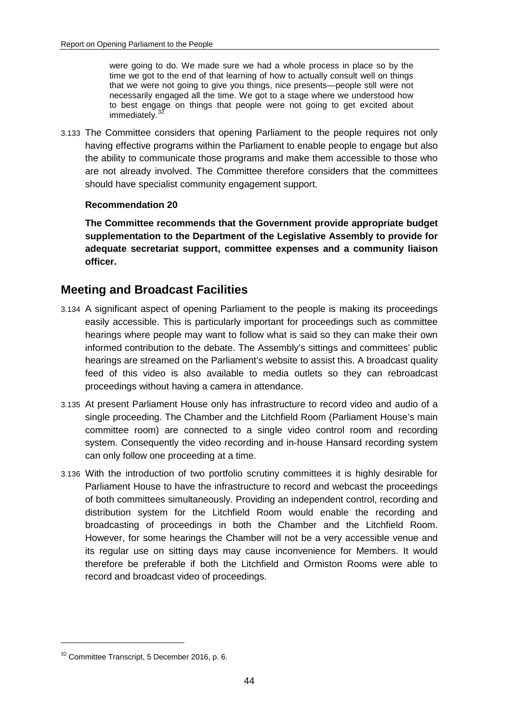were going to do. We made sure we had a whole process in place so by the time we got to the end of that learning of how to actually consult well on things that we were not going to give you things, nice presents—people still were not necessarily engaged all the time. We got to a stage where we understood how to best engage on things that people were not going to get excited about immediately.

3.133 The Committee considers that opening Parliament to the people requires not only having effective programs within the Parliament to enable people to engage but also the ability to communicate those programs and make them accessible to those who are not already involved. The Committee therefore considers that the committees should have specialist community engagement support.

### **Recommendation 20**

**The Committee recommends that the Government provide appropriate budget supplementation to the Department of the Legislative Assembly to provide for adequate secretariat support, committee expenses and a community liaison officer.**

# **Meeting and Broadcast Facilities**

- 3.134 A significant aspect of opening Parliament to the people is making its proceedings easily accessible. This is particularly important for proceedings such as committee hearings where people may want to follow what is said so they can make their own informed contribution to the debate. The Assembly's sittings and committees' public hearings are streamed on the Parliament's website to assist this. A broadcast quality feed of this video is also available to media outlets so they can rebroadcast proceedings without having a camera in attendance.
- 3.135 At present Parliament House only has infrastructure to record video and audio of a single proceeding. The Chamber and the Litchfield Room (Parliament House's main committee room) are connected to a single video control room and recording system. Consequently the video recording and in-house Hansard recording system can only follow one proceeding at a time.
- 3.136 With the introduction of two portfolio scrutiny committees it is highly desirable for Parliament House to have the infrastructure to record and webcast the proceedings of both committees simultaneously. Providing an independent control, recording and distribution system for the Litchfield Room would enable the recording and broadcasting of proceedings in both the Chamber and the Litchfield Room. However, for some hearings the Chamber will not be a very accessible venue and its regular use on sitting days may cause inconvenience for Members. It would therefore be preferable if both the Litchfield and Ormiston Rooms were able to record and broadcast video of proceedings.

<span id="page-43-0"></span><sup>32</sup> Committee Transcript, 5 December 2016, p. 6.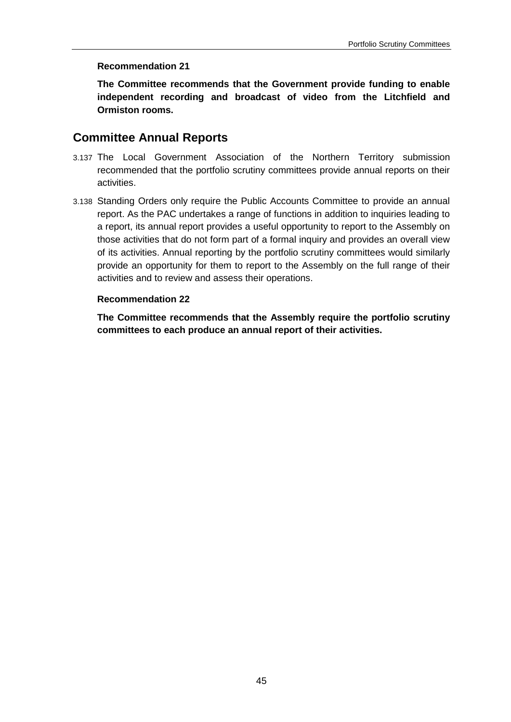#### **Recommendation 21**

**The Committee recommends that the Government provide funding to enable independent recording and broadcast of video from the Litchfield and Ormiston rooms.**

## **Committee Annual Reports**

- 3.137 The Local Government Association of the Northern Territory submission recommended that the portfolio scrutiny committees provide annual reports on their activities.
- 3.138 Standing Orders only require the Public Accounts Committee to provide an annual report. As the PAC undertakes a range of functions in addition to inquiries leading to a report, its annual report provides a useful opportunity to report to the Assembly on those activities that do not form part of a formal inquiry and provides an overall view of its activities. Annual reporting by the portfolio scrutiny committees would similarly provide an opportunity for them to report to the Assembly on the full range of their activities and to review and assess their operations.

### **Recommendation 22**

**The Committee recommends that the Assembly require the portfolio scrutiny committees to each produce an annual report of their activities.**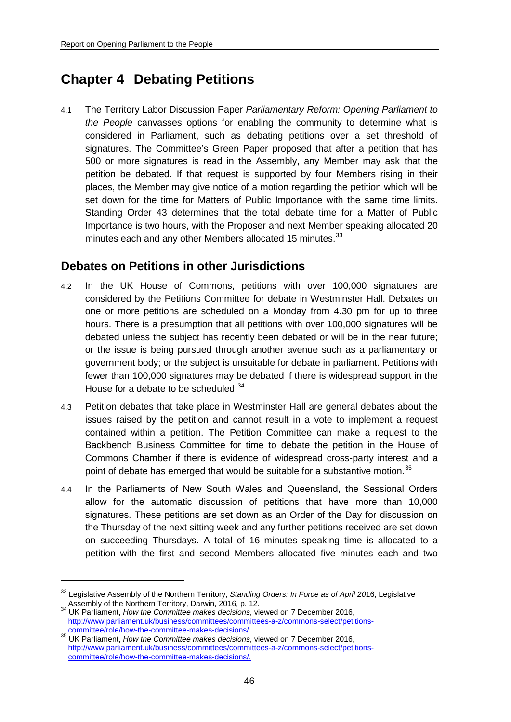# **Chapter 4 Debating Petitions**

4.1 The Territory Labor Discussion Paper *Parliamentary Reform: Opening Parliament to the People* canvasses options for enabling the community to determine what is considered in Parliament, such as debating petitions over a set threshold of signatures. The Committee's Green Paper proposed that after a petition that has 500 or more signatures is read in the Assembly, any Member may ask that the petition be debated. If that request is supported by four Members rising in their places, the Member may give notice of a motion regarding the petition which will be set down for the time for Matters of Public Importance with the same time limits. Standing Order 43 determines that the total debate time for a Matter of Public Importance is two hours, with the Proposer and next Member speaking allocated 20 minutes each and any other Members allocated 15 minutes.<sup>[33](#page-45-0)</sup>

# **Debates on Petitions in other Jurisdictions**

- 4.2 In the UK House of Commons, petitions with over 100,000 signatures are considered by the Petitions Committee for debate in Westminster Hall. Debates on one or more petitions are scheduled on a Monday from 4.30 pm for up to three hours. There is a presumption that all petitions with over 100,000 signatures will be debated unless the subject has recently been debated or will be in the near future; or the issue is being pursued through another avenue such as a parliamentary or government body; or the subject is unsuitable for debate in parliament. Petitions with fewer than 100,000 signatures may be debated if there is widespread support in the House for a debate to be scheduled.<sup>[34](#page-45-1)</sup>
- 4.3 Petition debates that take place in Westminster Hall are general debates about the issues raised by the petition and cannot result in a vote to implement a request contained within a petition. The Petition Committee can make a request to the Backbench Business Committee for time to debate the petition in the House of Commons Chamber if there is evidence of widespread cross-party interest and a point of debate has emerged that would be suitable for a substantive motion.<sup>[35](#page-45-2)</sup>
- 4.4 In the Parliaments of New South Wales and Queensland, the Sessional Orders allow for the automatic discussion of petitions that have more than 10,000 signatures. These petitions are set down as an Order of the Day for discussion on the Thursday of the next sitting week and any further petitions received are set down on succeeding Thursdays. A total of 16 minutes speaking time is allocated to a petition with the first and second Members allocated five minutes each and two

<span id="page-45-0"></span><sup>33</sup> Legislative Assembly of the Northern Territory, *Standing Orders: In Force as of April 20*16, Legislative

<span id="page-45-1"></span>Assembly of the Northern Territory, Darwin, 2016, p. 12. <sup>34</sup> UK Parliament, *How the Committee makes decisions*, viewed on 7 December 2016, [http://www.parliament.uk/business/committees/committees-a-z/commons-select/petitions-](http://www.parliament.uk/business/committees/committees-a-z/commons-select/petitions-committee/role/how-the-committee-makes-decisions/)

<span id="page-45-2"></span>[committee/role/how-the-committee-makes-decisions/.](http://www.parliament.uk/business/committees/committees-a-z/commons-select/petitions-committee/role/how-the-committee-makes-decisions/) <sup>35</sup> UK Parliament, *How the Committee makes decisions*, viewed on 7 December 2016, [http://www.parliament.uk/business/committees/committees-a-z/commons-select/petitions](http://www.parliament.uk/business/committees/committees-a-z/commons-select/petitions-committee/role/how-the-committee-makes-decisions/)[committee/role/how-the-committee-makes-decisions/.](http://www.parliament.uk/business/committees/committees-a-z/commons-select/petitions-committee/role/how-the-committee-makes-decisions/)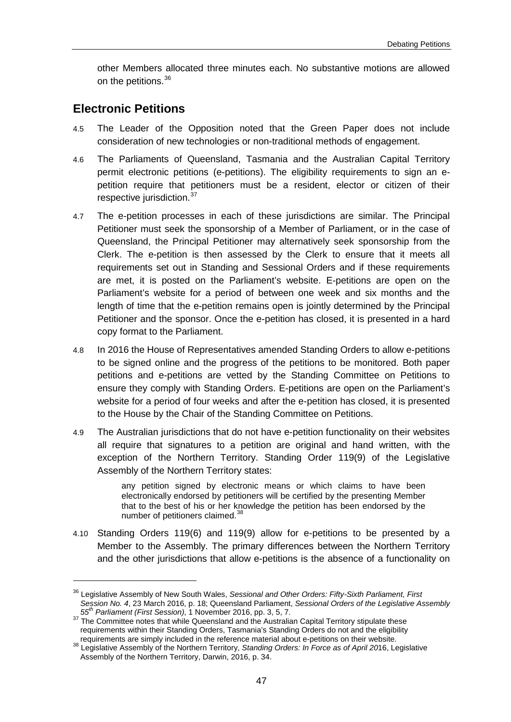other Members allocated three minutes each. No substantive motions are allowed on the petitions.<sup>[36](#page-46-0)</sup>

## **Electronic Petitions**

<u>.</u>

- 4.5 The Leader of the Opposition noted that the Green Paper does not include consideration of new technologies or non-traditional methods of engagement.
- 4.6 The Parliaments of Queensland, Tasmania and the Australian Capital Territory permit electronic petitions (e-petitions). The eligibility requirements to sign an epetition require that petitioners must be a resident, elector or citizen of their respective jurisdiction.<sup>[37](#page-46-1)</sup>
- 4.7 The e-petition processes in each of these jurisdictions are similar. The Principal Petitioner must seek the sponsorship of a Member of Parliament, or in the case of Queensland, the Principal Petitioner may alternatively seek sponsorship from the Clerk. The e-petition is then assessed by the Clerk to ensure that it meets all requirements set out in Standing and Sessional Orders and if these requirements are met, it is posted on the Parliament's website. E-petitions are open on the Parliament's website for a period of between one week and six months and the length of time that the e-petition remains open is jointly determined by the Principal Petitioner and the sponsor. Once the e-petition has closed, it is presented in a hard copy format to the Parliament.
- 4.8 In 2016 the House of Representatives amended Standing Orders to allow e-petitions to be signed online and the progress of the petitions to be monitored. Both paper petitions and e-petitions are vetted by the Standing Committee on Petitions to ensure they comply with Standing Orders. E-petitions are open on the Parliament's website for a period of four weeks and after the e-petition has closed, it is presented to the House by the Chair of the Standing Committee on Petitions.
- 4.9 The Australian jurisdictions that do not have e-petition functionality on their websites all require that signatures to a petition are original and hand written, with the exception of the Northern Territory. Standing Order 119(9) of the Legislative Assembly of the Northern Territory states:

any petition signed by electronic means or which claims to have been electronically endorsed by petitioners will be certified by the presenting Member that to the best of his or her knowledge the petition has been endorsed by the number of petitioners claimed.<sup>[38](#page-46-2)</sup>

4.10 Standing Orders 119(6) and 119(9) allow for e-petitions to be presented by a Member to the Assembly. The primary differences between the Northern Territory and the other jurisdictions that allow e-petitions is the absence of a functionality on

<span id="page-46-0"></span><sup>36</sup> Legislative Assembly of New South Wales, *Sessional and Other Orders: Fifty-Sixth Parliament, First Session No. 4*, 23 March 2016, p. 18; Queensland Parliament, *Sessional Orders of the Legislative Assembly* 

<span id="page-46-1"></span><sup>&</sup>lt;sup>37</sup> The Committee notes that while Queensland and the Australian Capital Territory stipulate these requirements within their Standing Orders, Tasmania's Standing Orders do not and the eligibility requirements are simply included in the reference material about e-petitions on their website.

<span id="page-46-2"></span>requirements are simply included in the reference material about e-petitions on their website. <sup>38</sup> Legislative Assembly of the Northern Territory, *Standing Orders: In Force as of April 20*16, Legislative Assembly of the Northern Territory, Darwin, 2016, p. 34.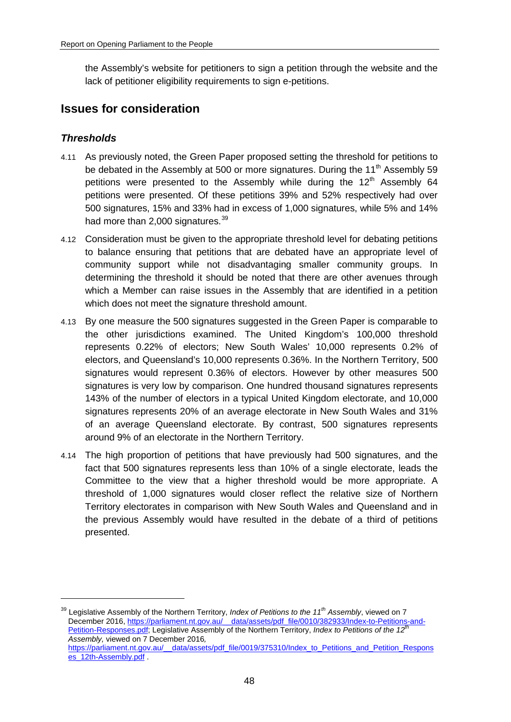the Assembly's website for petitioners to sign a petition through the website and the lack of petitioner eligibility requirements to sign e-petitions.

# **Issues for consideration**

## *Thresholds*

- 4.11 As previously noted, the Green Paper proposed setting the threshold for petitions to be debated in the Assembly at 500 or more signatures. During the 11<sup>th</sup> Assembly 59 petitions were presented to the Assembly while during the  $12<sup>th</sup>$  Assembly 64 petitions were presented. Of these petitions 39% and 52% respectively had over 500 signatures, 15% and 33% had in excess of 1,000 signatures, while 5% and 14% had more than 2,000 signatures.<sup>[39](#page-47-0)</sup>
- 4.12 Consideration must be given to the appropriate threshold level for debating petitions to balance ensuring that petitions that are debated have an appropriate level of community support while not disadvantaging smaller community groups. In determining the threshold it should be noted that there are other avenues through which a Member can raise issues in the Assembly that are identified in a petition which does not meet the signature threshold amount.
- 4.13 By one measure the 500 signatures suggested in the Green Paper is comparable to the other jurisdictions examined. The United Kingdom's 100,000 threshold represents 0.22% of electors; New South Wales' 10,000 represents 0.2% of electors, and Queensland's 10,000 represents 0.36%. In the Northern Territory, 500 signatures would represent 0.36% of electors. However by other measures 500 signatures is very low by comparison. One hundred thousand signatures represents 143% of the number of electors in a typical United Kingdom electorate, and 10,000 signatures represents 20% of an average electorate in New South Wales and 31% of an average Queensland electorate. By contrast, 500 signatures represents around 9% of an electorate in the Northern Territory.
- 4.14 The high proportion of petitions that have previously had 500 signatures, and the fact that 500 signatures represents less than 10% of a single electorate, leads the Committee to the view that a higher threshold would be more appropriate. A threshold of 1,000 signatures would closer reflect the relative size of Northern Territory electorates in comparison with New South Wales and Queensland and in the previous Assembly would have resulted in the debate of a third of petitions presented.

<span id="page-47-0"></span><sup>39</sup> Legislative Assembly of the Northern Territory, *Index of Petitions to the 11th Assembly*, viewed on 7 December 2016[, https://parliament.nt.gov.au/\\_\\_data/assets/pdf\\_file/0010/382933/Index-to-Petitions-and-](https://parliament.nt.gov.au/__data/assets/pdf_file/0010/382933/Index-to-Petitions-and-Petition-Responses.pdf)[Petition-Responses.pdf;](https://parliament.nt.gov.au/__data/assets/pdf_file/0010/382933/Index-to-Petitions-and-Petition-Responses.pdf) Legislative Assembly of the Northern Territory, *Index to Petitions of the 12th Assembly,* viewed on 7 December 2016*,*  [https://parliament.nt.gov.au/\\_\\_data/assets/pdf\\_file/0019/375310/Index\\_to\\_Petitions\\_and\\_Petition\\_Respons](https://parliament.nt.gov.au/__data/assets/pdf_file/0019/375310/Index_to_Petitions_and_Petition_Responses_12th-Assembly.pdf) [es\\_12th-Assembly.pdf](https://parliament.nt.gov.au/__data/assets/pdf_file/0019/375310/Index_to_Petitions_and_Petition_Responses_12th-Assembly.pdf) .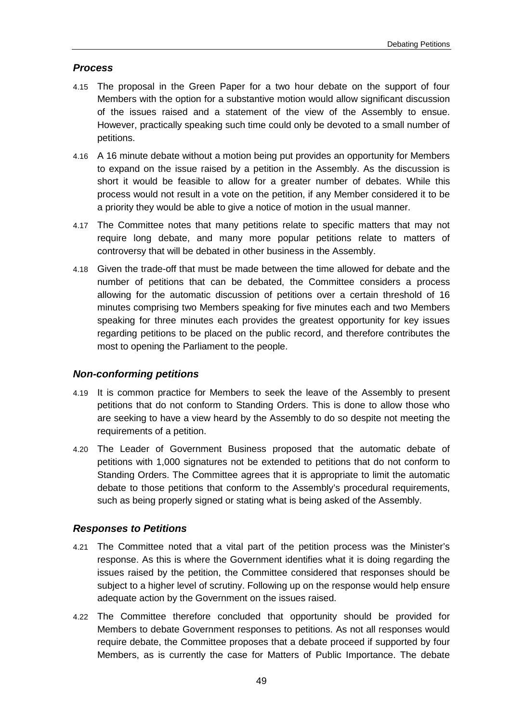### *Process*

- 4.15 The proposal in the Green Paper for a two hour debate on the support of four Members with the option for a substantive motion would allow significant discussion of the issues raised and a statement of the view of the Assembly to ensue. However, practically speaking such time could only be devoted to a small number of petitions.
- 4.16 A 16 minute debate without a motion being put provides an opportunity for Members to expand on the issue raised by a petition in the Assembly. As the discussion is short it would be feasible to allow for a greater number of debates. While this process would not result in a vote on the petition, if any Member considered it to be a priority they would be able to give a notice of motion in the usual manner.
- 4.17 The Committee notes that many petitions relate to specific matters that may not require long debate, and many more popular petitions relate to matters of controversy that will be debated in other business in the Assembly.
- 4.18 Given the trade-off that must be made between the time allowed for debate and the number of petitions that can be debated, the Committee considers a process allowing for the automatic discussion of petitions over a certain threshold of 16 minutes comprising two Members speaking for five minutes each and two Members speaking for three minutes each provides the greatest opportunity for key issues regarding petitions to be placed on the public record, and therefore contributes the most to opening the Parliament to the people.

#### *Non-conforming petitions*

- 4.19 It is common practice for Members to seek the leave of the Assembly to present petitions that do not conform to Standing Orders. This is done to allow those who are seeking to have a view heard by the Assembly to do so despite not meeting the requirements of a petition.
- 4.20 The Leader of Government Business proposed that the automatic debate of petitions with 1,000 signatures not be extended to petitions that do not conform to Standing Orders. The Committee agrees that it is appropriate to limit the automatic debate to those petitions that conform to the Assembly's procedural requirements, such as being properly signed or stating what is being asked of the Assembly.

## *Responses to Petitions*

- 4.21 The Committee noted that a vital part of the petition process was the Minister's response. As this is where the Government identifies what it is doing regarding the issues raised by the petition, the Committee considered that responses should be subject to a higher level of scrutiny. Following up on the response would help ensure adequate action by the Government on the issues raised.
- 4.22 The Committee therefore concluded that opportunity should be provided for Members to debate Government responses to petitions. As not all responses would require debate, the Committee proposes that a debate proceed if supported by four Members, as is currently the case for Matters of Public Importance. The debate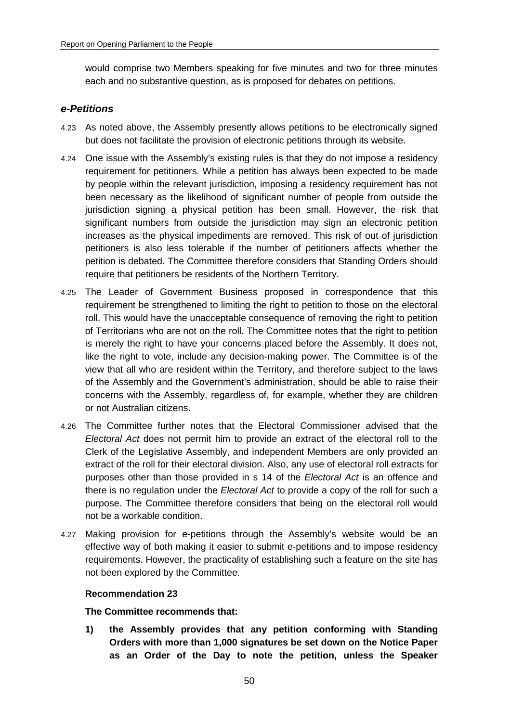would comprise two Members speaking for five minutes and two for three minutes each and no substantive question, as is proposed for debates on petitions.

## *e-Petitions*

- 4.23 As noted above, the Assembly presently allows petitions to be electronically signed but does not facilitate the provision of electronic petitions through its website.
- 4.24 One issue with the Assembly's existing rules is that they do not impose a residency requirement for petitioners. While a petition has always been expected to be made by people within the relevant jurisdiction, imposing a residency requirement has not been necessary as the likelihood of significant number of people from outside the jurisdiction signing a physical petition has been small. However, the risk that significant numbers from outside the jurisdiction may sign an electronic petition increases as the physical impediments are removed. This risk of out of jurisdiction petitioners is also less tolerable if the number of petitioners affects whether the petition is debated. The Committee therefore considers that Standing Orders should require that petitioners be residents of the Northern Territory.
- 4.25 The Leader of Government Business proposed in correspondence that this requirement be strengthened to limiting the right to petition to those on the electoral roll. This would have the unacceptable consequence of removing the right to petition of Territorians who are not on the roll. The Committee notes that the right to petition is merely the right to have your concerns placed before the Assembly. It does not, like the right to vote, include any decision-making power. The Committee is of the view that all who are resident within the Territory, and therefore subject to the laws of the Assembly and the Government's administration, should be able to raise their concerns with the Assembly, regardless of, for example, whether they are children or not Australian citizens.
- 4.26 The Committee further notes that the Electoral Commissioner advised that the *Electoral Act* does not permit him to provide an extract of the electoral roll to the Clerk of the Legislative Assembly, and independent Members are only provided an extract of the roll for their electoral division. Also, any use of electoral roll extracts for purposes other than those provided in s 14 of the *Electoral Act* is an offence and there is no regulation under the *Electoral Act* to provide a copy of the roll for such a purpose. The Committee therefore considers that being on the electoral roll would not be a workable condition.
- 4.27 Making provision for e-petitions through the Assembly's website would be an effective way of both making it easier to submit e-petitions and to impose residency requirements. However, the practicality of establishing such a feature on the site has not been explored by the Committee.

## **Recommendation 23**

#### **The Committee recommends that:**

**1) the Assembly provides that any petition conforming with Standing Orders with more than 1,000 signatures be set down on the Notice Paper as an Order of the Day to note the petition, unless the Speaker**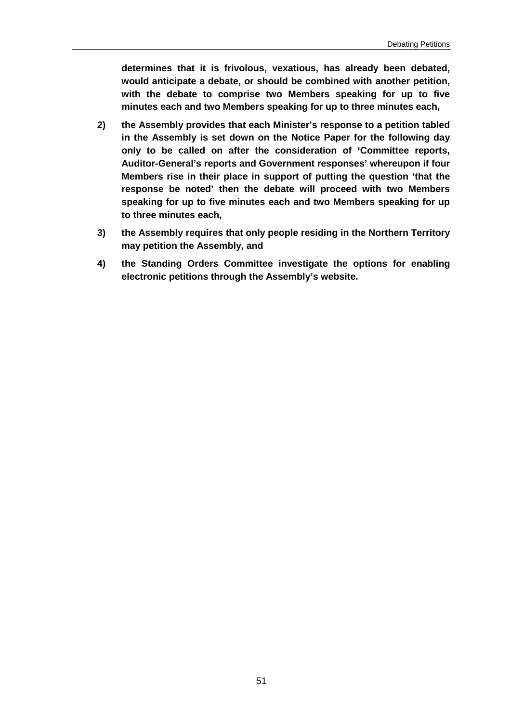**determines that it is frivolous, vexatious, has already been debated, would anticipate a debate, or should be combined with another petition, with the debate to comprise two Members speaking for up to five minutes each and two Members speaking for up to three minutes each,**

- **2) the Assembly provides that each Minister's response to a petition tabled in the Assembly is set down on the Notice Paper for the following day only to be called on after the consideration of 'Committee reports, Auditor-General's reports and Government responses' whereupon if four Members rise in their place in support of putting the question 'that the response be noted' then the debate will proceed with two Members speaking for up to five minutes each and two Members speaking for up to three minutes each,**
- **3) the Assembly requires that only people residing in the Northern Territory may petition the Assembly, and**
- **4) the Standing Orders Committee investigate the options for enabling electronic petitions through the Assembly's website.**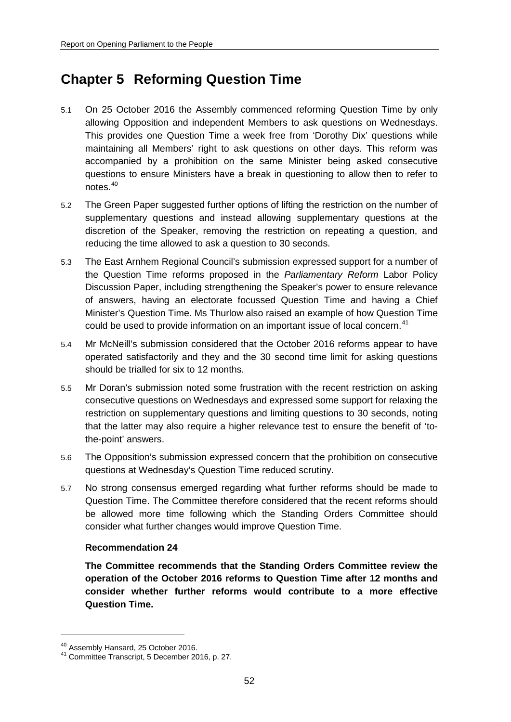# **Chapter 5 Reforming Question Time**

- 5.1 On 25 October 2016 the Assembly commenced reforming Question Time by only allowing Opposition and independent Members to ask questions on Wednesdays. This provides one Question Time a week free from 'Dorothy Dix' questions while maintaining all Members' right to ask questions on other days. This reform was accompanied by a prohibition on the same Minister being asked consecutive questions to ensure Ministers have a break in questioning to allow then to refer to notes. [40](#page-51-0)
- 5.2 The Green Paper suggested further options of lifting the restriction on the number of supplementary questions and instead allowing supplementary questions at the discretion of the Speaker, removing the restriction on repeating a question, and reducing the time allowed to ask a question to 30 seconds.
- 5.3 The East Arnhem Regional Council's submission expressed support for a number of the Question Time reforms proposed in the *Parliamentary Reform* Labor Policy Discussion Paper, including strengthening the Speaker's power to ensure relevance of answers, having an electorate focussed Question Time and having a Chief Minister's Question Time. Ms Thurlow also raised an example of how Question Time could be used to provide information on an important issue of local concern.<sup>[41](#page-51-1)</sup>
- 5.4 Mr McNeill's submission considered that the October 2016 reforms appear to have operated satisfactorily and they and the 30 second time limit for asking questions should be trialled for six to 12 months.
- 5.5 Mr Doran's submission noted some frustration with the recent restriction on asking consecutive questions on Wednesdays and expressed some support for relaxing the restriction on supplementary questions and limiting questions to 30 seconds, noting that the latter may also require a higher relevance test to ensure the benefit of 'tothe-point' answers.
- 5.6 The Opposition's submission expressed concern that the prohibition on consecutive questions at Wednesday's Question Time reduced scrutiny.
- 5.7 No strong consensus emerged regarding what further reforms should be made to Question Time. The Committee therefore considered that the recent reforms should be allowed more time following which the Standing Orders Committee should consider what further changes would improve Question Time.

#### **Recommendation 24**

**The Committee recommends that the Standing Orders Committee review the operation of the October 2016 reforms to Question Time after 12 months and consider whether further reforms would contribute to a more effective Question Time.**

<span id="page-51-1"></span><span id="page-51-0"></span><sup>40</sup> Assembly Hansard, 25 October 2016. <sup>41</sup> Committee Transcript, 5 December 2016, p. 27.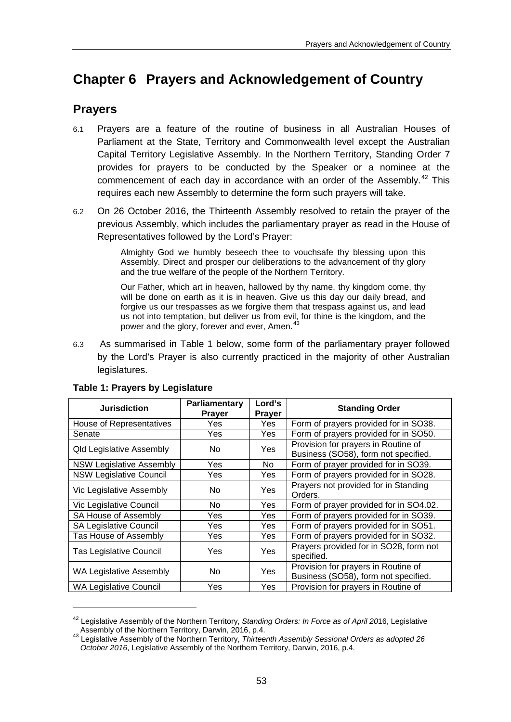# **Chapter 6 Prayers and Acknowledgement of Country**

# **Prayers**

- 6.1 Prayers are a feature of the routine of business in all Australian Houses of Parliament at the State, Territory and Commonwealth level except the Australian Capital Territory Legislative Assembly. In the Northern Territory, Standing Order 7 provides for prayers to be conducted by the Speaker or a nominee at the commencement of each day in accordance with an order of the Assembly.<sup>[42](#page-52-0)</sup> This requires each new Assembly to determine the form such prayers will take.
- 6.2 On 26 October 2016, the Thirteenth Assembly resolved to retain the prayer of the previous Assembly, which includes the parliamentary prayer as read in the House of Representatives followed by the Lord's Prayer:

Almighty God we humbly beseech thee to vouchsafe thy blessing upon this Assembly. Direct and prosper our deliberations to the advancement of thy glory and the true welfare of the people of the Northern Territory.

Our Father, which art in heaven, hallowed by thy name, thy kingdom come, thy will be done on earth as it is in heaven. Give us this day our daily bread, and forgive us our trespasses as we forgive them that trespass against us, and lead us not into temptation, but deliver us from evil, for thine is the kingdom, and the power and the glory, forever and ever, Amen.<sup>[43](#page-52-1)</sup>

6.3 As summarised in Table 1 below, some form of the parliamentary prayer followed by the Lord's Prayer is also currently practiced in the majority of other Australian legislatures.

| <b>Jurisdiction</b>             | Parliamentary<br><b>Prayer</b> | Lord's<br>Prayer | <b>Standing Order</b>                                                       |  |
|---------------------------------|--------------------------------|------------------|-----------------------------------------------------------------------------|--|
| House of Representatives        | Yes.                           | Yes.             | Form of prayers provided for in SO38.                                       |  |
| Senate                          | Yes                            | Yes              | Form of prayers provided for in SO50.                                       |  |
| <b>Qld Legislative Assembly</b> | No.                            | Yes              | Provision for prayers in Routine of<br>Business (SO58), form not specified. |  |
| <b>NSW Legislative Assembly</b> | Yes                            | No.              | Form of prayer provided for in SO39.                                        |  |
| <b>NSW Legislative Council</b>  | Yes.                           | Yes              | Form of prayers provided for in SO28.                                       |  |
| Vic Legislative Assembly        | No.                            | Yes              | Prayers not provided for in Standing<br>Orders.                             |  |
| Vic Legislative Council         | No.                            | Yes              | Form of prayer provided for in SO4.02.                                      |  |
| SA House of Assembly            | Yes.                           | Yes.             | Form of prayers provided for in SO39.                                       |  |
| <b>SA Legislative Council</b>   | Yes.                           | Yes              | Form of prayers provided for in SO51.                                       |  |
| Tas House of Assembly           | Yes                            | <b>Yes</b>       | Form of prayers provided for in SO32.                                       |  |
| <b>Tas Legislative Council</b>  | Yes                            | Yes              | Prayers provided for in SO28, form not<br>specified.                        |  |
| WA Legislative Assembly         | No.                            | Yes              | Provision for prayers in Routine of<br>Business (SO58), form not specified. |  |
| <b>WA Legislative Council</b>   | Yes                            | Yes              | Provision for prayers in Routine of                                         |  |

## **Table 1: Prayers by Legislature**

<u>.</u>

<span id="page-52-0"></span><sup>42</sup> Legislative Assembly of the Northern Territory, *Standing Orders: In Force as of April 20*16, Legislative

<span id="page-52-1"></span>Assembly of the Northern Territory, Darwin, 2016, p.4. <sup>43</sup> Legislative Assembly of the Northern Territory, *Thirteenth Assembly Sessional Orders as adopted 26 October 2016*, Legislative Assembly of the Northern Territory, Darwin, 2016, p.4.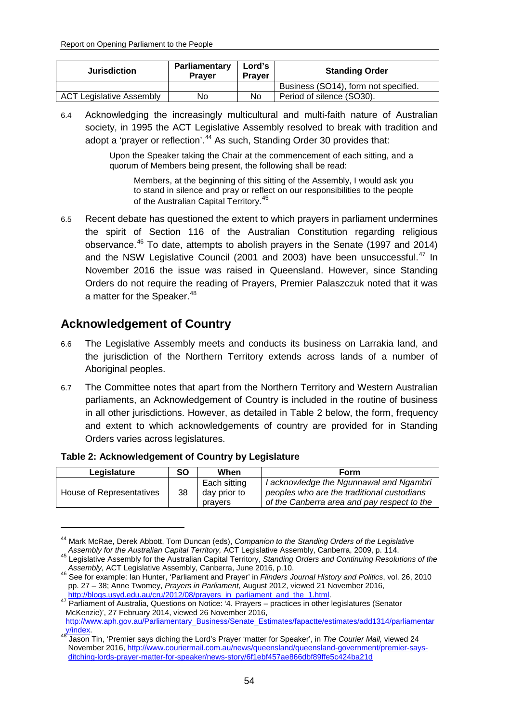| <b>Jurisdiction</b>             | Parliamentary<br><b>Praver</b> | Lord's<br><b>Praver</b> | <b>Standing Order</b>                |  |
|---------------------------------|--------------------------------|-------------------------|--------------------------------------|--|
|                                 |                                |                         | Business (SO14), form not specified. |  |
| <b>ACT Legislative Assembly</b> | No                             | No                      | Period of silence (SO30).            |  |

6.4 Acknowledging the increasingly multicultural and multi-faith nature of Australian society, in 1995 the ACT Legislative Assembly resolved to break with tradition and adopt a 'prayer or reflection'.<sup>[44](#page-53-0)</sup> As such, Standing Order 30 provides that:

> Upon the Speaker taking the Chair at the commencement of each sitting, and a quorum of Members being present, the following shall be read:

Members, at the beginning of this sitting of the Assembly, I would ask you to stand in silence and pray or reflect on our responsibilities to the people of the Australian Capital Territory.<sup>[45](#page-53-1)</sup>

6.5 Recent debate has questioned the extent to which prayers in parliament undermines the spirit of Section 116 of the Australian Constitution regarding religious observance.[46](#page-53-2) To date, attempts to abolish prayers in the Senate (1997 and 2014) and the NSW Legislative Council (2001 and 2003) have been unsuccessful.<sup>[47](#page-53-3)</sup> In November 2016 the issue was raised in Queensland. However, since Standing Orders do not require the reading of Prayers, Premier Palaszczuk noted that it was a matter for the Speaker.<sup>[48](#page-53-4)</sup>

## **Acknowledgement of Country**

-

- 6.6 The Legislative Assembly meets and conducts its business on Larrakia land, and the jurisdiction of the Northern Territory extends across lands of a number of Aboriginal peoples.
- 6.7 The Committee notes that apart from the Northern Territory and Western Australian parliaments, an Acknowledgement of Country is included in the routine of business in all other jurisdictions. However, as detailed in Table 2 below, the form, frequency and extent to which acknowledgements of country are provided for in Standing Orders varies across legislatures.

#### **Table 2: Acknowledgement of Country by Legislature**

| Legislature              | <b>SO</b> | When                                    | Form                                                                                                                                 |
|--------------------------|-----------|-----------------------------------------|--------------------------------------------------------------------------------------------------------------------------------------|
| House of Representatives | 38        | Each sitting<br>day prior to<br>pravers | I acknowledge the Ngunnawal and Ngambri<br>peoples who are the traditional custodians<br>of the Canberra area and pay respect to the |

<span id="page-53-0"></span><sup>44</sup> Mark McRae, Derek Abbott, Tom Duncan (eds), *Companion to the Standing Orders of the Legislative* 

<span id="page-53-1"></span>*Assembly for the Australian Capital Territory,* ACT Legislative Assembly, Canberra, 2009, p. 114. <sup>45</sup> Legislative Assembly for the Australian Capital Territory, *Standing Orders and Continuing Resolutions of the Assembly,* ACT Legislative Assembly, Canberra, June 2016, p.10. <sup>46</sup> See for example: Ian Hunter, 'Parliament and Prayer' in *Flinders Journal History and Politics*, vol. 26, 2010

<span id="page-53-2"></span>pp. 27 – 38; Anne Twomey, *Prayers in Parliament,* August 2012, viewed 21 November 2016,

<span id="page-53-3"></span><sup>&</sup>lt;sup>47</sup> Parliament of Australia, Questions on Notice: '4. Prayers – practices in other legislatures (Senator McKenzie)', 27 February 2014, viewed 26 November 2016, [http://www.aph.gov.au/Parliamentary\\_Business/Senate\\_Estimates/fapactte/estimates/add1314/parliamentar](http://www.aph.gov.au/Parliamentary_Business/Senate_Estimates/fapactte/estimates/add1314/parliamentary/index)

<span id="page-53-4"></span>[y/index.](http://www.aph.gov.au/Parliamentary_Business/Senate_Estimates/fapactte/estimates/add1314/parliamentary/index) <sup>48</sup> Jason Tin, 'Premier says diching the Lord's Prayer 'matter for Speaker', in *The Courier Mail,* viewed 24 November 2016[, http://www.couriermail.com.au/news/queensland/queensland-government/premier-says](http://www.couriermail.com.au/news/queensland/queensland-government/premier-says-ditching-lords-prayer-matter-for-speaker/news-story/6f1ebf457ae866dbf89ffe5c424ba21d)[ditching-lords-prayer-matter-for-speaker/news-story/6f1ebf457ae866dbf89ffe5c424ba21d](http://www.couriermail.com.au/news/queensland/queensland-government/premier-says-ditching-lords-prayer-matter-for-speaker/news-story/6f1ebf457ae866dbf89ffe5c424ba21d)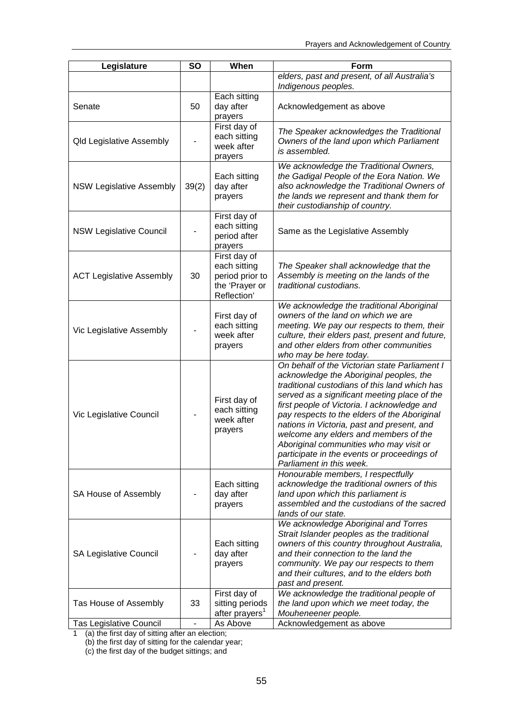| Legislature                     | <b>SO</b>      | When                                                                             | Form                                                                                                                                                                                                                                                                                                                                                                                                                                                                                                  |
|---------------------------------|----------------|----------------------------------------------------------------------------------|-------------------------------------------------------------------------------------------------------------------------------------------------------------------------------------------------------------------------------------------------------------------------------------------------------------------------------------------------------------------------------------------------------------------------------------------------------------------------------------------------------|
|                                 |                |                                                                                  | elders, past and present, of all Australia's<br>Indigenous peoples.                                                                                                                                                                                                                                                                                                                                                                                                                                   |
| Senate                          | 50             | Each sitting<br>day after<br>prayers                                             | Acknowledgement as above                                                                                                                                                                                                                                                                                                                                                                                                                                                                              |
| <b>Qld Legislative Assembly</b> |                | First day of<br>each sitting<br>week after<br>prayers                            | The Speaker acknowledges the Traditional<br>Owners of the land upon which Parliament<br>is assembled.                                                                                                                                                                                                                                                                                                                                                                                                 |
| <b>NSW Legislative Assembly</b> | 39(2)          | Each sitting<br>day after<br>prayers                                             | We acknowledge the Traditional Owners,<br>the Gadigal People of the Eora Nation. We<br>also acknowledge the Traditional Owners of<br>the lands we represent and thank them for<br>their custodianship of country.                                                                                                                                                                                                                                                                                     |
| <b>NSW Legislative Council</b>  |                | First day of<br>each sitting<br>period after<br>prayers                          | Same as the Legislative Assembly                                                                                                                                                                                                                                                                                                                                                                                                                                                                      |
| <b>ACT Legislative Assembly</b> | 30             | First day of<br>each sitting<br>period prior to<br>the 'Prayer or<br>Reflection' | The Speaker shall acknowledge that the<br>Assembly is meeting on the lands of the<br>traditional custodians.                                                                                                                                                                                                                                                                                                                                                                                          |
| Vic Legislative Assembly        |                | First day of<br>each sitting<br>week after<br>prayers                            | We acknowledge the traditional Aboriginal<br>owners of the land on which we are<br>meeting. We pay our respects to them, their<br>culture, their elders past, present and future,<br>and other elders from other communities<br>who may be here today.                                                                                                                                                                                                                                                |
| Vic Legislative Council         |                | First day of<br>each sitting<br>week after<br>prayers                            | On behalf of the Victorian state Parliament I<br>acknowledge the Aboriginal peoples, the<br>traditional custodians of this land which has<br>served as a significant meeting place of the<br>first people of Victoria. I acknowledge and<br>pay respects to the elders of the Aboriginal<br>nations in Victoria, past and present, and<br>welcome any elders and members of the<br>Aboriginal communities who may visit or<br>participate in the events or proceedings of<br>Parliament in this week. |
| SA House of Assembly            |                | Each sitting<br>day after<br>prayers                                             | Honourable members, I respectfully<br>acknowledge the traditional owners of this<br>land upon which this parliament is<br>assembled and the custodians of the sacred<br>lands of our state.                                                                                                                                                                                                                                                                                                           |
| <b>SA Legislative Council</b>   |                | Each sitting<br>day after<br>prayers                                             | We acknowledge Aboriginal and Torres<br>Strait Islander peoples as the traditional<br>owners of this country throughout Australia,<br>and their connection to the land the<br>community. We pay our respects to them<br>and their cultures, and to the elders both<br>past and present.                                                                                                                                                                                                               |
| Tas House of Assembly           | 33             | First day of<br>sitting periods<br>after prayers'                                | We acknowledge the traditional people of<br>the land upon which we meet today, the<br>Mouheneener people.                                                                                                                                                                                                                                                                                                                                                                                             |
| Tas Legislative Council         | $\blacksquare$ | As Above                                                                         | Acknowledgement as above                                                                                                                                                                                                                                                                                                                                                                                                                                                                              |

1 (a) the first day of sitting after an election;

(b) the first day of sitting for the calendar year;

(c) the first day of the budget sittings; and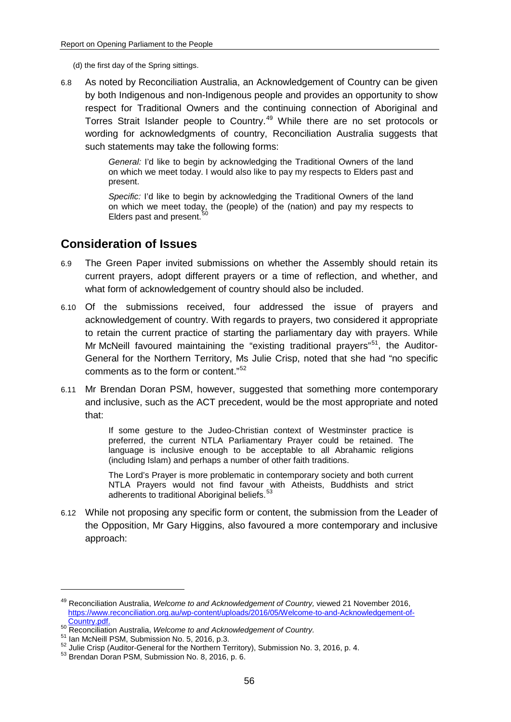- (d) the first day of the Spring sittings.
- 6.8 As noted by Reconciliation Australia, an Acknowledgement of Country can be given by both Indigenous and non-Indigenous people and provides an opportunity to show respect for Traditional Owners and the continuing connection of Aboriginal and Torres Strait Islander people to Country.<sup>[49](#page-55-0)</sup> While there are no set protocols or wording for acknowledgments of country, Reconciliation Australia suggests that such statements may take the following forms:

*General:* I'd like to begin by acknowledging the Traditional Owners of the land on which we meet today. I would also like to pay my respects to Elders past and present.

*Specific:* I'd like to begin by acknowledging the Traditional Owners of the land on which we meet today, the (people) of the (nation) and pay my respects to Elders past and present.

## **Consideration of Issues**

- 6.9 The Green Paper invited submissions on whether the Assembly should retain its current prayers, adopt different prayers or a time of reflection, and whether, and what form of acknowledgement of country should also be included.
- 6.10 Of the submissions received, four addressed the issue of prayers and acknowledgement of country. With regards to prayers, two considered it appropriate to retain the current practice of starting the parliamentary day with prayers. While Mr McNeill favoured maintaining the "existing traditional prayers"<sup>51</sup>, the Auditor-General for the Northern Territory, Ms Julie Crisp, noted that she had "no specific comments as to the form or content."[52](#page-55-3)
- 6.11 Mr Brendan Doran PSM, however, suggested that something more contemporary and inclusive, such as the ACT precedent, would be the most appropriate and noted that:

If some gesture to the Judeo-Christian context of Westminster practice is preferred, the current NTLA Parliamentary Prayer could be retained. The language is inclusive enough to be acceptable to all Abrahamic religions (including Islam) and perhaps a number of other faith traditions.

The Lord's Prayer is more problematic in contemporary society and both current NTLA Prayers would not find favour with Atheists, Buddhists and strict adherents to traditional Aboriginal beliefs.<sup>[53](#page-55-4)</sup>

6.12 While not proposing any specific form or content, the submission from the Leader of the Opposition, Mr Gary Higgins, also favoured a more contemporary and inclusive approach:

<span id="page-55-0"></span><sup>49</sup> Reconciliation Australia, *Welcome to and Acknowledgement of Country,* viewed 21 November 2016, [https://www.reconciliation.org.au/wp-content/uploads/2016/05/Welcome-to-and-Acknowledgement-of-](https://www.reconciliation.org.au/wp-content/uploads/2016/05/Welcome-to-and-Acknowledgement-of-Country.pdf)<sup>50</sup> Reconciliation Australia, Welcome to and Acknowledgement of Country.<br>
<sup>51</sup> Ian McNeill PSM, Submission No. 5, 2016, p.3.<br>
<sup>52</sup> Julie Crisp (Auditor-General for the Northern Territory), Submission No. 3, 2016, p. 4.<br>
<sup></sup>

<span id="page-55-1"></span>

<span id="page-55-2"></span>

<span id="page-55-3"></span>

<span id="page-55-4"></span>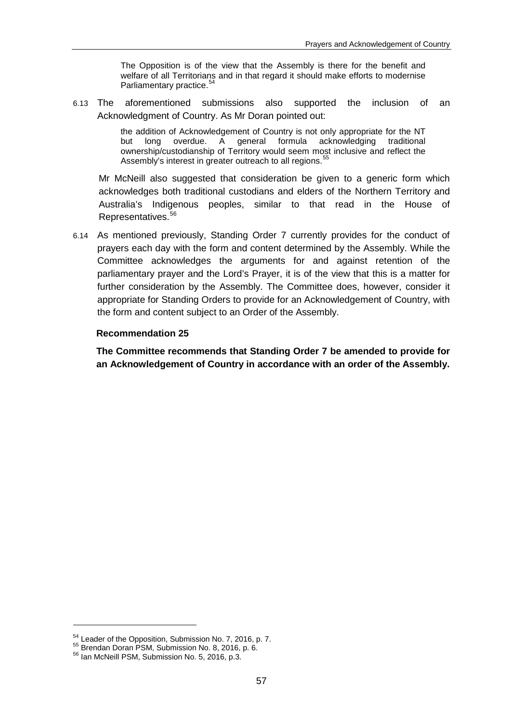The Opposition is of the view that the Assembly is there for the benefit and welfare of all Territorians and in that regard it should make efforts to modernise Parliamentary practice.<sup>[54](#page-56-0)</sup>

6.13 The aforementioned submissions also supported the inclusion of an Acknowledgment of Country. As Mr Doran pointed out:

> the addition of Acknowledgement of Country is not only appropriate for the NT but long overdue. A general formula acknowledging traditional ownership/custodianship of Territory would seem most inclusive and reflect the Assembly's interest in greater outreach to all regions.

Mr McNeill also suggested that consideration be given to a generic form which acknowledges both traditional custodians and elders of the Northern Territory and Australia's Indigenous peoples, similar to that read in the House of Representatives.[56](#page-56-2)

6.14 As mentioned previously, Standing Order 7 currently provides for the conduct of prayers each day with the form and content determined by the Assembly. While the Committee acknowledges the arguments for and against retention of the parliamentary prayer and the Lord's Prayer, it is of the view that this is a matter for further consideration by the Assembly. The Committee does, however, consider it appropriate for Standing Orders to provide for an Acknowledgement of Country, with the form and content subject to an Order of the Assembly.

#### **Recommendation 25**

**The Committee recommends that Standing Order 7 be amended to provide for an Acknowledgement of Country in accordance with an order of the Assembly.**

<u>.</u>

<span id="page-56-1"></span><span id="page-56-0"></span> $^{54}$  Leader of the Opposition, Submission No. 7, 2016, p. 7.  $^{55}$  Brendan Doran PSM, Submission No. 8, 2016, p. 6.  $^{56}$  Ian McNeill PSM, Submission No. 5, 2016, p.3.

<span id="page-56-2"></span>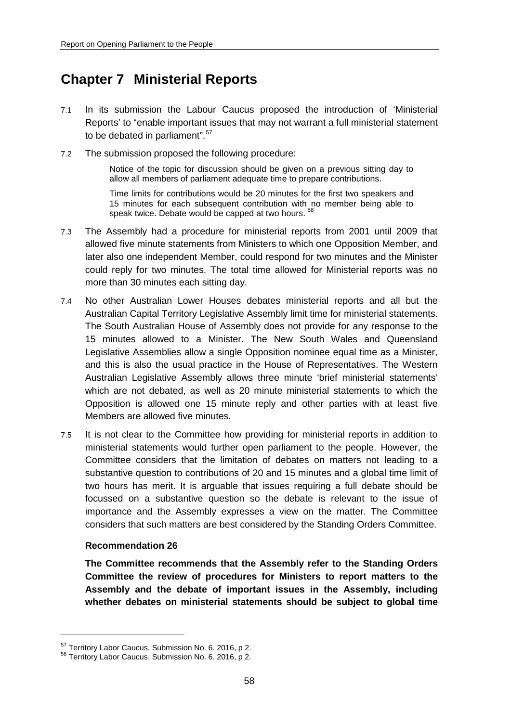# **Chapter 7 Ministerial Reports**

- 7.1 In its submission the Labour Caucus proposed the introduction of 'Ministerial Reports' to "enable important issues that may not warrant a full ministerial statement to be debated in parliament".<sup>[57](#page-57-0)</sup>
- 7.2 The submission proposed the following procedure:

Notice of the topic for discussion should be given on a previous sitting day to allow all members of parliament adequate time to prepare contributions.

Time limits for contributions would be 20 minutes for the first two speakers and 15 minutes for each subsequent contribution with no member being able to speak twice. Debate would be capped at two hours.<sup>5</sup>

- 7.3 The Assembly had a procedure for ministerial reports from 2001 until 2009 that allowed five minute statements from Ministers to which one Opposition Member, and later also one independent Member, could respond for two minutes and the Minister could reply for two minutes. The total time allowed for Ministerial reports was no more than 30 minutes each sitting day.
- 7.4 No other Australian Lower Houses debates ministerial reports and all but the Australian Capital Territory Legislative Assembly limit time for ministerial statements. The South Australian House of Assembly does not provide for any response to the 15 minutes allowed to a Minister. The New South Wales and Queensland Legislative Assemblies allow a single Opposition nominee equal time as a Minister, and this is also the usual practice in the House of Representatives. The Western Australian Legislative Assembly allows three minute 'brief ministerial statements' which are not debated, as well as 20 minute ministerial statements to which the Opposition is allowed one 15 minute reply and other parties with at least five Members are allowed five minutes.
- 7.5 It is not clear to the Committee how providing for ministerial reports in addition to ministerial statements would further open parliament to the people. However, the Committee considers that the limitation of debates on matters not leading to a substantive question to contributions of 20 and 15 minutes and a global time limit of two hours has merit. It is arguable that issues requiring a full debate should be focussed on a substantive question so the debate is relevant to the issue of importance and the Assembly expresses a view on the matter. The Committee considers that such matters are best considered by the Standing Orders Committee.

#### **Recommendation 26**

-

**The Committee recommends that the Assembly refer to the Standing Orders Committee the review of procedures for Ministers to report matters to the Assembly and the debate of important issues in the Assembly, including whether debates on ministerial statements should be subject to global time** 

<span id="page-57-1"></span><span id="page-57-0"></span> $57$  Territory Labor Caucus, Submission No. 6. 2016, p 2.<br> $58$  Territory Labor Caucus, Submission No. 6. 2016, p 2.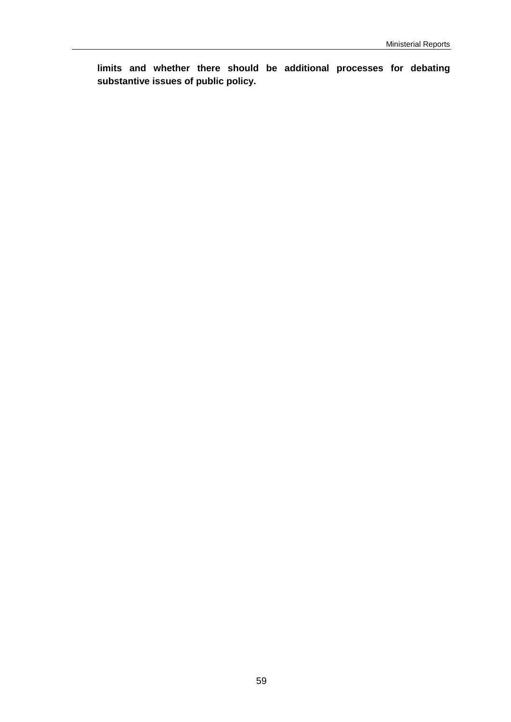**limits and whether there should be additional processes for debating substantive issues of public policy.**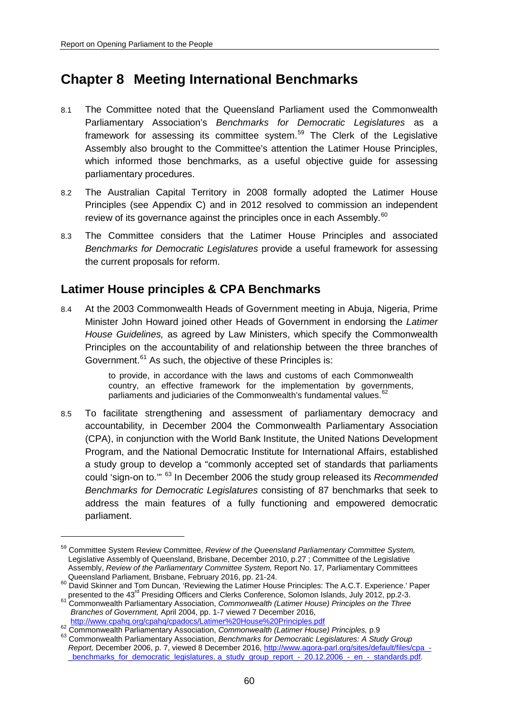-

# **Chapter 8 Meeting International Benchmarks**

- 8.1 The Committee noted that the Queensland Parliament used the Commonwealth Parliamentary Association's *Benchmarks for Democratic Legislatures* as a framework for assessing its committee system.<sup>[59](#page-59-0)</sup> The Clerk of the Legislative Assembly also brought to the Committee's attention the Latimer House Principles, which informed those benchmarks, as a useful objective guide for assessing parliamentary procedures.
- 8.2 The Australian Capital Territory in 2008 formally adopted the Latimer House Principles (see Appendix C) and in 2012 resolved to commission an independent review of its governance against the principles once in each Assembly.<sup>[60](#page-59-1)</sup>
- 8.3 The Committee considers that the Latimer House Principles and associated *Benchmarks for Democratic Legislatures* provide a useful framework for assessing the current proposals for reform.

# **Latimer House principles & CPA Benchmarks**

8.4 At the 2003 Commonwealth Heads of Government meeting in Abuja, Nigeria, Prime Minister John Howard joined other Heads of Government in endorsing the *Latimer House Guidelines,* as agreed by Law Ministers, which specify the Commonwealth Principles on the accountability of and relationship between the three branches of Government.<sup>[61](#page-59-2)</sup> As such, the objective of these Principles is:

> to provide, in accordance with the laws and customs of each Commonwealth country, an effective framework for the implementation by governments, parliaments and judiciaries of the Commonwealth's fundamental values.<sup>[62](#page-59-3)</sup>

8.5 To facilitate strengthening and assessment of parliamentary democracy and accountability*,* in December 2004 the Commonwealth Parliamentary Association (CPA), in conjunction with the World Bank Institute, the United Nations Development Program, and the National Democratic Institute for International Affairs, established a study group to develop a "commonly accepted set of standards that parliaments could 'sign-on to.'" [63](#page-59-4) In December 2006 the study group released its *Recommended Benchmarks for Democratic Legislatures* consisting of 87 benchmarks that seek to address the main features of a fully functioning and empowered democratic parliament.

<span id="page-59-0"></span><sup>59</sup> Committee System Review Committee, *Review of the Queensland Parliamentary Committee System,*  Legislative Assembly of Queensland, Brisbane, December 2010, p.27 ; Committee of the Legislative Assembly, *Review of the Parliamentary Committee System,* Report No. 17*,* Parliamentary Committees

<span id="page-59-1"></span>Queensland Parliament, Brisbane, February 2016, pp. 21-24.<br><sup>60</sup> David Skinner and Tom Duncan, 'Reviewing the Latimer House Principles: The A.C.T. Experience.' Paper presented to the 43rd Presiding Officers and Clerks Conference, Solomon Islands, July 2012, pp.2-3. <sup>61</sup> Commonwealth Parliamentary Association, *Commonwealth (Latimer House) Principles on the Three* 

<span id="page-59-2"></span>*Branches of Government,* April 2004, pp. 1-7 viewed 7 December 2016,

<span id="page-59-4"></span>

<span id="page-59-3"></span><http://www.cpahq.org/cpahq/cpadocs/Latimer%20House%20Principles.pdf><br>
<sup>62</sup> Commonwealth Parliamentary Association, Commonwealth (Latimer House) Principles, p.9<br>
<sup>63</sup> Commonwealth Parliamentary Association, Benchmarks for De *Report,* December 2006, p. 7, viewed 8 December 2016, [http://www.agora-parl.org/sites/default/files/cpa\\_](http://www.agora-parl.org/sites/default/files/cpa_-_benchmarks_for_democratic_legislatures.%20a_study_group_report_-_20.12.2006_-_en_-_standards.pdf) benchmarks\_for\_democratic\_legislatures. a\_study\_group\_report - 20.12.2006 - en\_-\_standards.pdf.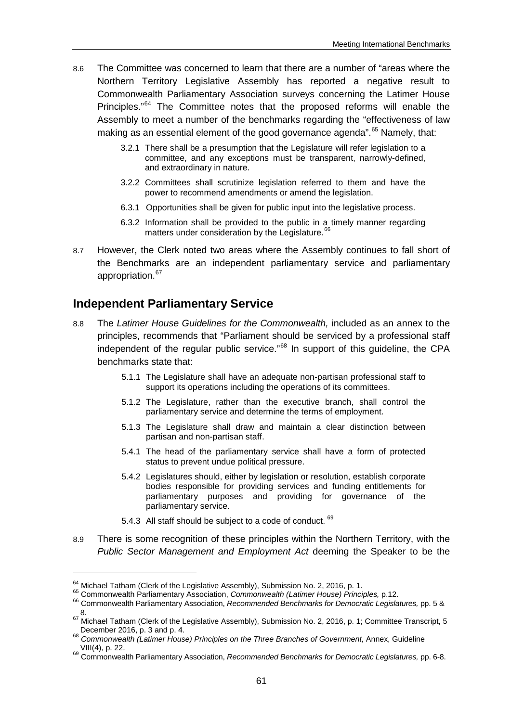- 8.6 The Committee was concerned to learn that there are a number of "areas where the Northern Territory Legislative Assembly has reported a negative result to Commonwealth Parliamentary Association surveys concerning the Latimer House Principles."<sup>[64](#page-60-0)</sup> The Committee notes that the proposed reforms will enable the Assembly to meet a number of the benchmarks regarding the "effectiveness of law making as an essential element of the good governance agenda".<sup>[65](#page-60-1)</sup> Namely, that:
	- 3.2.1 There shall be a presumption that the Legislature will refer legislation to a committee, and any exceptions must be transparent, narrowly-defined, and extraordinary in nature.
	- 3.2.2 Committees shall scrutinize legislation referred to them and have the power to recommend amendments or amend the legislation.
	- 6.3.1 Opportunities shall be given for public input into the legislative process.
	- 6.3.2 Information shall be provided to the public in a timely manner regarding matters under consideration by the Legislature.<sup>[66](#page-60-2)</sup>
- 8.7 However, the Clerk noted two areas where the Assembly continues to fall short of the Benchmarks are an independent parliamentary service and parliamentary appropriation.<sup>[67](#page-60-3)</sup>

## **Independent Parliamentary Service**

- 8.8 The *Latimer House Guidelines for the Commonwealth,* included as an annex to the principles, recommends that "Parliament should be serviced by a professional staff independent of the regular public service."<sup>[68](#page-60-4)</sup> In support of this guideline, the CPA benchmarks state that:
	- 5.1.1 The Legislature shall have an adequate non-partisan professional staff to support its operations including the operations of its committees.
	- 5.1.2 The Legislature, rather than the executive branch, shall control the parliamentary service and determine the terms of employment.
	- 5.1.3 The Legislature shall draw and maintain a clear distinction between partisan and non-partisan staff.
	- 5.4.1 The head of the parliamentary service shall have a form of protected status to prevent undue political pressure.
	- 5.4.2 Legislatures should, either by legislation or resolution, establish corporate bodies responsible for providing services and funding entitlements for parliamentary purposes and providing for governance of the parliamentary service.
	- 5.4.3 All staff should be subject to a code of conduct. <sup>[69](#page-60-5)</sup>
- 8.9 There is some recognition of these principles within the Northern Territory, with the *Public Sector Management and Employment Act* deeming the Speaker to be the

<span id="page-60-1"></span><span id="page-60-0"></span><sup>&</sup>lt;sup>64</sup> Michael Tatham (Clerk of the Legislative Assembly), Submission No. 2, 2016, p. 1.<br><sup>65</sup> Commonwealth Parliamentary Association, *Commonwealth (Latimer House) Principles*, p.12.<br><sup>66</sup> Commonwealth Parliamentary Associat

<span id="page-60-2"></span>

<span id="page-60-3"></span><sup>8.&</sup>lt;br><sup>67</sup> Michael Tatham (Clerk of the Legislative Assembly), Submission No. 2, 2016, p. 1; Committee Transcript, 5<br>December 2016, p. 3 and p. 4.

<span id="page-60-4"></span>December 2016, p. 3 and p. 4. <sup>68</sup> *Commonwealth (Latimer House) Principles on the Three Branches of Government,* Annex, Guideline

<span id="page-60-5"></span>VIII(4), p. 22. <sup>69</sup> Commonwealth Parliamentary Association, *Recommended Benchmarks for Democratic Legislatures,* pp. 6-8.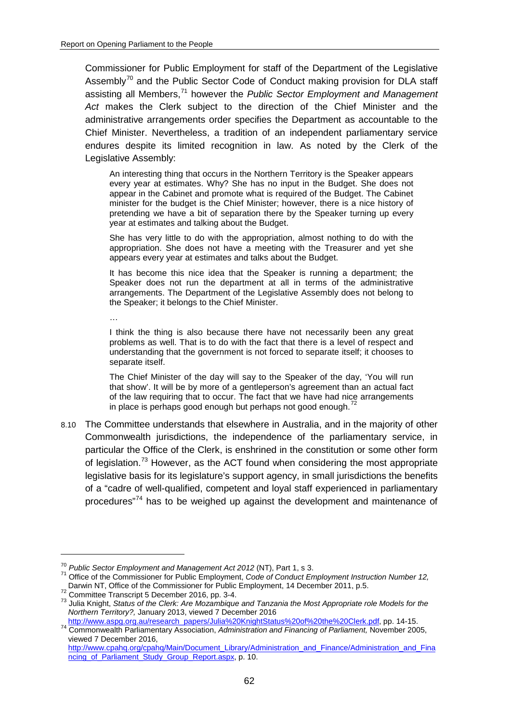Commissioner for Public Employment for staff of the Department of the Legislative Assembly<sup>[70](#page-61-0)</sup> and the Public Sector Code of Conduct making provision for DLA staff assisting all Members,[71](#page-61-1) however the *Public Sector Employment and Management Act* makes the Clerk subject to the direction of the Chief Minister and the administrative arrangements order specifies the Department as accountable to the Chief Minister. Nevertheless, a tradition of an independent parliamentary service endures despite its limited recognition in law. As noted by the Clerk of the Legislative Assembly:

An interesting thing that occurs in the Northern Territory is the Speaker appears every year at estimates. Why? She has no input in the Budget. She does not appear in the Cabinet and promote what is required of the Budget. The Cabinet minister for the budget is the Chief Minister; however, there is a nice history of pretending we have a bit of separation there by the Speaker turning up every year at estimates and talking about the Budget.

She has very little to do with the appropriation, almost nothing to do with the appropriation. She does not have a meeting with the Treasurer and yet she appears every year at estimates and talks about the Budget.

It has become this nice idea that the Speaker is running a department; the Speaker does not run the department at all in terms of the administrative arrangements. The Department of the Legislative Assembly does not belong to the Speaker; it belongs to the Chief Minister.

…

I think the thing is also because there have not necessarily been any great problems as well. That is to do with the fact that there is a level of respect and understanding that the government is not forced to separate itself; it chooses to separate itself.

The Chief Minister of the day will say to the Speaker of the day, 'You will run that show'. It will be by more of a gentleperson's agreement than an actual fact of the law requiring that to occur. The fact that we have had nice arrangements in place is perhaps good enough but perhaps not good enough.

8.10 The Committee understands that elsewhere in Australia, and in the majority of other Commonwealth jurisdictions, the independence of the parliamentary service, in particular the Office of the Clerk, is enshrined in the constitution or some other form of legislation.<sup>[73](#page-61-3)</sup> However, as the ACT found when considering the most appropriate legislative basis for its legislature's support agency, in small jurisdictions the benefits of a "cadre of well-qualified, competent and loyal staff experienced in parliamentary procedures"<sup>[74](#page-61-4)</sup> has to be weighed up against the development and maintenance of

<span id="page-61-1"></span><span id="page-61-0"></span>

<sup>&</sup>lt;sup>70</sup> *Public Sector Employment and Management Act 2012* (NT), Part 1, s 3.<br><sup>71</sup> Office of the Commissioner for Public Employment, *Code of Conduct Employment Instruction Number 12,*<br>Darwin NT, Office of the Commissioner fo

<span id="page-61-3"></span><span id="page-61-2"></span> $72$  Committee Transcript 5 December 2016, pp. 3-4.<br> $73$  Julia Knight, Status of the Clerk: Are Mozambique and Tanzania the Most Appropriate role Models for the *Northern Territory?,* January 2013, viewed 7 December 2016

<span id="page-61-4"></span>[http://www.aspg.org.au/research\\_papers/Julia%20KnightStatus%20of%20the%20Clerk.pdf,](http://www.aspg.org.au/research_papers/Julia%20KnightStatus%20of%20the%20Clerk.pdf) pp. 14-15. <sup>74</sup> Commonwealth Parliamentary Association, *Administration and Financing of Parliament,* November 2005, viewed 7 December 2016,

[http://www.cpahq.org/cpahq/Main/Document\\_Library/Administration\\_and\\_Finance/Administration\\_and\\_Fina](http://www.cpahq.org/cpahq/Main/Document_Library/Administration_and_Finance/Administration_and_Financing_of_Parliament_Study_Group_Report.aspx) [ncing\\_of\\_Parliament\\_Study\\_Group\\_Report.aspx,](http://www.cpahq.org/cpahq/Main/Document_Library/Administration_and_Finance/Administration_and_Financing_of_Parliament_Study_Group_Report.aspx) p. 10.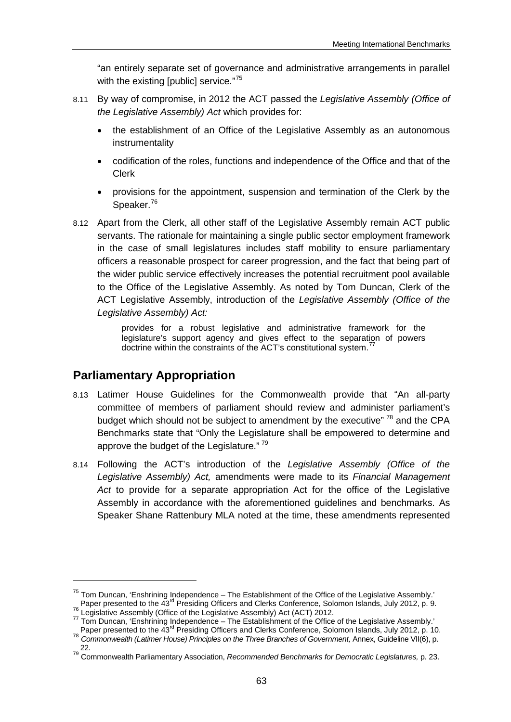"an entirely separate set of governance and administrative arrangements in parallel with the existing [public] service."<sup>[75](#page-62-0)</sup>

- 8.11 By way of compromise, in 2012 the ACT passed the *Legislative Assembly (Office of the Legislative Assembly) Act* which provides for:
	- the establishment of an Office of the Legislative Assembly as an autonomous instrumentality
	- codification of the roles, functions and independence of the Office and that of the Clerk
	- provisions for the appointment, suspension and termination of the Clerk by the Speaker.<sup>[76](#page-62-1)</sup>
- 8.12 Apart from the Clerk, all other staff of the Legislative Assembly remain ACT public servants. The rationale for maintaining a single public sector employment framework in the case of small legislatures includes staff mobility to ensure parliamentary officers a reasonable prospect for career progression, and the fact that being part of the wider public service effectively increases the potential recruitment pool available to the Office of the Legislative Assembly. As noted by Tom Duncan, Clerk of the ACT Legislative Assembly, introduction of the *Legislative Assembly (Office of the Legislative Assembly) Act:*

provides for a robust legislative and administrative framework for the legislature's support agency and gives effect to the separation of powers doctrine within the constraints of the ACT's constitutional system.<sup>7</sup>

# **Parliamentary Appropriation**

<u>.</u>

- 8.13 Latimer House Guidelines for the Commonwealth provide that "An all-party committee of members of parliament should review and administer parliament's budget which should not be subject to amendment by the executive"<sup>[78](#page-62-3)</sup> and the CPA Benchmarks state that "Only the Legislature shall be empowered to determine and approve the budget of the Legislature."<sup>[79](#page-62-4)</sup>
- 8.14 Following the ACT's introduction of the *Legislative Assembly (Office of the Legislative Assembly) Act,* amendments were made to its *Financial Management Act* to provide for a separate appropriation Act for the office of the Legislative Assembly in accordance with the aforementioned guidelines and benchmarks. As Speaker Shane Rattenbury MLA noted at the time, these amendments represented

<span id="page-62-0"></span><sup>&</sup>lt;sup>75</sup> Tom Duncan, 'Enshrining Independence – The Establishment of the Office of the Legislative Assembly.'<br>Paper presented to the 43<sup>rd</sup> Presiding Officers and Clerks Conference, Solomon Islands, July 2012, p. 9.

<span id="page-62-2"></span><span id="page-62-1"></span><sup>&</sup>lt;sup>76</sup> Legislative Assembly (Office of the Legislative Assembly) Act (ACT) 2012.<br><sup>77</sup> Tom Duncan, 'Enshrining Independence – The Establishment of the Office of the Legislative Assembly.'<br>- Paper presented to the 43<sup>rd</sup> Presi

<span id="page-62-3"></span>Paper presented to the 43rd Presiding Officers and Officers Conference, Solomon Islands, July 2012, p. 10. 78<br><sup>78</sup> Commonwealth (Latimer House) Principles on the Three Branches of Government, Annex, Guideline VII(6), p.

<span id="page-62-4"></span><sup>22.</sup> <sup>79</sup> Commonwealth Parliamentary Association, *Recommended Benchmarks for Democratic Legislatures,* p. 23.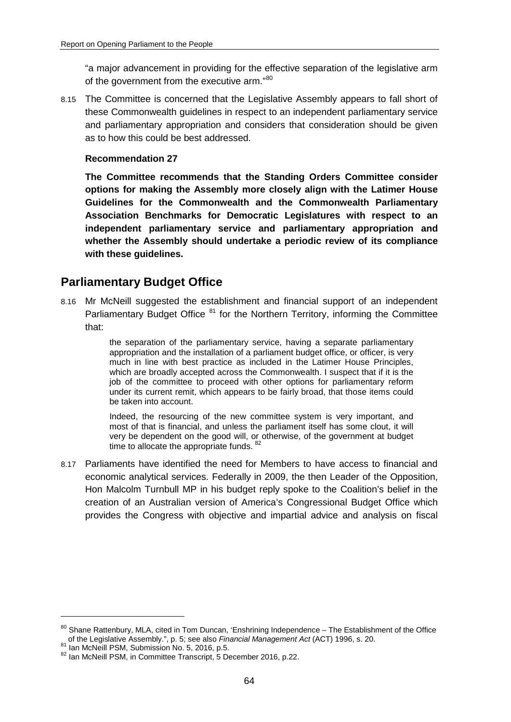"a major advancement in providing for the effective separation of the legislative arm of the government from the executive arm."<sup>[80](#page-63-0)</sup>

8.15 The Committee is concerned that the Legislative Assembly appears to fall short of these Commonwealth guidelines in respect to an independent parliamentary service and parliamentary appropriation and considers that consideration should be given as to how this could be best addressed.

#### **Recommendation 27**

**The Committee recommends that the Standing Orders Committee consider options for making the Assembly more closely align with the Latimer House Guidelines for the Commonwealth and the Commonwealth Parliamentary Association Benchmarks for Democratic Legislatures with respect to an independent parliamentary service and parliamentary appropriation and whether the Assembly should undertake a periodic review of its compliance with these guidelines.**

# **Parliamentary Budget Office**

8.16 Mr McNeill suggested the establishment and financial support of an independent Parliamentary Budget Office  $81$  for the Northern Territory, informing the Committee that:

> the separation of the parliamentary service, having a separate parliamentary appropriation and the installation of a parliament budget office, or officer, is very much in line with best practice as included in the Latimer House Principles, which are broadly accepted across the Commonwealth. I suspect that if it is the job of the committee to proceed with other options for parliamentary reform under its current remit, which appears to be fairly broad, that those items could be taken into account.

> Indeed, the resourcing of the new committee system is very important, and most of that is financial, and unless the parliament itself has some clout, it will very be dependent on the good will, or otherwise, of the government at budget time to allocate the appropriate funds. <sup>[82](#page-63-2)</sup>

8.17 Parliaments have identified the need for Members to have access to financial and economic analytical services. Federally in 2009, the then Leader of the Opposition, Hon Malcolm Turnbull MP in his budget reply spoke to the Coalition's belief in the creation of an Australian version of America's Congressional Budget Office which provides the Congress with objective and impartial advice and analysis on fiscal

<span id="page-63-0"></span><sup>80</sup> Shane Rattenbury, MLA, cited in Tom Duncan, 'Enshrining Independence - The Establishment of the Office of the Legislative Assembly.", p. 5; see also *Financial Management Act* (ACT) 1996, s. 20.<br><sup>81</sup> Ian McNeill PSM, Submission No. 5, 2016, p.5.<br><sup>82</sup> Ian McNeill PSM, in Committee Transcript, 5 December 2016, p.22.

<span id="page-63-2"></span><span id="page-63-1"></span>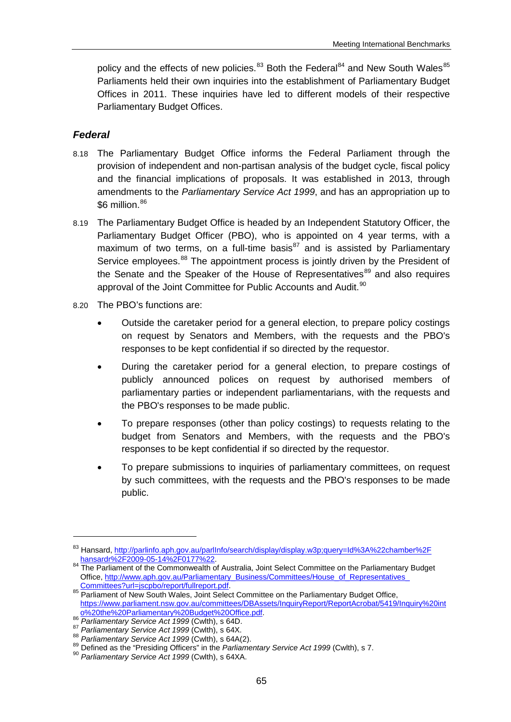policy and the effects of new policies. $83$  Both the Federal  $84$  and New South Wales  $85$ Parliaments held their own inquiries into the establishment of Parliamentary Budget Offices in 2011. These inquiries have led to different models of their respective Parliamentary Budget Offices.

### *Federal*

- 8.18 The Parliamentary Budget Office informs the Federal Parliament through the provision of independent and non-partisan analysis of the budget cycle, fiscal policy and the financial implications of proposals. It was established in 2013, through amendments to the *Parliamentary Service Act 1999*, and has an appropriation up to  $$6$  million. $^{86}$  $^{86}$  $^{86}$
- 8.19 The Parliamentary Budget Office is headed by an Independent Statutory Officer, the Parliamentary Budget Officer (PBO), who is appointed on 4 year terms, with a maximum of two terms, on a full-time basis<sup>[87](#page-64-4)</sup> and is assisted by Parliamentary Service employees.<sup>[88](#page-64-5)</sup> The appointment process is jointly driven by the President of the Senate and the Speaker of the House of Representatives<sup>[89](#page-64-6)</sup> and also requires approval of the Joint Committee for Public Accounts and Audit.<sup>[90](#page-64-7)</sup>
- 8.20 The PBO's functions are:
	- Outside the caretaker period for a general election, to prepare policy costings on request by Senators and Members, with the requests and the PBO's responses to be kept confidential if so directed by the requestor.
	- During the caretaker period for a general election, to prepare costings of publicly announced polices on request by authorised members of parliamentary parties or independent parliamentarians, with the requests and the PBO's responses to be made public.
	- To prepare responses (other than policy costings) to requests relating to the budget from Senators and Members, with the requests and the PBO's responses to be kept confidential if so directed by the requestor.
	- To prepare submissions to inquiries of parliamentary committees, on request by such committees, with the requests and the PBO's responses to be made public.

<u>.</u>

<span id="page-64-0"></span><sup>&</sup>lt;sup>83</sup> Hansard, http://parlinfo.aph.gov.au/parlInfo/search/display/display.w3p;query=Id%3A%22chamber%2F<br>hansardr%2F2009-05-14%2F0177%22.

<span id="page-64-1"></span><sup>84</sup> The Parliament of the Commonwealth of Australia, Joint Select Committee on the Parliamentary Budget Office, http://www.aph.gov.au/Parliamentary\_Business/Committees/House\_of\_Representatives\_<br>Committees?url=jscpbo/report/fullreport.pdf.

<span id="page-64-2"></span><sup>85</sup> Parliament of New South Wales, Joint Select Committee on the Parliamentary Budget Office, [https://www.parliament.nsw.gov.au/committees/DBAssets/InquiryReport/ReportAcrobat/5419/Inquiry%20int](https://www.parliament.nsw.gov.au/committees/DBAssets/InquiryReport/ReportAcrobat/5419/Inquiry%20into%20the%20Parliamentary%20Budget%20Office.pdf)<br>0%20the%20Parliamentary%20Budget%20Office.pdf.<br><sup>86</sup> Parliamentary Service Act 1999 (Cwlth), s 64D.

<span id="page-64-5"></span>

<span id="page-64-4"></span><span id="page-64-3"></span><sup>&</sup>lt;sup>87</sup> Parliamentary Service Act 1999 (Cwlth), s 64X.<br><sup>88</sup> Parliamentary Service Act 1999 (Cwlth), s 64A(2).<br><sup>89</sup> Defined as the "Presiding Officers" in the *Parliamentary Service Act 1999* (Cwlth), s 7.<br><sup>89</sup> Parliamentary

<span id="page-64-7"></span><span id="page-64-6"></span>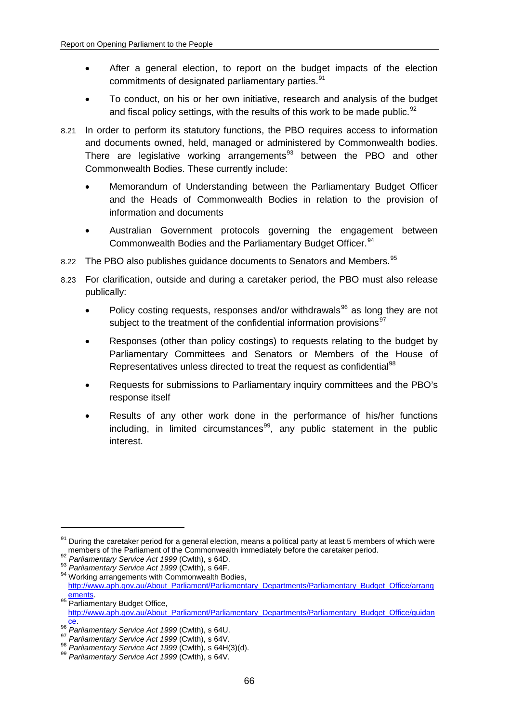- After a general election, to report on the budget impacts of the election commitments of designated parliamentary parties.<sup>[91](#page-65-0)</sup>
- To conduct, on his or her own initiative, research and analysis of the budget and fiscal policy settings, with the results of this work to be made public.  $92$
- 8.21 In order to perform its statutory functions, the PBO requires access to information and documents owned, held, managed or administered by Commonwealth bodies. There are legislative working arrangements<sup>[93](#page-65-2)</sup> between the PBO and other Commonwealth Bodies. These currently include:
	- Memorandum of Understanding between the Parliamentary Budget Officer and the Heads of Commonwealth Bodies in relation to the provision of information and documents
	- Australian Government protocols governing the engagement between Commonwealth Bodies and the Parliamentary Budget Officer.<sup>[94](#page-65-3)</sup>
- 8.22 The PBO also publishes guidance documents to Senators and Members. [95](#page-65-4)
- 8.23 For clarification, outside and during a caretaker period, the PBO must also release publically:
	- Policy costing requests, responses and/or withdrawals<sup>[96](#page-65-5)</sup> as long they are not subject to the treatment of the confidential information provisions<sup>[97](#page-65-6)</sup>
	- Responses (other than policy costings) to requests relating to the budget by Parliamentary Committees and Senators or Members of the House of Representatives unless directed to treat the request as confidential<sup>[98](#page-65-7)</sup>
	- Requests for submissions to Parliamentary inquiry committees and the PBO's response itself
	- Results of any other work done in the performance of his/her functions including, in limited circumstances<sup>[99](#page-65-8)</sup>, any public statement in the public interest.

<span id="page-65-0"></span> $91$  During the caretaker period for a general election, means a political party at least 5 members of which were behind the Parliament of the Commonwealth immediately before the caretaker period.<br>
The Parliamentary Service Act 1999 (Cwlth), s 64D.<br>
<sup>93</sup> Parliamentary Service Act 1999 (Cwlth), s 64D.<br>
<sup>93</sup> Working arrangements with Co

<span id="page-65-1"></span>

<span id="page-65-2"></span>

<span id="page-65-3"></span>[http://www.aph.gov.au/About\\_Parliament/Parliamentary\\_Departments/Parliamentary\\_Budget\\_Office/arrang](http://www.aph.gov.au/About_Parliament/Parliamentary_Departments/Parliamentary_Budget_Office/arrangements)<br>ements.

<span id="page-65-4"></span><sup>95</sup> **Parliamentary Budget Office,** [http://www.aph.gov.au/About\\_Parliament/Parliamentary\\_Departments/Parliamentary\\_Budget\\_Office/guidan](http://www.aph.gov.au/About_Parliament/Parliamentary_Departments/Parliamentary_Budget_Office/guidance)

<span id="page-65-6"></span>

<span id="page-65-5"></span><sup>&</sup>lt;sup>96</sup> Parliamentary Service Act 1999 (Cwlth), s 64U.<br><sup>97</sup> Parliamentary Service Act 1999 (Cwlth), s 64V.<br><sup>98</sup> Parliamentary Service Act 1999 (Cwlth), s 64H(3)(d).<br><sup>99</sup> Parliamentary Service Act 1999 (Cwlth), s 64V.

<span id="page-65-8"></span><span id="page-65-7"></span>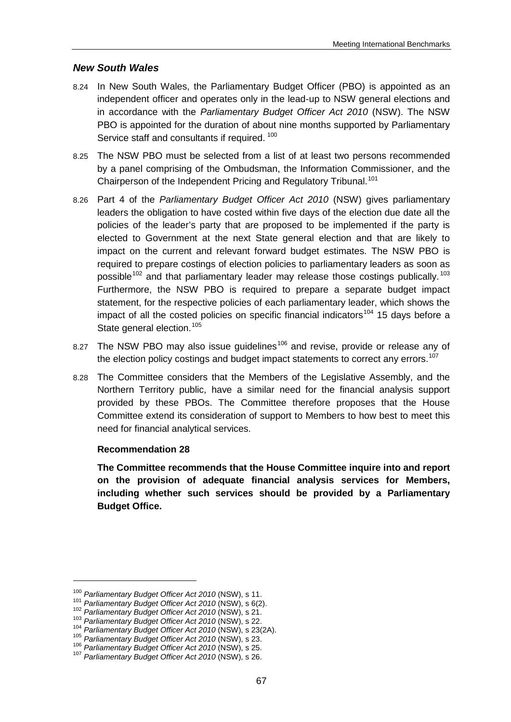## *New South Wales*

- 8.24 In New South Wales, the Parliamentary Budget Officer (PBO) is appointed as an independent officer and operates only in the lead-up to NSW general elections and in accordance with the *Parliamentary Budget Officer Act 2010* (NSW). The NSW PBO is appointed for the duration of about nine months supported by Parliamentary Service staff and consultants if required. [100](#page-66-0)
- 8.25 The NSW PBO must be selected from a list of at least two persons recommended by a panel comprising of the Ombudsman, the Information Commissioner, and the Chairperson of the Independent Pricing and Regulatory Tribunal.<sup>[101](#page-66-1)</sup>
- 8.26 Part 4 of the *Parliamentary Budget Officer Act 2010* (NSW) gives parliamentary leaders the obligation to have costed within five days of the election due date all the policies of the leader's party that are proposed to be implemented if the party is elected to Government at the next State general election and that are likely to impact on the current and relevant forward budget estimates. The NSW PBO is required to prepare costings of election policies to parliamentary leaders as soon as possible<sup>[102](#page-66-2)</sup> and that parliamentary leader may release those costings publically.<sup>[103](#page-66-3)</sup> Furthermore, the NSW PBO is required to prepare a separate budget impact statement, for the respective policies of each parliamentary leader, which shows the impact of all the costed policies on specific financial indicators<sup>[104](#page-66-4)</sup> 15 days before a State general election.<sup>[105](#page-66-5)</sup>
- 8.27 The NSW PBO may also issue guidelines<sup>[106](#page-66-6)</sup> and revise, provide or release any of the election policy costings and budget impact statements to correct any errors.<sup>[107](#page-66-7)</sup>
- 8.28 The Committee considers that the Members of the Legislative Assembly, and the Northern Territory public, have a similar need for the financial analysis support provided by these PBOs. The Committee therefore proposes that the House Committee extend its consideration of support to Members to how best to meet this need for financial analytical services.

#### **Recommendation 28**

**The Committee recommends that the House Committee inquire into and report on the provision of adequate financial analysis services for Members, including whether such services should be provided by a Parliamentary Budget Office.**

<u>.</u>

<span id="page-66-1"></span><span id="page-66-0"></span><sup>&</sup>lt;sup>100</sup> Parliamentary Budget Officer Act 2010 (NSW), s 11.<br>
<sup>101</sup> Parliamentary Budget Officer Act 2010 (NSW), s 6(2).<br>
<sup>102</sup> Parliamentary Budget Officer Act 2010 (NSW), s 21.<br>
<sup>103</sup> Parliamentary Budget Officer Act 2010 (

<span id="page-66-2"></span>

<span id="page-66-3"></span>

<span id="page-66-4"></span>

<span id="page-66-6"></span><span id="page-66-5"></span>

<span id="page-66-7"></span>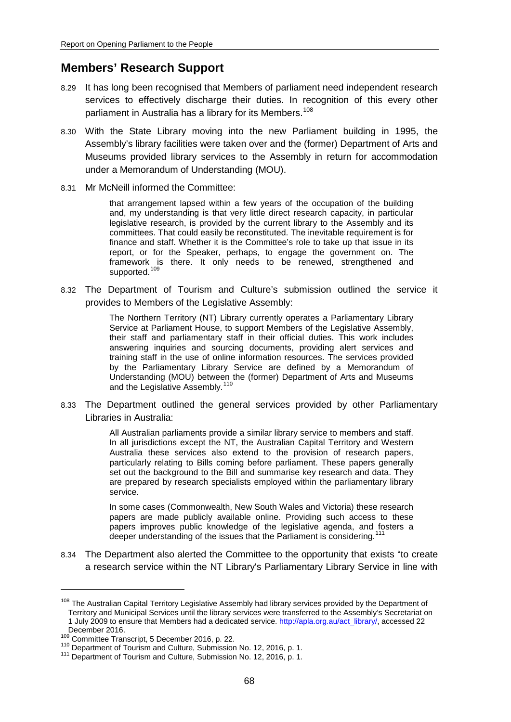# **Members' Research Support**

- 8.29 It has long been recognised that Members of parliament need independent research services to effectively discharge their duties. In recognition of this every other parliament in Australia has a library for its Members.<sup>[108](#page-67-0)</sup>
- 8.30 With the State Library moving into the new Parliament building in 1995, the Assembly's library facilities were taken over and the (former) Department of Arts and Museums provided library services to the Assembly in return for accommodation under a Memorandum of Understanding (MOU).
- 8.31 Mr McNeill informed the Committee:

that arrangement lapsed within a few years of the occupation of the building and, my understanding is that very little direct research capacity, in particular legislative research, is provided by the current library to the Assembly and its committees. That could easily be reconstituted. The inevitable requirement is for finance and staff. Whether it is the Committee's role to take up that issue in its report, or for the Speaker, perhaps, to engage the government on. The framework is there. It only needs to be renewed, strengthened and supported.<sup>[109](#page-67-1)</sup>

8.32 The Department of Tourism and Culture's submission outlined the service it provides to Members of the Legislative Assembly:

> The Northern Territory (NT) Library currently operates a Parliamentary Library Service at Parliament House, to support Members of the Legislative Assembly, their staff and parliamentary staff in their official duties. This work includes answering inquiries and sourcing documents, providing alert services and training staff in the use of online information resources. The services provided by the Parliamentary Library Service are defined by a Memorandum of Understanding (MOU) between the (former) Department of Arts and Museums and the Legislative Assembly.<sup>[110](#page-67-2)</sup>

8.33 The Department outlined the general services provided by other Parliamentary Libraries in Australia:

> All Australian parliaments provide a similar library service to members and staff. In all jurisdictions except the NT, the Australian Capital Territory and Western Australia these services also extend to the provision of research papers, particularly relating to Bills coming before parliament. These papers generally set out the background to the Bill and summarise key research and data. They are prepared by research specialists employed within the parliamentary library service.

> In some cases (Commonwealth, New South Wales and Victoria) these research papers are made publicly available online. Providing such access to these papers improves public knowledge of the legislative agenda, and fosters a deeper understanding of the issues that the Parliament is considering.<sup>1</sup>

8.34 The Department also alerted the Committee to the opportunity that exists "to create a research service within the NT Library's Parliamentary Library Service in line with

<span id="page-67-0"></span><sup>&</sup>lt;sup>108</sup> The Australian Capital Territory Legislative Assembly had library services provided by the Department of Territory and Municipal Services until the library services were transferred to the Assembly's Secretariat on 1 July 2009 to ensure that Members had a dedicated service[. http://apla.org.au/act\\_library/,](http://apla.org.au/act_library/) accessed 22

<span id="page-67-3"></span><span id="page-67-2"></span>

<span id="page-67-1"></span>December 2016.<br><sup>109</sup> Committee Transcript, 5 December 2016, p. 22.<br><sup>110</sup> Department of Tourism and Culture, Submission No. 12, 2016, p. 1.<br><sup>111</sup> Department of Tourism and Culture, Submission No. 12, 2016, p. 1.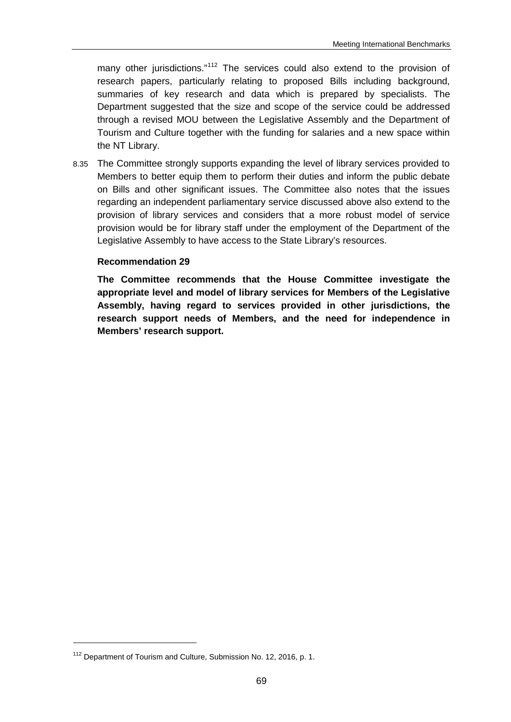many other jurisdictions."<sup>[112](#page-68-0)</sup> The services could also extend to the provision of research papers, particularly relating to proposed Bills including background, summaries of key research and data which is prepared by specialists. The Department suggested that the size and scope of the service could be addressed through a revised MOU between the Legislative Assembly and the Department of Tourism and Culture together with the funding for salaries and a new space within the NT Library.

8.35 The Committee strongly supports expanding the level of library services provided to Members to better equip them to perform their duties and inform the public debate on Bills and other significant issues. The Committee also notes that the issues regarding an independent parliamentary service discussed above also extend to the provision of library services and considers that a more robust model of service provision would be for library staff under the employment of the Department of the Legislative Assembly to have access to the State Library's resources.

#### **Recommendation 29**

**The Committee recommends that the House Committee investigate the appropriate level and model of library services for Members of the Legislative Assembly, having regard to services provided in other jurisdictions, the research support needs of Members, and the need for independence in Members' research support.**

<span id="page-68-0"></span><sup>&</sup>lt;sup>112</sup> Department of Tourism and Culture, Submission No. 12, 2016, p. 1.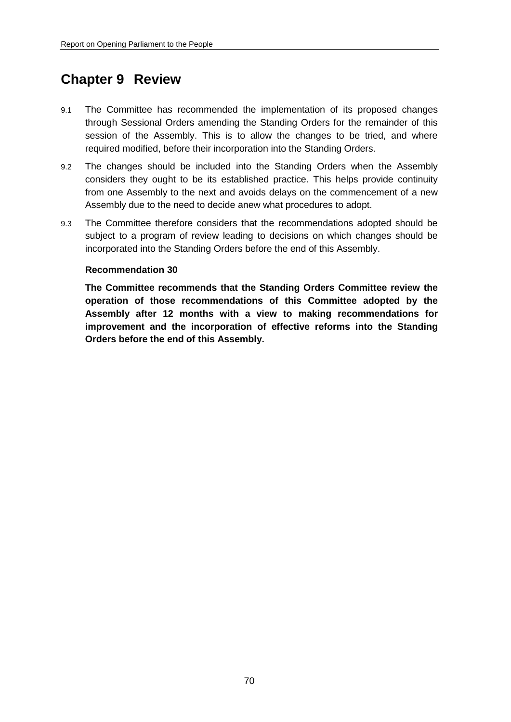# **Chapter 9 Review**

- 9.1 The Committee has recommended the implementation of its proposed changes through Sessional Orders amending the Standing Orders for the remainder of this session of the Assembly. This is to allow the changes to be tried, and where required modified, before their incorporation into the Standing Orders.
- 9.2 The changes should be included into the Standing Orders when the Assembly considers they ought to be its established practice. This helps provide continuity from one Assembly to the next and avoids delays on the commencement of a new Assembly due to the need to decide anew what procedures to adopt.
- 9.3 The Committee therefore considers that the recommendations adopted should be subject to a program of review leading to decisions on which changes should be incorporated into the Standing Orders before the end of this Assembly.

#### **Recommendation 30**

**The Committee recommends that the Standing Orders Committee review the operation of those recommendations of this Committee adopted by the Assembly after 12 months with a view to making recommendations for improvement and the incorporation of effective reforms into the Standing Orders before the end of this Assembly.**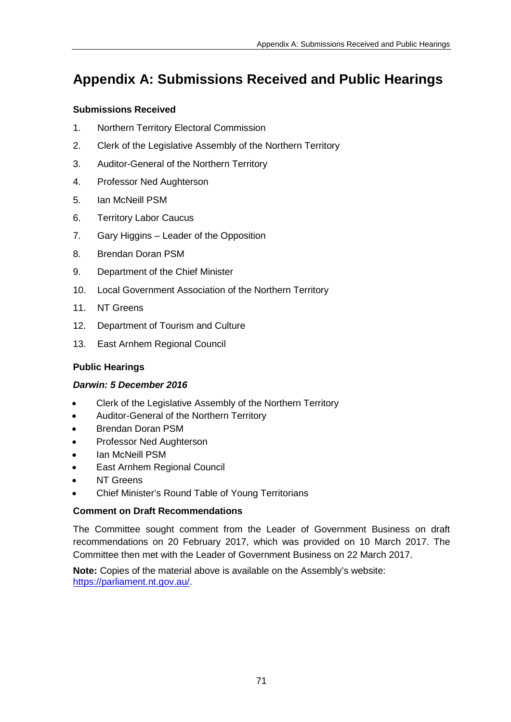# **Appendix A: Submissions Received and Public Hearings**

### **Submissions Received**

- 1. Northern Territory Electoral Commission
- 2. Clerk of the Legislative Assembly of the Northern Territory
- 3. Auditor-General of the Northern Territory
- 4. Professor Ned Aughterson
- 5. Ian McNeill PSM
- 6. Territory Labor Caucus
- 7. Gary Higgins Leader of the Opposition
- 8. Brendan Doran PSM
- 9. Department of the Chief Minister
- 10. Local Government Association of the Northern Territory
- 11. NT Greens
- 12. Department of Tourism and Culture
- 13. East Arnhem Regional Council

## **Public Hearings**

## *Darwin: 5 December 2016*

- Clerk of the Legislative Assembly of the Northern Territory
- Auditor-General of the Northern Territory
- Brendan Doran PSM
- Professor Ned Aughterson
- lan McNeill PSM
- **East Arnhem Regional Council**
- **NT Greens**
- Chief Minister's Round Table of Young Territorians

## **Comment on Draft Recommendations**

The Committee sought comment from the Leader of Government Business on draft recommendations on 20 February 2017, which was provided on 10 March 2017. The Committee then met with the Leader of Government Business on 22 March 2017.

**Note:** Copies of the material above is available on the Assembly's website: [https://parliament.nt.gov.au/.](https://parliament.nt.gov.au/)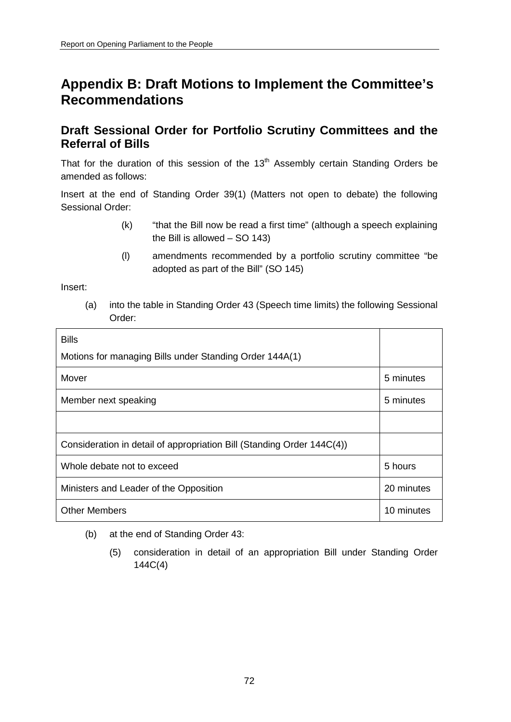# **Appendix B: Draft Motions to Implement the Committee's Recommendations**

# **Draft Sessional Order for Portfolio Scrutiny Committees and the Referral of Bills**

That for the duration of this session of the  $13<sup>th</sup>$  Assembly certain Standing Orders be amended as follows:

Insert at the end of Standing Order 39(1) (Matters not open to debate) the following Sessional Order:

- (k) "that the Bill now be read a first time" (although a speech explaining the Bill is allowed – SO 143)
- (l) amendments recommended by a portfolio scrutiny committee "be adopted as part of the Bill" (SO 145)

Insert:

(a) into the table in Standing Order 43 (Speech time limits) the following Sessional Order:

| <b>Bills</b>                                                           |            |
|------------------------------------------------------------------------|------------|
| Motions for managing Bills under Standing Order 144A(1)                |            |
| Mover                                                                  | 5 minutes  |
| Member next speaking                                                   | 5 minutes  |
|                                                                        |            |
| Consideration in detail of appropriation Bill (Standing Order 144C(4)) |            |
| Whole debate not to exceed                                             | 5 hours    |
| Ministers and Leader of the Opposition                                 | 20 minutes |
| <b>Other Members</b>                                                   | 10 minutes |

- (b) at the end of Standing Order 43:
	- (5) consideration in detail of an appropriation Bill under Standing Order 144C(4)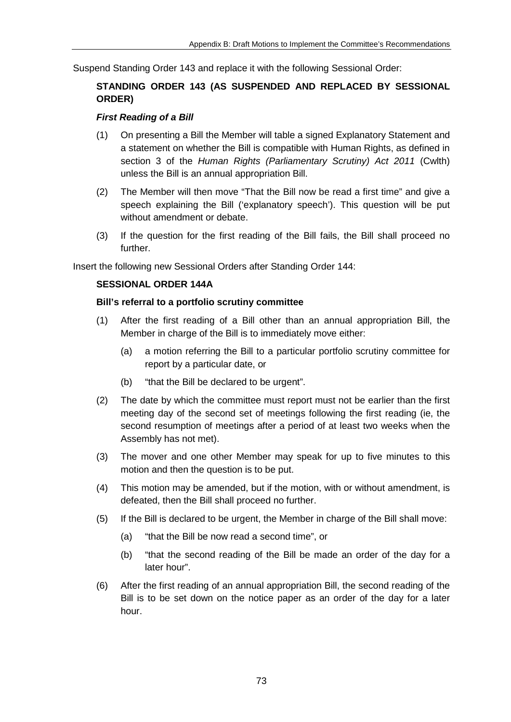Suspend Standing Order 143 and replace it with the following Sessional Order:

## **STANDING ORDER 143 (AS SUSPENDED AND REPLACED BY SESSIONAL ORDER)**

#### *First Reading of a Bill*

- (1) On presenting a Bill the Member will table a signed Explanatory Statement and a statement on whether the Bill is compatible with Human Rights, as defined in section 3 of the *Human Rights (Parliamentary Scrutiny) Act 2011* (Cwlth) unless the Bill is an annual appropriation Bill.
- (2) The Member will then move "That the Bill now be read a first time" and give a speech explaining the Bill ('explanatory speech'). This question will be put without amendment or debate.
- (3) If the question for the first reading of the Bill fails, the Bill shall proceed no further.

Insert the following new Sessional Orders after Standing Order 144:

#### **SESSIONAL ORDER 144A**

#### **Bill's referral to a portfolio scrutiny committee**

- (1) After the first reading of a Bill other than an annual appropriation Bill, the Member in charge of the Bill is to immediately move either:
	- (a) a motion referring the Bill to a particular portfolio scrutiny committee for report by a particular date, or
	- (b) "that the Bill be declared to be urgent".
- (2) The date by which the committee must report must not be earlier than the first meeting day of the second set of meetings following the first reading (ie, the second resumption of meetings after a period of at least two weeks when the Assembly has not met).
- (3) The mover and one other Member may speak for up to five minutes to this motion and then the question is to be put.
- (4) This motion may be amended, but if the motion, with or without amendment, is defeated, then the Bill shall proceed no further.
- (5) If the Bill is declared to be urgent, the Member in charge of the Bill shall move:
	- (a) "that the Bill be now read a second time", or
	- (b) "that the second reading of the Bill be made an order of the day for a later hour".
- (6) After the first reading of an annual appropriation Bill, the second reading of the Bill is to be set down on the notice paper as an order of the day for a later hour.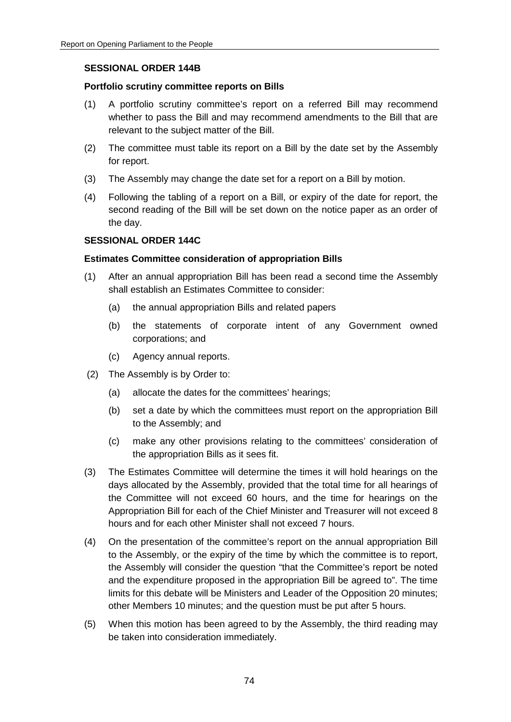#### **SESSIONAL ORDER 144B**

#### **Portfolio scrutiny committee reports on Bills**

- (1) A portfolio scrutiny committee's report on a referred Bill may recommend whether to pass the Bill and may recommend amendments to the Bill that are relevant to the subject matter of the Bill.
- (2) The committee must table its report on a Bill by the date set by the Assembly for report.
- (3) The Assembly may change the date set for a report on a Bill by motion.
- (4) Following the tabling of a report on a Bill, or expiry of the date for report, the second reading of the Bill will be set down on the notice paper as an order of the day.

#### **SESSIONAL ORDER 144C**

#### **Estimates Committee consideration of appropriation Bills**

- (1) After an annual appropriation Bill has been read a second time the Assembly shall establish an Estimates Committee to consider:
	- (a) the annual appropriation Bills and related papers
	- (b) the statements of corporate intent of any Government owned corporations; and
	- (c) Agency annual reports.
- (2) The Assembly is by Order to:
	- (a) allocate the dates for the committees' hearings;
	- (b) set a date by which the committees must report on the appropriation Bill to the Assembly; and
	- (c) make any other provisions relating to the committees' consideration of the appropriation Bills as it sees fit.
- (3) The Estimates Committee will determine the times it will hold hearings on the days allocated by the Assembly, provided that the total time for all hearings of the Committee will not exceed 60 hours, and the time for hearings on the Appropriation Bill for each of the Chief Minister and Treasurer will not exceed 8 hours and for each other Minister shall not exceed 7 hours.
- (4) On the presentation of the committee's report on the annual appropriation Bill to the Assembly, or the expiry of the time by which the committee is to report, the Assembly will consider the question "that the Committee's report be noted and the expenditure proposed in the appropriation Bill be agreed to". The time limits for this debate will be Ministers and Leader of the Opposition 20 minutes; other Members 10 minutes; and the question must be put after 5 hours.
- (5) When this motion has been agreed to by the Assembly, the third reading may be taken into consideration immediately.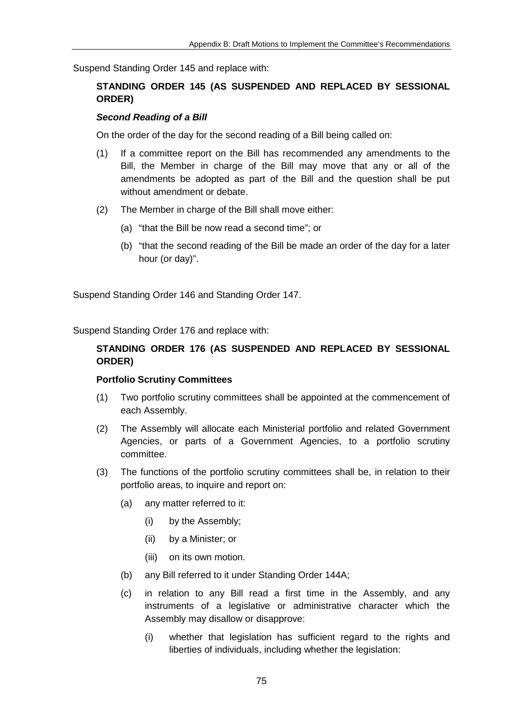Suspend Standing Order 145 and replace with:

## **STANDING ORDER 145 (AS SUSPENDED AND REPLACED BY SESSIONAL ORDER)**

#### *Second Reading of a Bill*

On the order of the day for the second reading of a Bill being called on:

- (1) If a committee report on the Bill has recommended any amendments to the Bill, the Member in charge of the Bill may move that any or all of the amendments be adopted as part of the Bill and the question shall be put without amendment or debate.
- (2) The Member in charge of the Bill shall move either:
	- (a) "that the Bill be now read a second time"; or
	- (b) "that the second reading of the Bill be made an order of the day for a later hour (or day)".

Suspend Standing Order 146 and Standing Order 147.

Suspend Standing Order 176 and replace with:

## **STANDING ORDER 176 (AS SUSPENDED AND REPLACED BY SESSIONAL ORDER)**

#### **Portfolio Scrutiny Committees**

- (1) Two portfolio scrutiny committees shall be appointed at the commencement of each Assembly.
- (2) The Assembly will allocate each Ministerial portfolio and related Government Agencies, or parts of a Government Agencies, to a portfolio scrutiny committee.
- (3) The functions of the portfolio scrutiny committees shall be, in relation to their portfolio areas, to inquire and report on:
	- (a) any matter referred to it:
		- (i) by the Assembly;
		- (ii) by a Minister; or
		- (iii) on its own motion.
	- (b) any Bill referred to it under Standing Order 144A;
	- (c) in relation to any Bill read a first time in the Assembly, and any instruments of a legislative or administrative character which the Assembly may disallow or disapprove:
		- (i) whether that legislation has sufficient regard to the rights and liberties of individuals, including whether the legislation: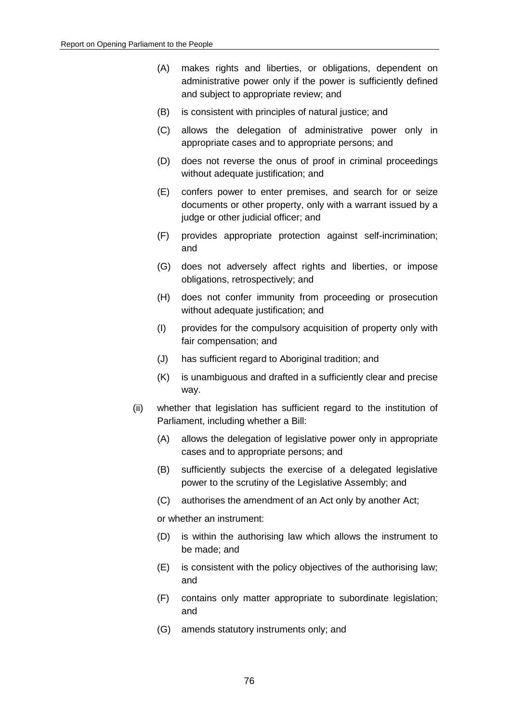- (A) makes rights and liberties, or obligations, dependent on administrative power only if the power is sufficiently defined and subject to appropriate review; and
- (B) is consistent with principles of natural justice; and
- (C) allows the delegation of administrative power only in appropriate cases and to appropriate persons; and
- (D) does not reverse the onus of proof in criminal proceedings without adequate justification; and
- (E) confers power to enter premises, and search for or seize documents or other property, only with a warrant issued by a judge or other judicial officer; and
- (F) provides appropriate protection against self-incrimination; and
- (G) does not adversely affect rights and liberties, or impose obligations, retrospectively; and
- (H) does not confer immunity from proceeding or prosecution without adequate justification; and
- (I) provides for the compulsory acquisition of property only with fair compensation; and
- (J) has sufficient regard to Aboriginal tradition; and
- (K) is unambiguous and drafted in a sufficiently clear and precise way.
- (ii) whether that legislation has sufficient regard to the institution of Parliament, including whether a Bill:
	- (A) allows the delegation of legislative power only in appropriate cases and to appropriate persons; and
	- (B) sufficiently subjects the exercise of a delegated legislative power to the scrutiny of the Legislative Assembly; and
	- (C) authorises the amendment of an Act only by another Act;

or whether an instrument:

- (D) is within the authorising law which allows the instrument to be made; and
- (E) is consistent with the policy objectives of the authorising law; and
- (F) contains only matter appropriate to subordinate legislation; and
- (G) amends statutory instruments only; and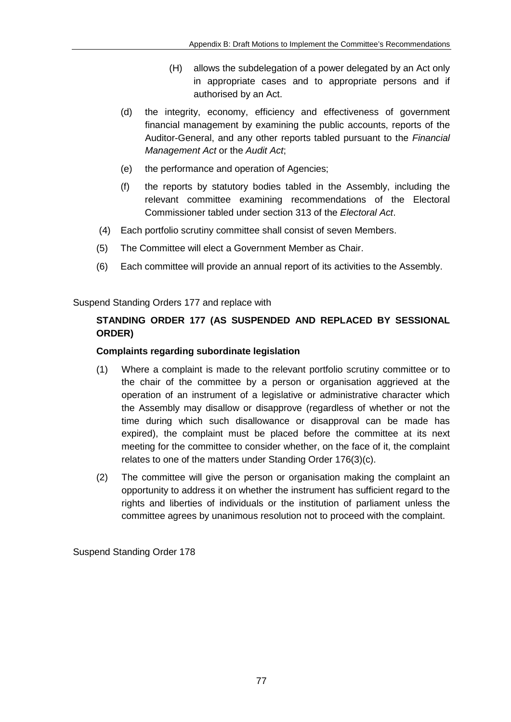- (H) allows the subdelegation of a power delegated by an Act only in appropriate cases and to appropriate persons and if authorised by an Act.
- (d) the integrity, economy, efficiency and effectiveness of government financial management by examining the public accounts, reports of the Auditor-General, and any other reports tabled pursuant to the *Financial Management Act* or the *Audit Act*;
- (e) the performance and operation of Agencies;
- (f) the reports by statutory bodies tabled in the Assembly, including the relevant committee examining recommendations of the Electoral Commissioner tabled under section 313 of the *Electoral Act*.
- (4) Each portfolio scrutiny committee shall consist of seven Members.
- (5) The Committee will elect a Government Member as Chair.
- (6) Each committee will provide an annual report of its activities to the Assembly.

Suspend Standing Orders 177 and replace with

## **STANDING ORDER 177 (AS SUSPENDED AND REPLACED BY SESSIONAL ORDER)**

## **Complaints regarding subordinate legislation**

- (1) Where a complaint is made to the relevant portfolio scrutiny committee or to the chair of the committee by a person or organisation aggrieved at the operation of an instrument of a legislative or administrative character which the Assembly may disallow or disapprove (regardless of whether or not the time during which such disallowance or disapproval can be made has expired), the complaint must be placed before the committee at its next meeting for the committee to consider whether, on the face of it, the complaint relates to one of the matters under Standing Order 176(3)(c).
- (2) The committee will give the person or organisation making the complaint an opportunity to address it on whether the instrument has sufficient regard to the rights and liberties of individuals or the institution of parliament unless the committee agrees by unanimous resolution not to proceed with the complaint.

Suspend Standing Order 178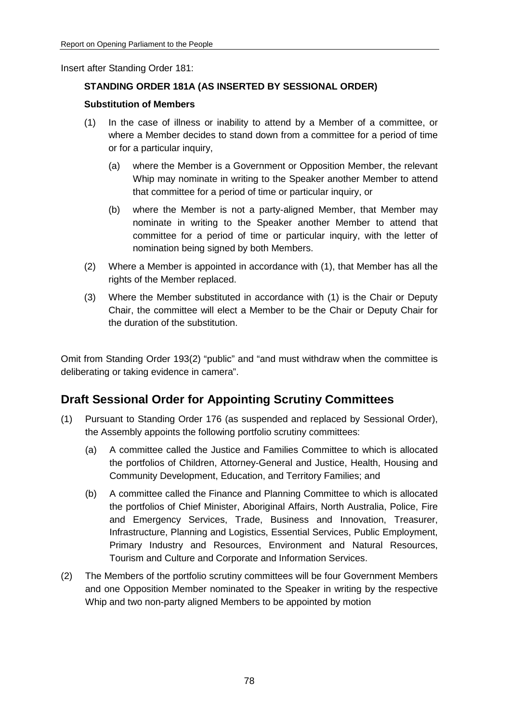Insert after Standing Order 181:

## **STANDING ORDER 181A (AS INSERTED BY SESSIONAL ORDER)**

#### **Substitution of Members**

- (1) In the case of illness or inability to attend by a Member of a committee, or where a Member decides to stand down from a committee for a period of time or for a particular inquiry,
	- (a) where the Member is a Government or Opposition Member, the relevant Whip may nominate in writing to the Speaker another Member to attend that committee for a period of time or particular inquiry, or
	- (b) where the Member is not a party-aligned Member, that Member may nominate in writing to the Speaker another Member to attend that committee for a period of time or particular inquiry, with the letter of nomination being signed by both Members.
- (2) Where a Member is appointed in accordance with (1), that Member has all the rights of the Member replaced.
- (3) Where the Member substituted in accordance with (1) is the Chair or Deputy Chair, the committee will elect a Member to be the Chair or Deputy Chair for the duration of the substitution.

Omit from Standing Order 193(2) "public" and "and must withdraw when the committee is deliberating or taking evidence in camera".

# **Draft Sessional Order for Appointing Scrutiny Committees**

- (1) Pursuant to Standing Order 176 (as suspended and replaced by Sessional Order), the Assembly appoints the following portfolio scrutiny committees:
	- (a) A committee called the Justice and Families Committee to which is allocated the portfolios of Children, Attorney-General and Justice, Health, Housing and Community Development, Education, and Territory Families; and
	- (b) A committee called the Finance and Planning Committee to which is allocated the portfolios of Chief Minister, Aboriginal Affairs, North Australia, Police, Fire and Emergency Services, Trade, Business and Innovation, Treasurer, Infrastructure, Planning and Logistics, Essential Services, Public Employment, Primary Industry and Resources, Environment and Natural Resources, Tourism and Culture and Corporate and Information Services.
- (2) The Members of the portfolio scrutiny committees will be four Government Members and one Opposition Member nominated to the Speaker in writing by the respective Whip and two non-party aligned Members to be appointed by motion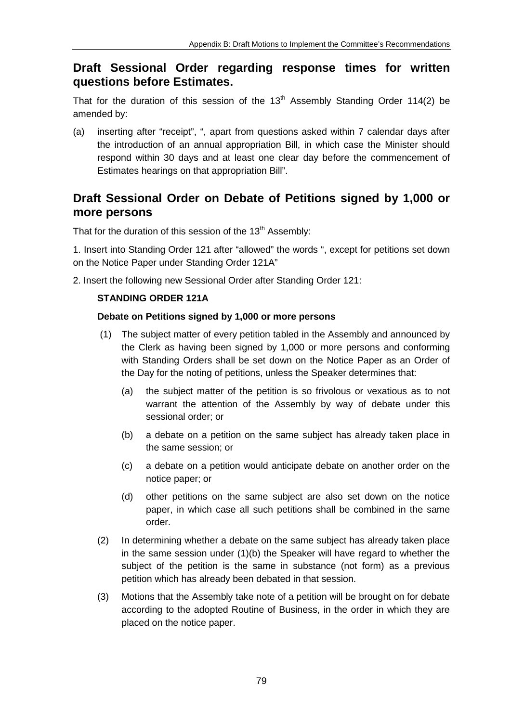# **Draft Sessional Order regarding response times for written questions before Estimates.**

That for the duration of this session of the  $13<sup>th</sup>$  Assembly Standing Order 114(2) be amended by:

(a) inserting after "receipt", ", apart from questions asked within 7 calendar days after the introduction of an annual appropriation Bill, in which case the Minister should respond within 30 days and at least one clear day before the commencement of Estimates hearings on that appropriation Bill".

# **Draft Sessional Order on Debate of Petitions signed by 1,000 or more persons**

That for the duration of this session of the  $13<sup>th</sup>$  Assembly:

1. Insert into Standing Order 121 after "allowed" the words ", except for petitions set down on the Notice Paper under Standing Order 121A"

2. Insert the following new Sessional Order after Standing Order 121:

### **STANDING ORDER 121A**

#### **Debate on Petitions signed by 1,000 or more persons**

- (1) The subject matter of every petition tabled in the Assembly and announced by the Clerk as having been signed by 1,000 or more persons and conforming with Standing Orders shall be set down on the Notice Paper as an Order of the Day for the noting of petitions, unless the Speaker determines that:
	- (a) the subject matter of the petition is so frivolous or vexatious as to not warrant the attention of the Assembly by way of debate under this sessional order; or
	- (b) a debate on a petition on the same subject has already taken place in the same session; or
	- (c) a debate on a petition would anticipate debate on another order on the notice paper; or
	- (d) other petitions on the same subject are also set down on the notice paper, in which case all such petitions shall be combined in the same order.
- (2) In determining whether a debate on the same subject has already taken place in the same session under (1)(b) the Speaker will have regard to whether the subject of the petition is the same in substance (not form) as a previous petition which has already been debated in that session.
- (3) Motions that the Assembly take note of a petition will be brought on for debate according to the adopted Routine of Business, in the order in which they are placed on the notice paper.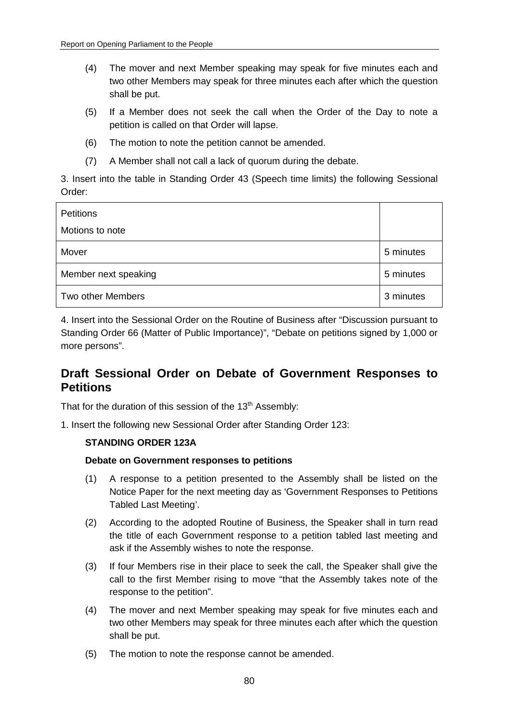- (4) The mover and next Member speaking may speak for five minutes each and two other Members may speak for three minutes each after which the question shall be put.
- (5) If a Member does not seek the call when the Order of the Day to note a petition is called on that Order will lapse.
- (6) The motion to note the petition cannot be amended.
- (7) A Member shall not call a lack of quorum during the debate.

3. Insert into the table in Standing Order 43 (Speech time limits) the following Sessional Order:

| <b>Petitions</b>     |           |
|----------------------|-----------|
| Motions to note      |           |
| Mover                | 5 minutes |
| Member next speaking | 5 minutes |
| Two other Members    | 3 minutes |

4. Insert into the Sessional Order on the Routine of Business after "Discussion pursuant to Standing Order 66 (Matter of Public Importance)", "Debate on petitions signed by 1,000 or more persons".

# **Draft Sessional Order on Debate of Government Responses to Petitions**

That for the duration of this session of the  $13<sup>th</sup>$  Assembly:

1. Insert the following new Sessional Order after Standing Order 123:

#### **STANDING ORDER 123A**

#### **Debate on Government responses to petitions**

- (1) A response to a petition presented to the Assembly shall be listed on the Notice Paper for the next meeting day as 'Government Responses to Petitions Tabled Last Meeting'.
- (2) According to the adopted Routine of Business, the Speaker shall in turn read the title of each Government response to a petition tabled last meeting and ask if the Assembly wishes to note the response.
- (3) If four Members rise in their place to seek the call, the Speaker shall give the call to the first Member rising to move "that the Assembly takes note of the response to the petition".
- (4) The mover and next Member speaking may speak for five minutes each and two other Members may speak for three minutes each after which the question shall be put.
- (5) The motion to note the response cannot be amended.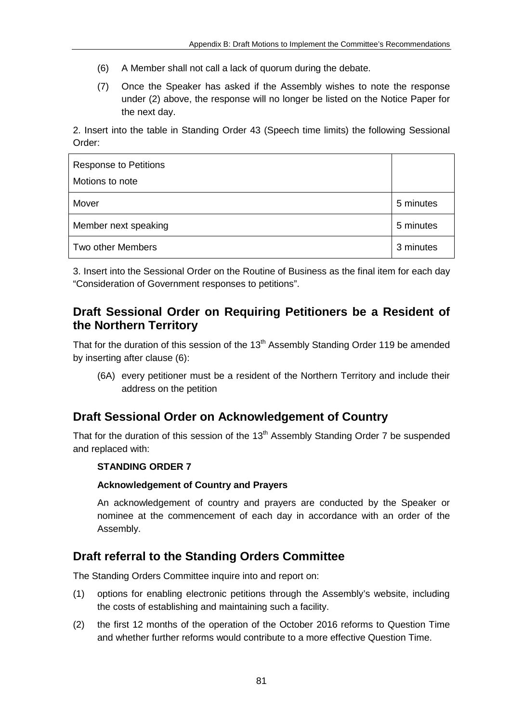- (6) A Member shall not call a lack of quorum during the debate.
- (7) Once the Speaker has asked if the Assembly wishes to note the response under (2) above, the response will no longer be listed on the Notice Paper for the next day.

2. Insert into the table in Standing Order 43 (Speech time limits) the following Sessional Order:

| <b>Response to Petitions</b><br>Motions to note |           |
|-------------------------------------------------|-----------|
| Mover                                           | 5 minutes |
| Member next speaking                            | 5 minutes |
| Two other Members                               | 3 minutes |

3. Insert into the Sessional Order on the Routine of Business as the final item for each day "Consideration of Government responses to petitions".

# **Draft Sessional Order on Requiring Petitioners be a Resident of the Northern Territory**

That for the duration of this session of the 13<sup>th</sup> Assembly Standing Order 119 be amended by inserting after clause (6):

(6A) every petitioner must be a resident of the Northern Territory and include their address on the petition

# **Draft Sessional Order on Acknowledgement of Country**

That for the duration of this session of the  $13<sup>th</sup>$  Assembly Standing Order 7 be suspended and replaced with:

## **STANDING ORDER 7**

### **Acknowledgement of Country and Prayers**

An acknowledgement of country and prayers are conducted by the Speaker or nominee at the commencement of each day in accordance with an order of the Assembly.

# **Draft referral to the Standing Orders Committee**

The Standing Orders Committee inquire into and report on:

- (1) options for enabling electronic petitions through the Assembly's website, including the costs of establishing and maintaining such a facility.
- (2) the first 12 months of the operation of the October 2016 reforms to Question Time and whether further reforms would contribute to a more effective Question Time.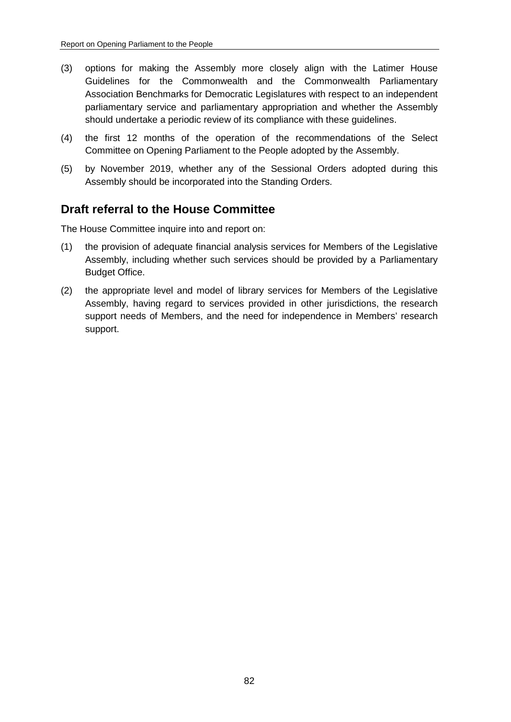- (3) options for making the Assembly more closely align with the Latimer House Guidelines for the Commonwealth and the Commonwealth Parliamentary Association Benchmarks for Democratic Legislatures with respect to an independent parliamentary service and parliamentary appropriation and whether the Assembly should undertake a periodic review of its compliance with these guidelines.
- (4) the first 12 months of the operation of the recommendations of the Select Committee on Opening Parliament to the People adopted by the Assembly.
- (5) by November 2019, whether any of the Sessional Orders adopted during this Assembly should be incorporated into the Standing Orders.

# **Draft referral to the House Committee**

The House Committee inquire into and report on:

- (1) the provision of adequate financial analysis services for Members of the Legislative Assembly, including whether such services should be provided by a Parliamentary Budget Office.
- (2) the appropriate level and model of library services for Members of the Legislative Assembly, having regard to services provided in other jurisdictions, the research support needs of Members, and the need for independence in Members' research support.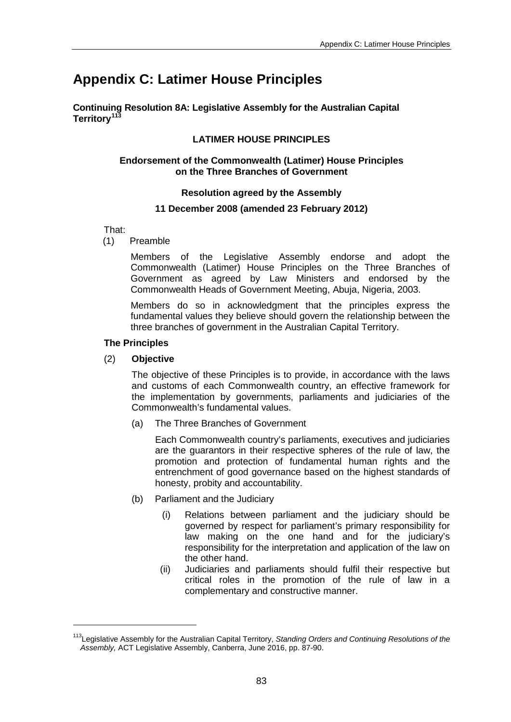# **Appendix C: Latimer House Principles**

**Continuing Resolution 8A: Legislative Assembly for the Australian Capital Territory[113](#page-82-0)**

## **LATIMER HOUSE PRINCIPLES**

#### **Endorsement of the Commonwealth (Latimer) House Principles on the Three Branches of Government**

#### **Resolution agreed by the Assembly**

#### **11 December 2008 (amended 23 February 2012)**

That:

(1) Preamble

Members of the Legislative Assembly endorse and adopt the Commonwealth (Latimer) House Principles on the Three Branches of Government as agreed by Law Ministers and endorsed by the Commonwealth Heads of Government Meeting, Abuja, Nigeria, 2003.

Members do so in acknowledgment that the principles express the fundamental values they believe should govern the relationship between the three branches of government in the Australian Capital Territory.

#### **The Principles**

<u>.</u>

(2) **Objective**

The objective of these Principles is to provide, in accordance with the laws and customs of each Commonwealth country, an effective framework for the implementation by governments, parliaments and judiciaries of the Commonwealth's fundamental values.

(a) The Three Branches of Government

Each Commonwealth country's parliaments, executives and judiciaries are the guarantors in their respective spheres of the rule of law, the promotion and protection of fundamental human rights and the entrenchment of good governance based on the highest standards of honesty, probity and accountability.

- (b) Parliament and the Judiciary
	- (i) Relations between parliament and the judiciary should be governed by respect for parliament's primary responsibility for law making on the one hand and for the judiciary's responsibility for the interpretation and application of the law on the other hand.
	- (ii) Judiciaries and parliaments should fulfil their respective but critical roles in the promotion of the rule of law in a complementary and constructive manner.

<span id="page-82-0"></span><sup>113</sup>Legislative Assembly for the Australian Capital Territory, *Standing Orders and Continuing Resolutions of the Assembly,* ACT Legislative Assembly, Canberra, June 2016, pp. 87-90.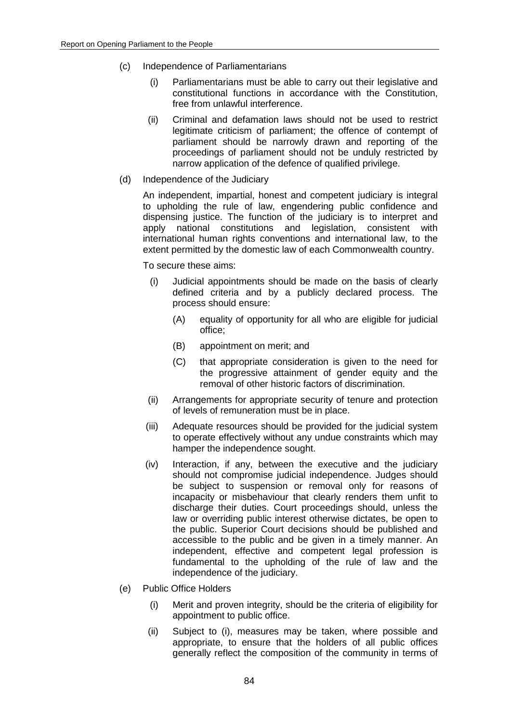- (c) Independence of Parliamentarians
	- (i) Parliamentarians must be able to carry out their legislative and constitutional functions in accordance with the Constitution, free from unlawful interference.
	- (ii) Criminal and defamation laws should not be used to restrict legitimate criticism of parliament; the offence of contempt of parliament should be narrowly drawn and reporting of the proceedings of parliament should not be unduly restricted by narrow application of the defence of qualified privilege.
- (d) Independence of the Judiciary

An independent, impartial, honest and competent judiciary is integral to upholding the rule of law, engendering public confidence and dispensing justice. The function of the judiciary is to interpret and apply national constitutions and legislation, consistent with international human rights conventions and international law, to the extent permitted by the domestic law of each Commonwealth country.

To secure these aims:

- (i) Judicial appointments should be made on the basis of clearly defined criteria and by a publicly declared process. The process should ensure:
	- (A) equality of opportunity for all who are eligible for judicial office;
	- (B) appointment on merit; and
	- (C) that appropriate consideration is given to the need for the progressive attainment of gender equity and the removal of other historic factors of discrimination.
- (ii) Arrangements for appropriate security of tenure and protection of levels of remuneration must be in place.
- (iii) Adequate resources should be provided for the judicial system to operate effectively without any undue constraints which may hamper the independence sought.
- (iv) Interaction, if any, between the executive and the judiciary should not compromise judicial independence. Judges should be subject to suspension or removal only for reasons of incapacity or misbehaviour that clearly renders them unfit to discharge their duties. Court proceedings should, unless the law or overriding public interest otherwise dictates, be open to the public. Superior Court decisions should be published and accessible to the public and be given in a timely manner. An independent, effective and competent legal profession is fundamental to the upholding of the rule of law and the independence of the judiciary.
- (e) Public Office Holders
	- (i) Merit and proven integrity, should be the criteria of eligibility for appointment to public office.
	- (ii) Subject to (i), measures may be taken, where possible and appropriate, to ensure that the holders of all public offices generally reflect the composition of the community in terms of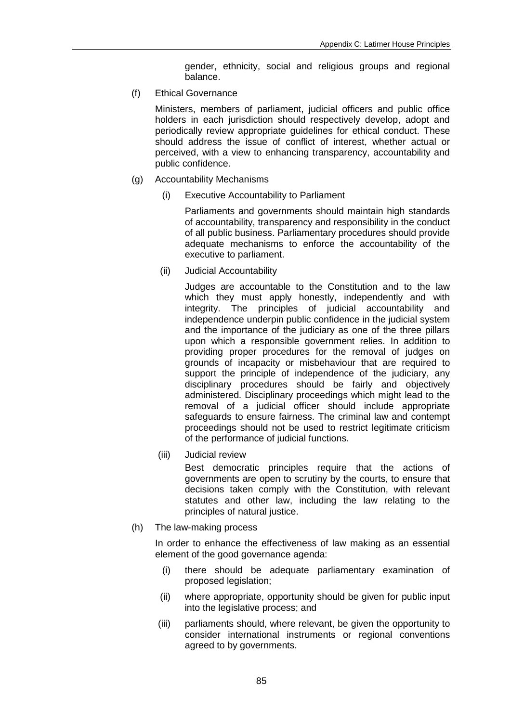gender, ethnicity, social and religious groups and regional balance.

(f) Ethical Governance

Ministers, members of parliament, judicial officers and public office holders in each jurisdiction should respectively develop, adopt and periodically review appropriate guidelines for ethical conduct. These should address the issue of conflict of interest, whether actual or perceived, with a view to enhancing transparency, accountability and public confidence.

- (g) Accountability Mechanisms
	- (i) Executive Accountability to Parliament

Parliaments and governments should maintain high standards of accountability, transparency and responsibility in the conduct of all public business. Parliamentary procedures should provide adequate mechanisms to enforce the accountability of the executive to parliament.

(ii) Judicial Accountability

Judges are accountable to the Constitution and to the law which they must apply honestly, independently and with integrity. The principles of judicial accountability and independence underpin public confidence in the judicial system and the importance of the judiciary as one of the three pillars upon which a responsible government relies. In addition to providing proper procedures for the removal of judges on grounds of incapacity or misbehaviour that are required to support the principle of independence of the judiciary, any disciplinary procedures should be fairly and objectively administered. Disciplinary proceedings which might lead to the removal of a judicial officer should include appropriate safeguards to ensure fairness. The criminal law and contempt proceedings should not be used to restrict legitimate criticism of the performance of judicial functions.

(iii) Judicial review

Best democratic principles require that the actions of governments are open to scrutiny by the courts, to ensure that decisions taken comply with the Constitution, with relevant statutes and other law, including the law relating to the principles of natural justice.

(h) The law-making process

In order to enhance the effectiveness of law making as an essential element of the good governance agenda:

- (i) there should be adequate parliamentary examination of proposed legislation;
- (ii) where appropriate, opportunity should be given for public input into the legislative process; and
- (iii) parliaments should, where relevant, be given the opportunity to consider international instruments or regional conventions agreed to by governments.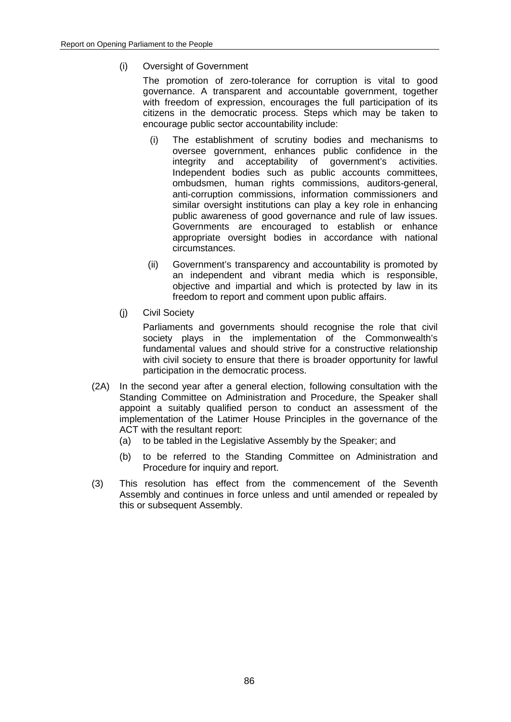(i) Oversight of Government

The promotion of zero-tolerance for corruption is vital to good governance. A transparent and accountable government, together with freedom of expression, encourages the full participation of its citizens in the democratic process. Steps which may be taken to encourage public sector accountability include:

- (i) The establishment of scrutiny bodies and mechanisms to oversee government, enhances public confidence in the integrity and acceptability of government's activities. Independent bodies such as public accounts committees, ombudsmen, human rights commissions, auditors-general, anti-corruption commissions, information commissioners and similar oversight institutions can play a key role in enhancing public awareness of good governance and rule of law issues. Governments are encouraged to establish or enhance appropriate oversight bodies in accordance with national circumstances.
- (ii) Government's transparency and accountability is promoted by an independent and vibrant media which is responsible, objective and impartial and which is protected by law in its freedom to report and comment upon public affairs.
- (j) Civil Society

Parliaments and governments should recognise the role that civil society plays in the implementation of the Commonwealth's fundamental values and should strive for a constructive relationship with civil society to ensure that there is broader opportunity for lawful participation in the democratic process.

- (2A) In the second year after a general election, following consultation with the Standing Committee on Administration and Procedure, the Speaker shall appoint a suitably qualified person to conduct an assessment of the implementation of the Latimer House Principles in the governance of the ACT with the resultant report:
	- (a) to be tabled in the Legislative Assembly by the Speaker; and
	- (b) to be referred to the Standing Committee on Administration and Procedure for inquiry and report.
- (3) This resolution has effect from the commencement of the Seventh Assembly and continues in force unless and until amended or repealed by this or subsequent Assembly.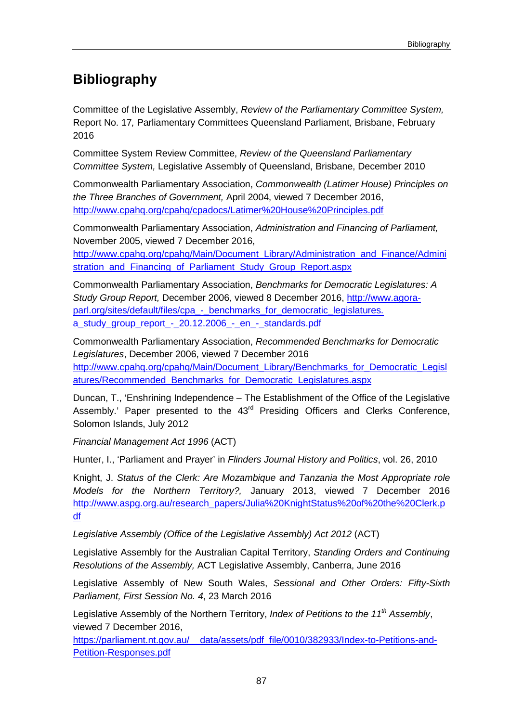# **Bibliography**

Committee of the Legislative Assembly, *Review of the Parliamentary Committee System,*  Report No. 17*,* Parliamentary Committees Queensland Parliament, Brisbane, February 2016

Committee System Review Committee, *Review of the Queensland Parliamentary Committee System,* Legislative Assembly of Queensland, Brisbane, December 2010

Commonwealth Parliamentary Association, *Commonwealth (Latimer House) Principles on the Three Branches of Government,* April 2004, viewed 7 December 2016, <http://www.cpahq.org/cpahq/cpadocs/Latimer%20House%20Principles.pdf>

Commonwealth Parliamentary Association, *Administration and Financing of Parliament,*  November 2005, viewed 7 December 2016,

[http://www.cpahq.org/cpahq/Main/Document\\_Library/Administration\\_and\\_Finance/Admini](http://www.cpahq.org/cpahq/Main/Document_Library/Administration_and_Finance/Administration_and_Financing_of_Parliament_Study_Group_Report.aspx) [stration\\_and\\_Financing\\_of\\_Parliament\\_Study\\_Group\\_Report.aspx](http://www.cpahq.org/cpahq/Main/Document_Library/Administration_and_Finance/Administration_and_Financing_of_Parliament_Study_Group_Report.aspx)

Commonwealth Parliamentary Association, *Benchmarks for Democratic Legislatures: A Study Group Report,* December 2006, viewed 8 December 2016, [http://www.agora](http://www.agora-parl.org/sites/default/files/cpa_-_benchmarks_for_democratic_legislatures.%20a_study_group_report_-_20.12.2006_-_en_-_standards.pdf)[parl.org/sites/default/files/cpa\\_-\\_benchmarks\\_for\\_democratic\\_legislatures.](http://www.agora-parl.org/sites/default/files/cpa_-_benchmarks_for_democratic_legislatures.%20a_study_group_report_-_20.12.2006_-_en_-_standards.pdf)  [a\\_study\\_group\\_report\\_-\\_20.12.2006\\_-\\_en\\_-\\_standards.pdf](http://www.agora-parl.org/sites/default/files/cpa_-_benchmarks_for_democratic_legislatures.%20a_study_group_report_-_20.12.2006_-_en_-_standards.pdf)

Commonwealth Parliamentary Association, *Recommended Benchmarks for Democratic Legislatures*, December 2006, viewed 7 December 2016 [http://www.cpahq.org/cpahq/Main/Document\\_Library/Benchmarks\\_for\\_Democratic\\_Legisl](http://www.cpahq.org/cpahq/Main/Document_Library/Benchmarks_for_Democratic_Legislatures/Recommended_Benchmarks_for_Democratic_Legislatures.aspx) [atures/Recommended\\_Benchmarks\\_for\\_Democratic\\_Legislatures.aspx](http://www.cpahq.org/cpahq/Main/Document_Library/Benchmarks_for_Democratic_Legislatures/Recommended_Benchmarks_for_Democratic_Legislatures.aspx)

Duncan, T., 'Enshrining Independence – The Establishment of the Office of the Legislative Assembly.' Paper presented to the 43<sup>rd</sup> Presiding Officers and Clerks Conference, Solomon Islands, July 2012

*Financial Management Act 1996* (ACT)

Hunter, I., 'Parliament and Prayer' in *Flinders Journal History and Politics*, vol. 26, 2010

Knight, J. *Status of the Clerk: Are Mozambique and Tanzania the Most Appropriate role Models for the Northern Territory?,* January 2013, viewed 7 December 2016 [http://www.aspg.org.au/research\\_papers/Julia%20KnightStatus%20of%20the%20Clerk.p](http://www.aspg.org.au/research_papers/Julia%20KnightStatus%20of%20the%20Clerk.pdf) [df](http://www.aspg.org.au/research_papers/Julia%20KnightStatus%20of%20the%20Clerk.pdf)

Legislative Assembly (Office of the Legislative Assembly) Act 2012 (ACT)

Legislative Assembly for the Australian Capital Territory, *Standing Orders and Continuing Resolutions of the Assembly,* ACT Legislative Assembly, Canberra, June 2016

Legislative Assembly of New South Wales, *Sessional and Other Orders: Fifty-Sixth Parliament, First Session No. 4*, 23 March 2016

Legislative Assembly of the Northern Territory, *Index of Petitions to the 11th Assembly*, viewed 7 December 2016,

https://parliament.nt.gov.au/ data/assets/pdf file/0010/382933/Index-to-Petitions-and-[Petition-Responses.pdf](https://parliament.nt.gov.au/__data/assets/pdf_file/0010/382933/Index-to-Petitions-and-Petition-Responses.pdf)